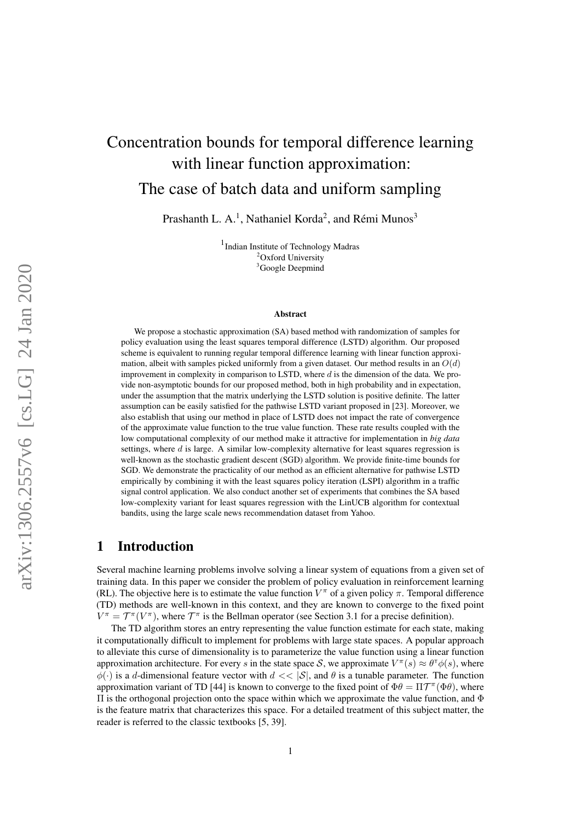# Concentration bounds for temporal difference learning with linear function approximation: The case of batch data and uniform sampling

Prashanth L. A.<sup>1</sup>, Nathaniel Korda<sup>2</sup>, and Rémi Munos<sup>3</sup>

1 Indian Institute of Technology Madras <sup>2</sup>Oxford University <sup>3</sup>Google Deepmind

#### Abstract

We propose a stochastic approximation (SA) based method with randomization of samples for policy evaluation using the least squares temporal difference (LSTD) algorithm. Our proposed scheme is equivalent to running regular temporal difference learning with linear function approximation, albeit with samples picked uniformly from a given dataset. Our method results in an  $O(d)$ improvement in complexity in comparison to LSTD, where  $d$  is the dimension of the data. We provide non-asymptotic bounds for our proposed method, both in high probability and in expectation, under the assumption that the matrix underlying the LSTD solution is positive definite. The latter assumption can be easily satisfied for the pathwise LSTD variant proposed in [23]. Moreover, we also establish that using our method in place of LSTD does not impact the rate of convergence of the approximate value function to the true value function. These rate results coupled with the low computational complexity of our method make it attractive for implementation in *big data* settings, where  $d$  is large. A similar low-complexity alternative for least squares regression is well-known as the stochastic gradient descent (SGD) algorithm. We provide finite-time bounds for SGD. We demonstrate the practicality of our method as an efficient alternative for pathwise LSTD empirically by combining it with the least squares policy iteration (LSPI) algorithm in a traffic signal control application. We also conduct another set of experiments that combines the SA based low-complexity variant for least squares regression with the LinUCB algorithm for contextual bandits, using the large scale news recommendation dataset from Yahoo.

## 1 Introduction

Several machine learning problems involve solving a linear system of equations from a given set of training data. In this paper we consider the problem of policy evaluation in reinforcement learning (RL). The objective here is to estimate the value function  $V^{\pi}$  of a given policy  $\pi$ . Temporal difference (TD) methods are well-known in this context, and they are known to converge to the fixed point  $V^{\pi} = \mathcal{T}^{\pi}(V^{\pi})$ , where  $\mathcal{T}^{\pi}$  is the Bellman operator (see Section 3.1 for a precise definition).

The TD algorithm stores an entry representing the value function estimate for each state, making it computationally difficult to implement for problems with large state spaces. A popular approach to alleviate this curse of dimensionality is to parameterize the value function using a linear function approximation architecture. For every s in the state space S, we approximate  $V^{\pi}(s) \approx \theta^{\pi} \phi(s)$ , where  $\phi(\cdot)$  is a d-dimensional feature vector with  $d \ll |\mathcal{S}|$ , and  $\theta$  is a tunable parameter. The function approximation variant of TD [44] is known to converge to the fixed point of  $\Phi\theta = \Pi \mathcal{T}^{\pi}(\Phi\theta)$ , where Π is the orthogonal projection onto the space within which we approximate the value function, and Φ is the feature matrix that characterizes this space. For a detailed treatment of this subject matter, the reader is referred to the classic textbooks [5, 39].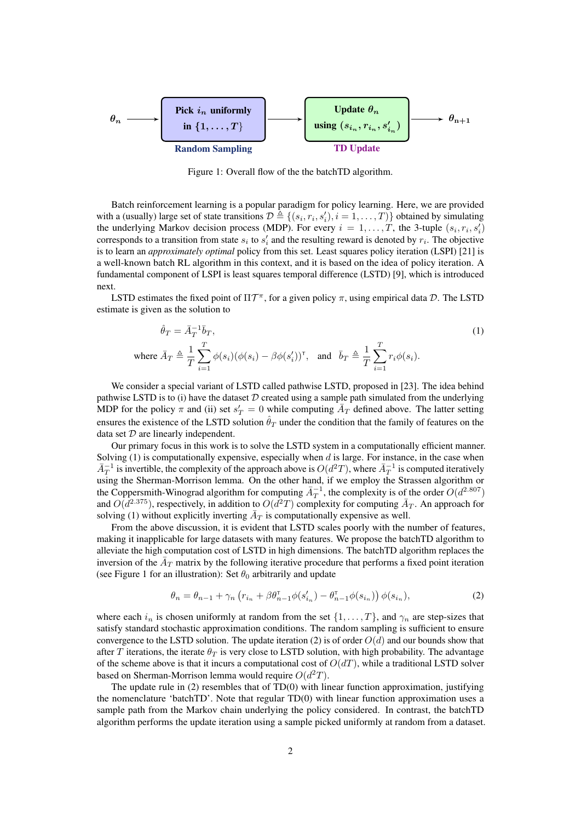

Figure 1: Overall flow of the the batchTD algorithm.

Batch reinforcement learning is a popular paradigm for policy learning. Here, we are provided with a (usually) large set of state transitions  $\mathcal{D} \triangleq \{(s_i, r_i, s'_i), i = 1, ..., T)\}$  obtained by simulating the underlying Markov decision process (MDP). For every  $i = 1, ..., T$ , the 3-tuple  $(s_i, r_i, s'_i)$ corresponds to a transition from state  $s_i$  to  $s'_i$  and the resulting reward is denoted by  $r_i$ . The objective is to learn an *approximately optimal* policy from this set. Least squares policy iteration (LSPI) [21] is a well-known batch RL algorithm in this context, and it is based on the idea of policy iteration. A fundamental component of LSPI is least squares temporal difference (LSTD) [9], which is introduced next.

LSTD estimates the fixed point of  $\Pi \mathcal{T}^{\pi}$ , for a given policy  $\pi$ , using empirical data  $\mathcal{D}$ . The LSTD estimate is given as the solution to

$$
\hat{\theta}_T = \bar{A}_T^{-1} \bar{b}_T,
$$
\n
$$
\text{where } \bar{A}_T \triangleq \frac{1}{T} \sum_{i=1}^T \phi(s_i) (\phi(s_i) - \beta \phi(s'_i))^{\mathsf{T}}, \text{ and } \bar{b}_T \triangleq \frac{1}{T} \sum_{i=1}^T r_i \phi(s_i).
$$
\n
$$
(1)
$$

We consider a special variant of LSTD called pathwise LSTD, proposed in [23]. The idea behind pathwise LSTD is to (i) have the dataset  $D$  created using a sample path simulated from the underlying MDP for the policy  $\pi$  and (ii) set  $s'_T = 0$  while computing  $\overline{A}_T$  defined above. The latter setting ensures the existence of the LSTD solution  $\hat{\theta}_T$  under the condition that the family of features on the data set  $D$  are linearly independent.

Our primary focus in this work is to solve the LSTD system in a computationally efficient manner. Solving  $(1)$  is computationally expensive, especially when d is large. For instance, in the case when  $\bar{A}_T^{-1}$  is invertible, the complexity of the approach above is  $O(d^2T)$ , where  $\bar{A}_T^{-1}$  is computed iteratively using the Sherman-Morrison lemma. On the other hand, if we employ the Strassen algorithm or the Coppersmith-Winograd algorithm for computing  $\bar{A}_T^{-1}$ , the complexity is of the order  $O(d^{2.807})$ and  $O(d^{2.375})$ , respectively, in addition to  $O(d^2T)$  complexity for computing  $\bar{A}_T$ . An approach for solving (1) without explicitly inverting  $\overline{A}_T$  is computationally expensive as well.

From the above discussion, it is evident that LSTD scales poorly with the number of features, making it inapplicable for large datasets with many features. We propose the batchTD algorithm to alleviate the high computation cost of LSTD in high dimensions. The batchTD algorithm replaces the inversion of the  $\bar{A}_T$  matrix by the following iterative procedure that performs a fixed point iteration (see Figure 1 for an illustration): Set  $\theta_0$  arbitrarily and update

$$
\theta_n = \theta_{n-1} + \gamma_n \left( r_{i_n} + \beta \theta_{n-1}^\top \phi(s_{i_n}') - \theta_{n-1}^\top \phi(s_{i_n}) \right) \phi(s_{i_n}),\tag{2}
$$

where each  $i_n$  is chosen uniformly at random from the set  $\{1, \ldots, T\}$ , and  $\gamma_n$  are step-sizes that satisfy standard stochastic approximation conditions. The random sampling is sufficient to ensure convergence to the LSTD solution. The update iteration (2) is of order  $O(d)$  and our bounds show that after T iterations, the iterate  $\theta_T$  is very close to LSTD solution, with high probability. The advantage of the scheme above is that it incurs a computational cost of  $O(dT)$ , while a traditional LSTD solver based on Sherman-Morrison lemma would require  $O(d^2T)$ .

The update rule in (2) resembles that of TD(0) with linear function approximation, justifying the nomenclature 'batchTD'. Note that regular TD(0) with linear function approximation uses a sample path from the Markov chain underlying the policy considered. In contrast, the batchTD algorithm performs the update iteration using a sample picked uniformly at random from a dataset.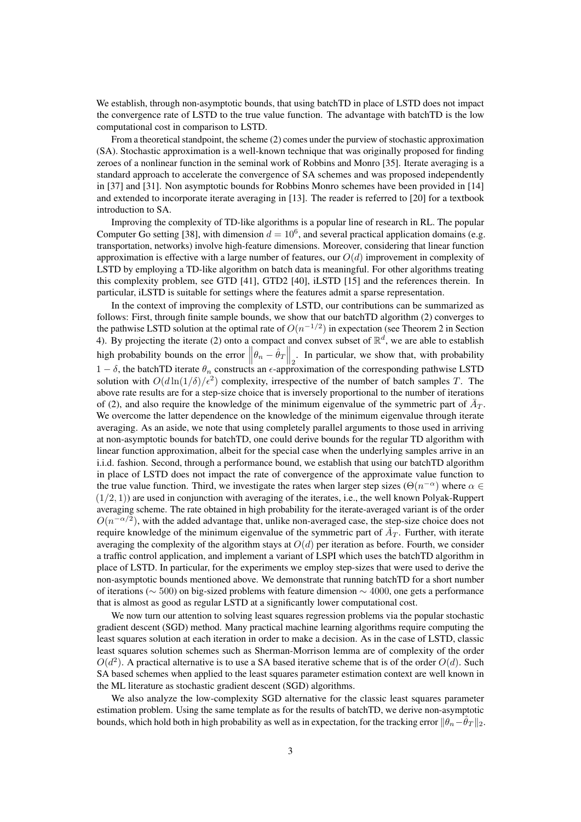We establish, through non-asymptotic bounds, that using batchTD in place of LSTD does not impact the convergence rate of LSTD to the true value function. The advantage with batchTD is the low computational cost in comparison to LSTD.

From a theoretical standpoint, the scheme (2) comes under the purview of stochastic approximation (SA). Stochastic approximation is a well-known technique that was originally proposed for finding zeroes of a nonlinear function in the seminal work of Robbins and Monro [35]. Iterate averaging is a standard approach to accelerate the convergence of SA schemes and was proposed independently in [37] and [31]. Non asymptotic bounds for Robbins Monro schemes have been provided in [14] and extended to incorporate iterate averaging in [13]. The reader is referred to [20] for a textbook introduction to SA.

Improving the complexity of TD-like algorithms is a popular line of research in RL. The popular Computer Go setting [38], with dimension  $d = 10^6$ , and several practical application domains (e.g. transportation, networks) involve high-feature dimensions. Moreover, considering that linear function approximation is effective with a large number of features, our  $O(d)$  improvement in complexity of LSTD by employing a TD-like algorithm on batch data is meaningful. For other algorithms treating this complexity problem, see GTD [41], GTD2 [40], iLSTD [15] and the references therein. In particular, iLSTD is suitable for settings where the features admit a sparse representation.

In the context of improving the complexity of LSTD, our contributions can be summarized as follows: First, through finite sample bounds, we show that our batchTD algorithm (2) converges to the pathwise LSTD solution at the optimal rate of  $O(n^{-1/2})$  in expectation (see Theorem 2 in Section 4). By projecting the iterate (2) onto a compact and convex subset of  $\mathbb{R}^d$ , we are able to establish high probability bounds on the error  $\left\|\theta_n - \hat{\theta}_T\right\|_2$ . In particular, we show that, with probability  $1 - \delta$ , the batchTD iterate  $\theta_n$  constructs an  $\epsilon$ -approximation of the corresponding pathwise LSTD solution with  $O(d \ln(1/\delta)/\epsilon^2)$  complexity, irrespective of the number of batch samples T. The above rate results are for a step-size choice that is inversely proportional to the number of iterations of (2), and also require the knowledge of the minimum eigenvalue of the symmetric part of  $\bar{A}_T$ . We overcome the latter dependence on the knowledge of the minimum eigenvalue through iterate averaging. As an aside, we note that using completely parallel arguments to those used in arriving at non-asymptotic bounds for batchTD, one could derive bounds for the regular TD algorithm with linear function approximation, albeit for the special case when the underlying samples arrive in an i.i.d. fashion. Second, through a performance bound, we establish that using our batchTD algorithm in place of LSTD does not impact the rate of convergence of the approximate value function to the true value function. Third, we investigate the rates when larger step sizes ( $\Theta(n^{-\alpha})$ ) where  $\alpha \in$  $(1/2, 1)$ ) are used in conjunction with averaging of the iterates, i.e., the well known Polyak-Ruppert averaging scheme. The rate obtained in high probability for the iterate-averaged variant is of the order  $O(n^{-\alpha/2})$ , with the added advantage that, unlike non-averaged case, the step-size choice does not require knowledge of the minimum eigenvalue of the symmetric part of  $\bar{A}_T$ . Further, with iterate averaging the complexity of the algorithm stays at  $O(d)$  per iteration as before. Fourth, we consider a traffic control application, and implement a variant of LSPI which uses the batchTD algorithm in place of LSTD. In particular, for the experiments we employ step-sizes that were used to derive the non-asymptotic bounds mentioned above. We demonstrate that running batchTD for a short number of iterations ( $\sim$  500) on big-sized problems with feature dimension  $\sim$  4000, one gets a performance that is almost as good as regular LSTD at a significantly lower computational cost.

We now turn our attention to solving least squares regression problems via the popular stochastic gradient descent (SGD) method. Many practical machine learning algorithms require computing the least squares solution at each iteration in order to make a decision. As in the case of LSTD, classic least squares solution schemes such as Sherman-Morrison lemma are of complexity of the order  $O(d^2)$ . A practical alternative is to use a SA based iterative scheme that is of the order  $O(d)$ . Such SA based schemes when applied to the least squares parameter estimation context are well known in the ML literature as stochastic gradient descent (SGD) algorithms.

We also analyze the low-complexity SGD alternative for the classic least squares parameter estimation problem. Using the same template as for the results of batchTD, we derive non-asymptotic bounds, which hold both in high probability as well as in expectation, for the tracking error  $\|\theta_n-\theta_T\|_2$ .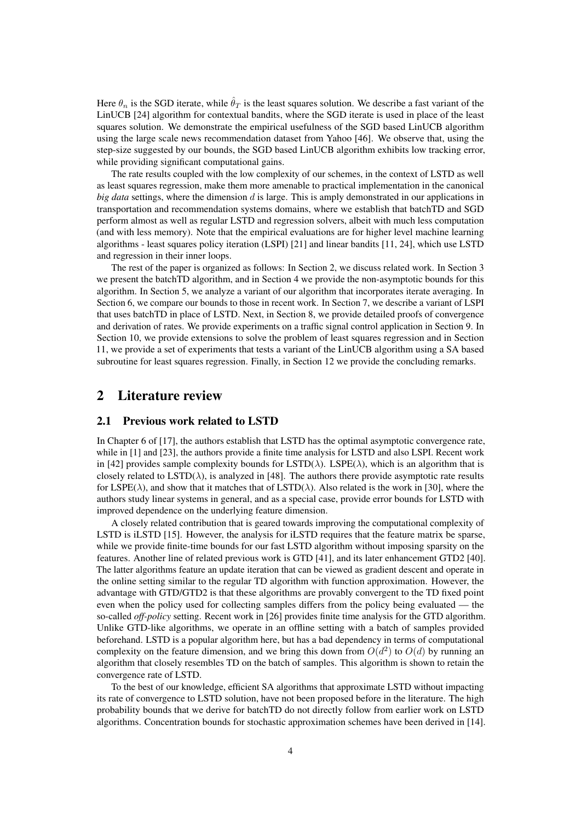Here  $\theta_n$  is the SGD iterate, while  $\hat{\theta}_T$  is the least squares solution. We describe a fast variant of the LinUCB [24] algorithm for contextual bandits, where the SGD iterate is used in place of the least squares solution. We demonstrate the empirical usefulness of the SGD based LinUCB algorithm using the large scale news recommendation dataset from Yahoo [46]. We observe that, using the step-size suggested by our bounds, the SGD based LinUCB algorithm exhibits low tracking error, while providing significant computational gains.

The rate results coupled with the low complexity of our schemes, in the context of LSTD as well as least squares regression, make them more amenable to practical implementation in the canonical *big data* settings, where the dimension d is large. This is amply demonstrated in our applications in transportation and recommendation systems domains, where we establish that batchTD and SGD perform almost as well as regular LSTD and regression solvers, albeit with much less computation (and with less memory). Note that the empirical evaluations are for higher level machine learning algorithms - least squares policy iteration (LSPI) [21] and linear bandits [11, 24], which use LSTD and regression in their inner loops.

The rest of the paper is organized as follows: In Section 2, we discuss related work. In Section 3 we present the batchTD algorithm, and in Section 4 we provide the non-asymptotic bounds for this algorithm. In Section 5, we analyze a variant of our algorithm that incorporates iterate averaging. In Section 6, we compare our bounds to those in recent work. In Section 7, we describe a variant of LSPI that uses batchTD in place of LSTD. Next, in Section 8, we provide detailed proofs of convergence and derivation of rates. We provide experiments on a traffic signal control application in Section 9. In Section 10, we provide extensions to solve the problem of least squares regression and in Section 11, we provide a set of experiments that tests a variant of the LinUCB algorithm using a SA based subroutine for least squares regression. Finally, in Section 12 we provide the concluding remarks.

## 2 Literature review

## 2.1 Previous work related to LSTD

In Chapter 6 of [17], the authors establish that LSTD has the optimal asymptotic convergence rate, while in [1] and [23], the authors provide a finite time analysis for LSTD and also LSPI. Recent work in [42] provides sample complexity bounds for  $LSTD(\lambda)$ . LSPE( $\lambda$ ), which is an algorithm that is closely related to  $\text{LSTD}(\lambda)$ , is analyzed in [48]. The authors there provide asymptotic rate results for LSPE( $\lambda$ ), and show that it matches that of LSTD( $\lambda$ ). Also related is the work in [30], where the authors study linear systems in general, and as a special case, provide error bounds for LSTD with improved dependence on the underlying feature dimension.

A closely related contribution that is geared towards improving the computational complexity of LSTD is iLSTD [15]. However, the analysis for iLSTD requires that the feature matrix be sparse, while we provide finite-time bounds for our fast LSTD algorithm without imposing sparsity on the features. Another line of related previous work is GTD [41], and its later enhancement GTD2 [40]. The latter algorithms feature an update iteration that can be viewed as gradient descent and operate in the online setting similar to the regular TD algorithm with function approximation. However, the advantage with GTD/GTD2 is that these algorithms are provably convergent to the TD fixed point even when the policy used for collecting samples differs from the policy being evaluated — the so-called *off-policy* setting. Recent work in [26] provides finite time analysis for the GTD algorithm. Unlike GTD-like algorithms, we operate in an offline setting with a batch of samples provided beforehand. LSTD is a popular algorithm here, but has a bad dependency in terms of computational complexity on the feature dimension, and we bring this down from  $O(d^2)$  to  $O(d)$  by running an algorithm that closely resembles TD on the batch of samples. This algorithm is shown to retain the convergence rate of LSTD.

To the best of our knowledge, efficient SA algorithms that approximate LSTD without impacting its rate of convergence to LSTD solution, have not been proposed before in the literature. The high probability bounds that we derive for batchTD do not directly follow from earlier work on LSTD algorithms. Concentration bounds for stochastic approximation schemes have been derived in [14].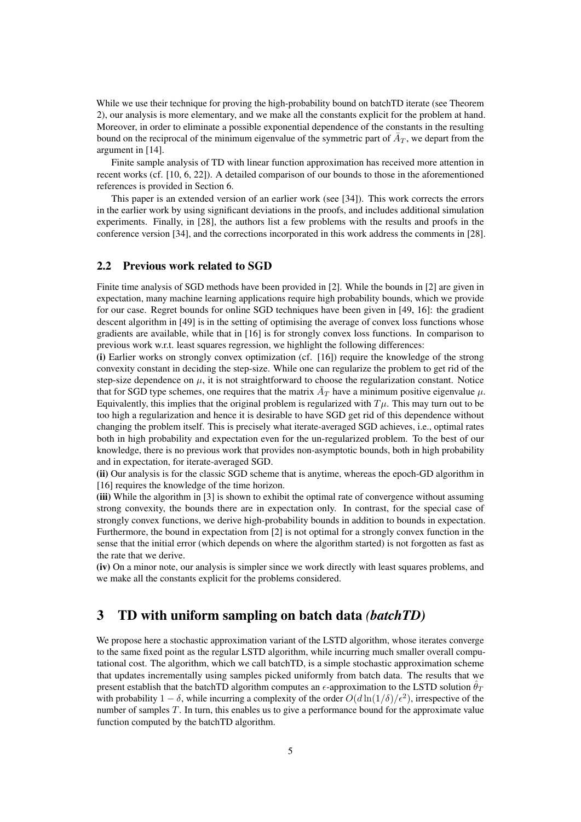While we use their technique for proving the high-probability bound on batchTD iterate (see Theorem 2), our analysis is more elementary, and we make all the constants explicit for the problem at hand. Moreover, in order to eliminate a possible exponential dependence of the constants in the resulting bound on the reciprocal of the minimum eigenvalue of the symmetric part of  $\bar{A}_T$ , we depart from the argument in [14].

Finite sample analysis of TD with linear function approximation has received more attention in recent works (cf. [10, 6, 22]). A detailed comparison of our bounds to those in the aforementioned references is provided in Section 6.

This paper is an extended version of an earlier work (see [34]). This work corrects the errors in the earlier work by using significant deviations in the proofs, and includes additional simulation experiments. Finally, in [28], the authors list a few problems with the results and proofs in the conference version [34], and the corrections incorporated in this work address the comments in [28].

## 2.2 Previous work related to SGD

Finite time analysis of SGD methods have been provided in [2]. While the bounds in [2] are given in expectation, many machine learning applications require high probability bounds, which we provide for our case. Regret bounds for online SGD techniques have been given in [49, 16]: the gradient descent algorithm in [49] is in the setting of optimising the average of convex loss functions whose gradients are available, while that in [16] is for strongly convex loss functions. In comparison to previous work w.r.t. least squares regression, we highlight the following differences:

(i) Earlier works on strongly convex optimization (cf. [16]) require the knowledge of the strong convexity constant in deciding the step-size. While one can regularize the problem to get rid of the step-size dependence on  $\mu$ , it is not straightforward to choose the regularization constant. Notice that for SGD type schemes, one requires that the matrix  $\bar{A}_T$  have a minimum positive eigenvalue  $\mu$ . Equivalently, this implies that the original problem is regularized with  $T\mu$ . This may turn out to be too high a regularization and hence it is desirable to have SGD get rid of this dependence without changing the problem itself. This is precisely what iterate-averaged SGD achieves, i.e., optimal rates both in high probability and expectation even for the un-regularized problem. To the best of our knowledge, there is no previous work that provides non-asymptotic bounds, both in high probability and in expectation, for iterate-averaged SGD.

(ii) Our analysis is for the classic SGD scheme that is anytime, whereas the epoch-GD algorithm in [16] requires the knowledge of the time horizon.

(iii) While the algorithm in [3] is shown to exhibit the optimal rate of convergence without assuming strong convexity, the bounds there are in expectation only. In contrast, for the special case of strongly convex functions, we derive high-probability bounds in addition to bounds in expectation. Furthermore, the bound in expectation from [2] is not optimal for a strongly convex function in the sense that the initial error (which depends on where the algorithm started) is not forgotten as fast as the rate that we derive.

(iv) On a minor note, our analysis is simpler since we work directly with least squares problems, and we make all the constants explicit for the problems considered.

## 3 TD with uniform sampling on batch data *(batchTD)*

We propose here a stochastic approximation variant of the LSTD algorithm, whose iterates converge to the same fixed point as the regular LSTD algorithm, while incurring much smaller overall computational cost. The algorithm, which we call batchTD, is a simple stochastic approximation scheme that updates incrementally using samples picked uniformly from batch data. The results that we present establish that the batchTD algorithm computes an  $\epsilon$ -approximation to the LSTD solution  $\hat{\theta}_T$ with probability  $1 - \delta$ , while incurring a complexity of the order  $O(d \ln(1/\delta)/\epsilon^2)$ , irrespective of the number of samples T. In turn, this enables us to give a performance bound for the approximate value function computed by the batchTD algorithm.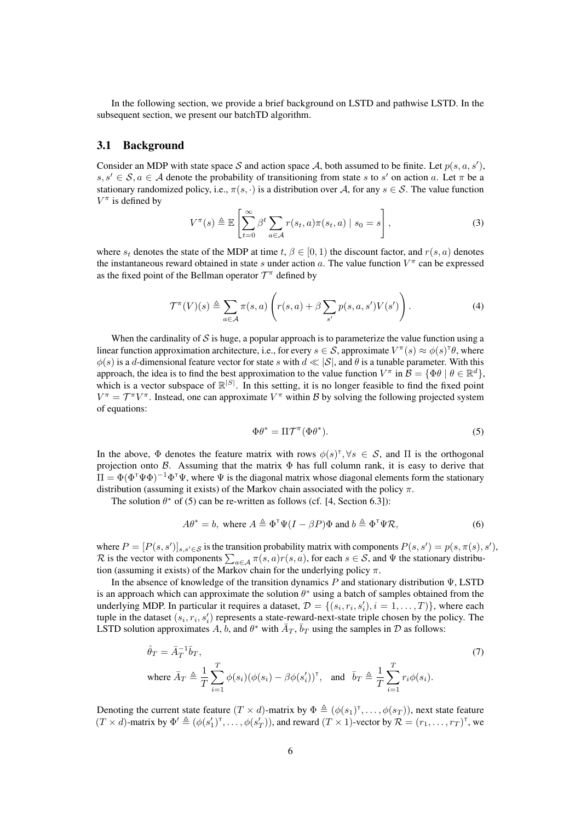In the following section, we provide a brief background on LSTD and pathwise LSTD. In the subsequent section, we present our batchTD algorithm.

## 3.1 Background

Consider an MDP with state space S and action space A, both assumed to be finite. Let  $p(s, a, s')$ ,  $s, s' \in S, a \in A$  denote the probability of transitioning from state s to s' on action a. Let  $\pi$  be a stationary randomized policy, i.e.,  $\pi(s, \cdot)$  is a distribution over A, for any  $s \in S$ . The value function  $V^{\pi}$  is defined by

$$
V^{\pi}(s) \triangleq \mathbb{E}\left[\sum_{t=0}^{\infty} \beta^t \sum_{a \in \mathcal{A}} r(s_t, a)\pi(s_t, a) \mid s_0 = s\right],
$$
\n(3)

where  $s_t$  denotes the state of the MDP at time  $t, \beta \in [0, 1)$  the discount factor, and  $r(s, a)$  denotes the instantaneous reward obtained in state s under action a. The value function  $V^{\pi}$  can be expressed as the fixed point of the Bellman operator  $\mathcal{T}^{\pi}$  defined by

$$
\mathcal{T}^{\pi}(V)(s) \triangleq \sum_{a \in \mathcal{A}} \pi(s, a) \left( r(s, a) + \beta \sum_{s'} p(s, a, s') V(s') \right). \tag{4}
$$

When the cardinality of  $S$  is huge, a popular approach is to parameterize the value function using a linear function approximation architecture, i.e., for every  $s \in S$ , approximate  $V^{\pi}(s) \approx \phi(s)^{\tau} \theta$ , where  $\phi(s)$  is a d-dimensional feature vector for state s with  $d \ll |\mathcal{S}|$ , and  $\theta$  is a tunable parameter. With this approach, the idea is to find the best approximation to the value function  $V^{\pi}$  in  $\mathcal{B} = {\{\Phi \theta \mid \theta \in \mathbb{R}^d\}}$ , which is a vector subspace of  $\mathbb{R}^{|S|}$ . In this setting, it is no longer feasible to find the fixed point  $V^{\pi} = \mathcal{T}^{\pi} V^{\pi}$ . Instead, one can approximate  $V^{\pi}$  within B by solving the following projected system of equations:

$$
\Phi \theta^* = \Pi \mathcal{T}^\pi (\Phi \theta^*).
$$
\n(5)

In the above,  $\Phi$  denotes the feature matrix with rows  $\phi(s)^\top, \forall s \in S$ , and  $\Pi$  is the orthogonal projection onto B. Assuming that the matrix  $\Phi$  has full column rank, it is easy to derive that  $\Pi = \Phi(\Phi^{\dagger} \Psi \Phi)^{-1} \Phi^{\dagger} \Psi$ , where  $\Psi$  is the diagonal matrix whose diagonal elements form the stationary distribution (assuming it exists) of the Markov chain associated with the policy  $\pi$ .

The solution  $\theta^*$  of (5) can be re-written as follows (cf. [4, Section 6.3]):

$$
A\theta^* = b, \text{ where } A \triangleq \Phi^{\mathsf{T}} \Psi (I - \beta P) \Phi \text{ and } b \triangleq \Phi^{\mathsf{T}} \Psi \mathcal{R}, \tag{6}
$$

where  $P = [P(s, s')]_{s, s' \in S}$  is the transition probability matrix with components  $P(s, s') = p(s, \pi(s), s')$ , R is the vector with components  $\sum_{a \in \mathcal{A}} \pi(s, a)r(s, a)$ , for each  $s \in \mathcal{S}$ , and  $\Psi$  the stationary distribution (assuming it exists) of the Markov chain for the underlying policy  $\pi$ .

In the absence of knowledge of the transition dynamics P and stationary distribution Ψ, LSTD is an approach which can approximate the solution  $\theta^*$  using a batch of samples obtained from the underlying MDP. In particular it requires a dataset,  $\mathcal{D} = \{(s_i, r_i, s'_i), i = 1, \dots, T)\}\$ , where each tuple in the dataset  $(s_i, r_i, s'_i)$  represents a state-reward-next-state triple chosen by the policy. The LSTD solution approximates A, b, and  $\theta^*$  with  $\bar{A}_T$ ,  $\bar{b}_T$  using the samples in  $\mathcal D$  as follows:

$$
\hat{\theta}_T = \bar{A}_T^{-1} \bar{b}_T, \qquad (7)
$$
\n
$$
\text{where } \bar{A}_T \triangleq \frac{1}{T} \sum_{i=1}^T \phi(s_i) (\phi(s_i) - \beta \phi(s'_i))^{\mathsf{T}}, \quad \text{and} \quad \bar{b}_T \triangleq \frac{1}{T} \sum_{i=1}^T r_i \phi(s_i).
$$

Denoting the current state feature  $(T \times d)$ -matrix by  $\Phi \triangleq (\phi(s_1)^{\dagger}, \dots, \phi(s_T))$ , next state feature  $(T \times d)$ -matrix by  $\Phi' \triangleq (\phi(s'_1)^{\top}, \dots, \phi(s'_T))$ , and reward  $(T \times 1)$ -vector by  $\mathcal{R} = (r_1, \dots, r_T)^{\top}$ , we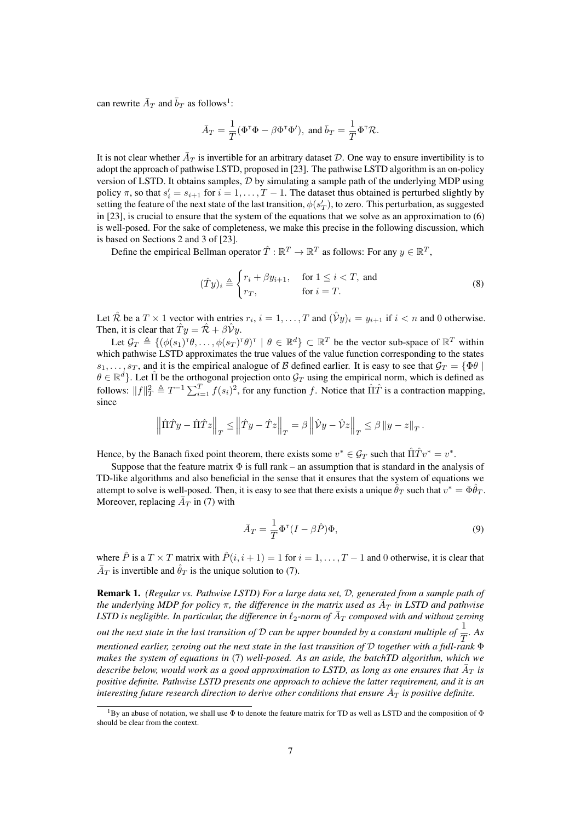can rewrite  $\bar{A}_T$  and  $\bar{b}_T$  as follows<sup>1</sup>:

$$
\bar{A}_T = \frac{1}{T}(\Phi^{\mathsf{T}} \Phi - \beta \Phi^{\mathsf{T}} \Phi'), \text{ and } \bar{b}_T = \frac{1}{T} \Phi^{\mathsf{T}} \mathcal{R}.
$$

It is not clear whether  $\bar{A}_T$  is invertible for an arbitrary dataset D. One way to ensure invertibility is to adopt the approach of pathwise LSTD, proposed in [23]. The pathwise LSTD algorithm is an on-policy version of LSTD. It obtains samples,  $D$  by simulating a sample path of the underlying MDP using policy  $\pi$ , so that  $s'_i = s_{i+1}$  for  $i = 1, ..., T-1$ . The dataset thus obtained is perturbed slightly by setting the feature of the next state of the last transition,  $\phi(s_T'),$  to zero. This perturbation, as suggested in [23], is crucial to ensure that the system of the equations that we solve as an approximation to (6) is well-posed. For the sake of completeness, we make this precise in the following discussion, which is based on Sections 2 and 3 of [23].

Define the empirical Bellman operator  $\hat{T} : \mathbb{R}^T \to \mathbb{R}^T$  as follows: For any  $y \in \mathbb{R}^T$ ,

$$
(\hat{T}y)_i \triangleq \begin{cases} r_i + \beta y_{i+1}, & \text{for } 1 \le i < T, \text{ and} \\ r_T, & \text{for } i = T. \end{cases} \tag{8}
$$

Let  $\hat{\mathcal{R}}$  be a  $T \times 1$  vector with entries  $r_i$ ,  $i = 1, ..., T$  and  $(\hat{\mathcal{V}}y)_i = y_{i+1}$  if  $i < n$  and 0 otherwise. Then, it is clear that  $\hat{T} y = \hat{R} + \beta \hat{V} y$ .

Let  $\mathcal{G}_T \triangleq \{ (\phi(s_1)^{\top} \theta, \dots, \phi(s_T)^{\top} \theta)^{\top} \mid \theta \in \mathbb{R}^d \} \subset \mathbb{R}^T$  be the vector sub-space of  $\mathbb{R}^T$  within which pathwise LSTD approximates the true values of the value function corresponding to the states  $s_1, \ldots, s_T$ , and it is the empirical analogue of B defined earlier. It is easy to see that  $\mathcal{G}_T = \{ \Phi \theta \mid \Psi \in \mathcal{G} \}$  $\theta \in \mathbb{R}^d$ . Let  $\hat{\Pi}$  be the orthogonal projection onto  $\mathcal{G}_T$  using the empirical norm, which is defined as follows:  $||f||_T^2 \triangleq T^{-1} \sum_{i=1}^T f(s_i)^2$ , for any function f. Notice that  $\hat{\Pi}\hat{T}$  is a contraction mapping, since

$$
\left\|\hat{\Pi}\hat{T}y - \hat{\Pi}\hat{T}z\right\|_T \le \left\|\hat{T}y - \hat{T}z\right\|_T = \beta\left\|\hat{\mathcal{V}}y - \hat{\mathcal{V}}z\right\|_T \le \beta\left\|y - z\right\|_T.
$$

Hence, by the Banach fixed point theorem, there exists some  $v^* \in \mathcal{G}_T$  such that  $\hat{\Pi}\hat{T}v^* = v^*$ .

Suppose that the feature matrix  $\Phi$  is full rank – an assumption that is standard in the analysis of TD-like algorithms and also beneficial in the sense that it ensures that the system of equations we attempt to solve is well-posed. Then, it is easy to see that there exists a unique  $\hat{\theta}_T$  such that  $v^* = \Phi \hat{\theta}_T$ . Moreover, replacing  $\overline{A}_T$  in (7) with

$$
\bar{A}_T = \frac{1}{T} \Phi^{\mathsf{T}} (I - \beta \hat{P}) \Phi,\tag{9}
$$

where  $\hat{P}$  is a  $T \times T$  matrix with  $\hat{P}(i, i + 1) = 1$  for  $i = 1, ..., T - 1$  and 0 otherwise, it is clear that  $\bar{A}_T$  is invertible and  $\hat{\theta}_T$  is the unique solution to (7).

Remark 1. *(Regular vs. Pathwise LSTD) For a large data set,* D*, generated from a sample path of the underlying MDP for policy*  $\pi$ , the difference in the matrix used as  $\bar{A}_T$  in LSTD and pathwise LSTD is negligible. In particular, the difference in  $\ell_2$ -norm of  $\bar A_T$  composed with and without zeroing *out the next state in the last transition of*  $D$  *can be upper bounded by a constant multiple of*  $\frac{1}{T}$ *. As mentioned earlier, zeroing out the next state in the last transition of* D *together with a full-rank* Φ *makes the system of equations in* (7) *well-posed. As an aside, the batchTD algorithm, which we* describe below, would work as a good approximation to LSTD, as long as one ensures that  $\bar{A}_T$  is *positive definite. Pathwise LSTD presents one approach to achieve the latter requirement, and it is an* interesting future research direction to derive other conditions that ensure  $\bar{A}_T$  is positive definite.

<sup>&</sup>lt;sup>1</sup>By an abuse of notation, we shall use  $\Phi$  to denote the feature matrix for TD as well as LSTD and the composition of  $\Phi$ should be clear from the context.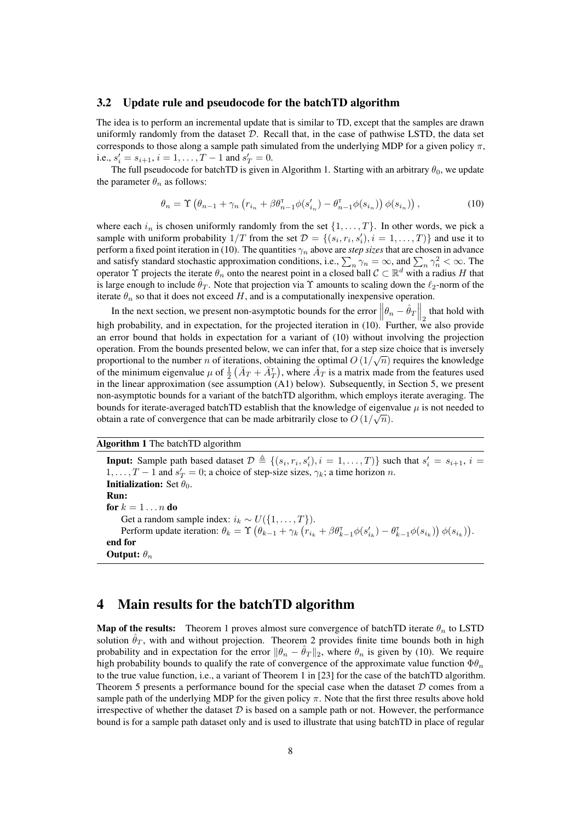## 3.2 Update rule and pseudocode for the batchTD algorithm

The idea is to perform an incremental update that is similar to TD, except that the samples are drawn uniformly randomly from the dataset  $D$ . Recall that, in the case of pathwise LSTD, the data set corresponds to those along a sample path simulated from the underlying MDP for a given policy  $\pi$ , i.e.,  $s'_i = s_{i+1}, i = 1, \dots, T-1$  and  $s'_T = 0$ .

The full pseudocode for batchTD is given in Algorithm 1. Starting with an arbitrary  $\theta_0$ , we update the parameter  $\theta_n$  as follows:

$$
\theta_n = \Upsilon \left( \theta_{n-1} + \gamma_n \left( r_{i_n} + \beta \theta_{n-1}^\mathsf{T} \phi(s'_{i_n}) - \theta_{n-1}^\mathsf{T} \phi(s_{i_n}) \right) \phi(s_{i_n}) \right),\tag{10}
$$

where each  $i_n$  is chosen uniformly randomly from the set  $\{1, \ldots, T\}$ . In other words, we pick a sample with uniform probability  $1/T$  from the set  $\mathcal{D} = \{(s_i, r_i, s'_i), i = 1, ..., T)\}\$  and use it to perform a fixed point iteration in (10). The quantities  $\gamma_n$  above are *step sizes* that are chosen in advance and satisfy standard stochastic approximation conditions, i.e.,  $\sum_n \gamma_n = \infty$ , and  $\sum_n \gamma_n^2 < \infty$ . The operator  $\Upsilon$  projects the iterate  $\theta_n$  onto the nearest point in a closed ball  $C \subset \mathbb{R}^d$  with a radius H that is large enough to include  $\hat{\theta}_T$ . Note that projection via  $\Upsilon$  amounts to scaling down the  $\ell_2$ -norm of the iterate  $\theta_n$  so that it does not exceed H, and is a computationally inexpensive operation.

In the next section, we present non-asymptotic bounds for the error  $\left\|\theta_n - \hat{\theta}_T\right\|_2$  that hold with high probability, and in expectation, for the projected iteration in (10). Further, we also provide an error bound that holds in expectation for a variant of (10) without involving the projection operation. From the bounds presented below, we can infer that, for a step size choice that is inversely proportional to the number n of iterations, obtaining the optimal  $O(1/\sqrt{n})$  requires the knowledge of the minimum eigenvalue  $\mu$  of  $\frac{1}{2}(\bar{A}_T + \bar{A}_T)$ , where  $\bar{A}_T$  is a matrix made from the features used in the linear approximation (see assumption (A1) below). Subsequently, in Section 5, we present non-asymptotic bounds for a variant of the batchTD algorithm, which employs iterate averaging. The bounds for iterate-averaged batchTD establish that the knowledge of eigenvalue  $\mu$  is not needed to obtain a rate of convergence that can be made arbitrarily close to  $O(1/\sqrt{n})$ .

Algorithm 1 The batchTD algorithm

**Input:** Sample path based dataset  $\mathcal{D} \triangleq \{(s_i, r_i, s'_i), i = 1, ..., T)\}$  such that  $s'_i = s_{i+1}$ ,  $i =$ 1, ...,  $T-1$  and  $s'_T=0$ ; a choice of step-size sizes,  $\gamma_k$ ; a time horizon n. **Initialization:** Set  $\theta_0$ . Run: for  $k=1\ldots n$  do Get a random sample index:  $i_k \sim U({1, \ldots, T}).$ Perform update iteration:  $\theta_k = \Upsilon \left( \theta_{k-1} + \gamma_k \left( r_{i_k} + \beta \theta_{k-1}^\mathsf{T} \phi(s_{i_k}') - \theta_{k-1}^\mathsf{T} \phi(s_{i_k}) \right) \phi(s_{i_k}) \right)$ . end for **Output:**  $\theta_n$ 

## 4 Main results for the batchTD algorithm

**Map of the results:** Theorem 1 proves almost sure convergence of batchTD iterate  $\theta_n$  to LSTD solution  $\hat{\theta}_T$ , with and without projection. Theorem 2 provides finite time bounds both in high probability and in expectation for the error  $\|\theta_n - \theta_T\|_2$ , where  $\theta_n$  is given by (10). We require high probability bounds to qualify the rate of convergence of the approximate value function  $\Phi \theta_n$ to the true value function, i.e., a variant of Theorem 1 in [23] for the case of the batchTD algorithm. Theorem 5 presents a performance bound for the special case when the dataset  $D$  comes from a sample path of the underlying MDP for the given policy  $\pi$ . Note that the first three results above hold irrespective of whether the dataset  $D$  is based on a sample path or not. However, the performance bound is for a sample path dataset only and is used to illustrate that using batchTD in place of regular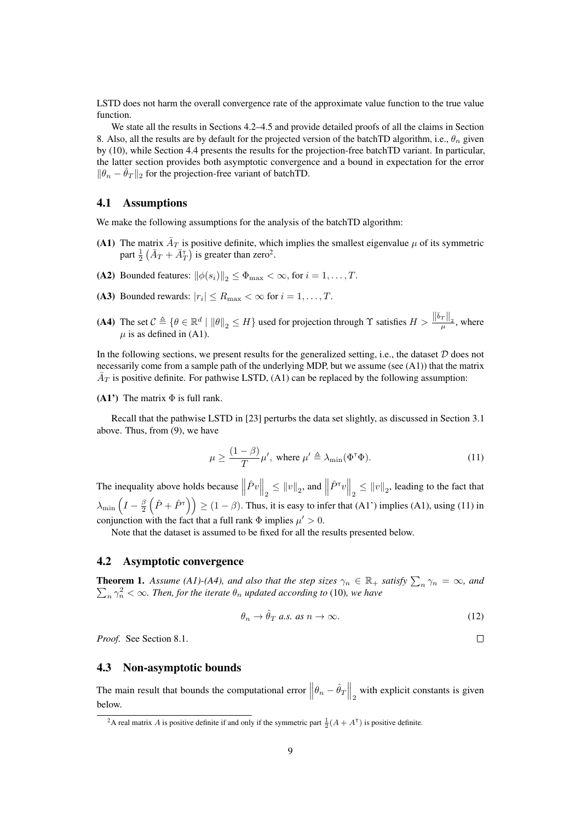LSTD does not harm the overall convergence rate of the approximate value function to the true value function.

We state all the results in Sections 4.2–4.5 and provide detailed proofs of all the claims in Section 8. Also, all the results are by default for the projected version of the batchTD algorithm, i.e.,  $\theta_n$  given by (10), while Section 4.4 presents the results for the projection-free batchTD variant. In particular, the latter section provides both asymptotic convergence and a bound in expectation for the error  $\|\theta_n - \theta_T\|_2$  for the projection-free variant of batchTD.

## 4.1 Assumptions

We make the following assumptions for the analysis of the batchTD algorithm:

- (A1) The matrix  $\bar{A}_T$  is positive definite, which implies the smallest eigenvalue  $\mu$  of its symmetric part  $\frac{1}{2}(\bar{A}_T + \bar{A}_T)$  is greater than zero<sup>2</sup>.
- (A2) Bounded features:  $\|\phi(s_i)\|_2 \leq \Phi_{\text{max}} < \infty$ , for  $i = 1, ..., T$ .
- (A3) Bounded rewards:  $|r_i| \le R_{\text{max}} < \infty$  for  $i = 1, ..., T$ .
- (A4) The set  $C \triangleq \{ \theta \in \mathbb{R}^d \mid ||\theta||_2 \leq H \}$  used for projection through  $\Upsilon$  satisfies  $H > \frac{||\bar{b}_T||_2}{\mu}$ , where  $\mu$  is as defined in (A1).

In the following sections, we present results for the generalized setting, i.e., the dataset  $D$  does not necessarily come from a sample path of the underlying MDP, but we assume (see (A1)) that the matrix  $\bar{A}_T$  is positive definite. For pathwise LSTD, (A1) can be replaced by the following assumption:

(A1') The matrix  $\Phi$  is full rank.

Recall that the pathwise LSTD in [23] perturbs the data set slightly, as discussed in Section 3.1 above. Thus, from (9), we have

$$
\mu \ge \frac{(1-\beta)}{T} \mu', \text{ where } \mu' \triangleq \lambda_{\min}(\Phi^{\mathsf{T}} \Phi). \tag{11}
$$

The inequality above holds because  $\left\|\hat{P}v\right\|_2 \leq \|v\|_2$ , and  $\left\|\hat{P}^\tau v\right\|_2 \leq \|v\|_2$ , leading to the fact that  $\lambda_{\min}\left(I - \frac{\beta}{2}\left(\hat{P} + \hat{P}^{\dagger}\right)\right) \ge (1 - \beta)$ . Thus, it is easy to infer that (A1') implies (A1), using (11) in conjunction with the fact that a full rank  $\Phi$  implies  $\mu' > 0$ .

Note that the dataset is assumed to be fixed for all the results presented below.

## 4.2 Asymptotic convergence

**Theorem 1.** Assume (A1)-(A4), and also that the step sizes  $\gamma_n \in \mathbb{R}_+$  satisfy  $\sum_n \gamma_n = \infty$ , and **neorem 1.** Assume  $(11)$ - $(14)$ , and also that the step stres  $n \geq \infty$ .  $\sum_{n} \gamma_n^2 < \infty$ . Then, for the iterate  $\theta_n$  updated according to (10), we have

$$
\theta_n \to \hat{\theta}_T \text{ a.s. as } n \to \infty. \tag{12}
$$

*Proof.* See Section 8.1.

## 4.3 Non-asymptotic bounds

The main result that bounds the computational error  $\left\|\theta_n - \hat{\theta}_T\right\|_2$  with explicit constants is given below.

 $\Box$ 

<sup>&</sup>lt;sup>2</sup>A real matrix A is positive definite if and only if the symmetric part  $\frac{1}{2}(A + A^{T})$  is positive definite.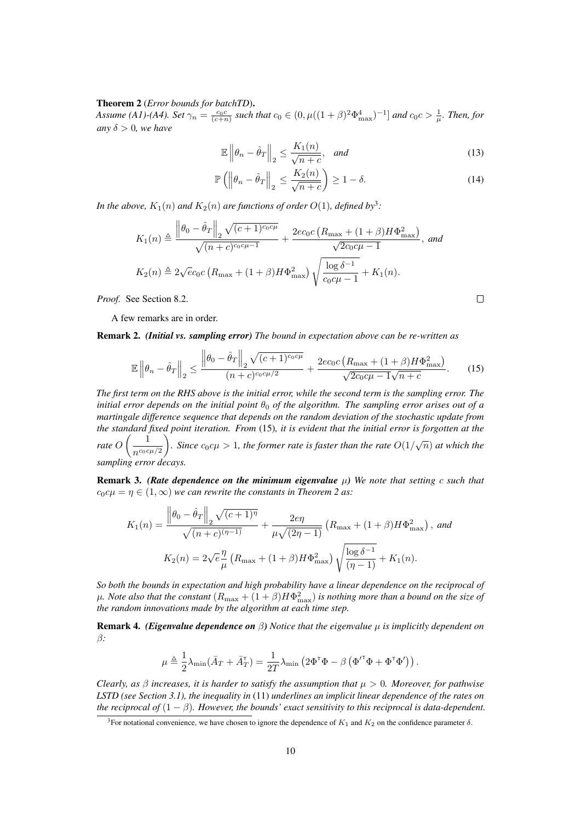### Theorem 2 (*Error bounds for batchTD*).

*Assume (A1)-(A4). Set*  $\gamma_n = \frac{c_0 c}{(c+n)}$  *such that*  $c_0 \in (0, \mu((1+\beta)^2 \Phi_{\max}^4)^{-1}]$  *and*  $c_0 c > \frac{1}{\mu}$ *. Then, for any*  $\delta > 0$ *, we have* 

$$
\mathbb{E}\left\|\theta_n - \hat{\theta}_T\right\|_2 \le \frac{K_1(n)}{\sqrt{n+c}}, \quad \text{and} \tag{13}
$$

$$
\mathbb{P}\left(\left\|\theta_n - \hat{\theta}_T\right\|_2 \le \frac{K_2(n)}{\sqrt{n+c}}\right) \ge 1 - \delta. \tag{14}
$$

 $\Box$ 

In the above,  $K_1(n)$  and  $K_2(n)$  are functions of order  $O(1)$ , defined by<sup>3</sup>:

$$
K_1(n) \triangleq \frac{\left\|\theta_0 - \hat{\theta}_T\right\|_2 \sqrt{(c+1)^{c_0 c \mu}}}{\sqrt{(n+c)^{c_0 c \mu - 1}}} + \frac{2ec_0c\left(R_{\text{max}} + (1+\beta)H\Phi_{\text{max}}^2\right)}{\sqrt{2c_0 c \mu - 1}}, \text{ and}
$$
  

$$
K_2(n) \triangleq 2\sqrt{ec_0c}\left(R_{\text{max}} + (1+\beta)H\Phi_{\text{max}}^2\right)\sqrt{\frac{\log \delta^{-1}}{c_0 c \mu - 1}} + K_1(n).
$$

*Proof.* See Section 8.2.

A few remarks are in order.

Remark 2. *(Initial vs. sampling error) The bound in expectation above can be re-written as*

$$
\mathbb{E}\left\|\theta_{n}-\hat{\theta}_{T}\right\|_{2} \leq \frac{\left\|\theta_{0}-\hat{\theta}_{T}\right\|_{2}\sqrt{(c+1)^{c_{0}c\mu}}}{(n+c)^{c_{0}c\mu/2}} + \frac{2ec_{0}c\left(R_{\max} + (1+\beta)H\Phi_{\max}^{2}\right)}{\sqrt{2c_{0}c\mu - 1}\sqrt{n+c}}.\tag{15}
$$

*The first term on the RHS above is the initial error, while the second term is the sampling error. The initial error depends on the initial point*  $\theta_0$  *of the algorithm. The sampling error arises out of a martingale difference sequence that depends on the random deviation of the stochastic update from the standard fixed point iteration. From* (15)*, it is evident that the initial error is forgotten at the rate*  $O\left(\frac{1}{\sqrt{1-\frac{1}{2}}}\right)$  $n^{c_0c\mu/2}$ *n* Since  $c_0 c \mu > 1$ , the former rate is faster than the rate  $O(1/\sqrt{n})$  at which the *sampling error decays.*

Remark 3. *(Rate dependence on the minimum eigenvalue* µ*) We note that setting* c *such that*  $c_0c\mu = \eta \in (1,\infty)$  *we can rewrite the constants in Theorem 2 as:* 

$$
K_1(n) = \frac{\left\|\theta_0 - \hat{\theta}_T\right\|_2 \sqrt{(c+1)^{\eta}}}{\sqrt{(n+c)^{(\eta-1)}}} + \frac{2e\eta}{\mu\sqrt{(2\eta-1)}} \left(R_{\max} + (1+\beta)H\Phi_{\max}^2\right), \text{ and}
$$

$$
K_2(n) = 2\sqrt{e}\frac{\eta}{\mu} \left(R_{\max} + (1+\beta)H\Phi_{\max}^2\right) \sqrt{\frac{\log \delta^{-1}}{(\eta-1)}} + K_1(n).
$$

*So both the bounds in expectation and high probability have a linear dependence on the reciprocal of*  $\mu$ . Note also that the constant  $(R_{\max} + (1+\beta)H\Phi_{\max}^2)$  is nothing more than a bound on the size of *the random innovations made by the algorithm at each time step.*

**Remark 4.** *(Eigenvalue dependence on*  $\beta$ ) *Notice that the eigenvalue*  $\mu$  *is implicitly dependent on* β*:*

$$
\mu \triangleq \frac{1}{2} \lambda_{\min} (\bar{A}_T + \bar{A}_T^{\mathsf{T}}) = \frac{1}{2T} \lambda_{\min} \left( 2 \Phi^{\mathsf{T}} \Phi - \beta \left( \Phi^{\prime \mathsf{T}} \Phi + \Phi^{\mathsf{T}} \Phi^{\prime} \right) \right).
$$

*Clearly, as*  $\beta$  *increases, it is harder to satisfy the assumption that*  $\mu > 0$ *. Moreover, for pathwise LSTD (see Section 3.1), the inequality in* (11) *underlines an implicit linear dependence of the rates on the reciprocal of*  $(1 - \beta)$ *. However, the bounds' exact sensitivity to this reciprocal is data-dependent.* 

<sup>&</sup>lt;sup>3</sup>For notational convenience, we have chosen to ignore the dependence of  $K_1$  and  $K_2$  on the confidence parameter  $\delta$ .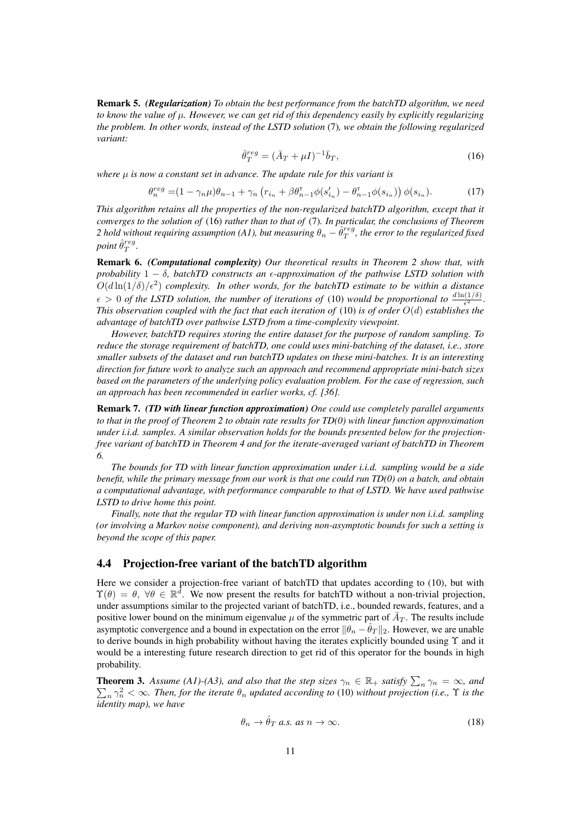Remark 5. *(Regularization) To obtain the best performance from the batchTD algorithm, we need to know the value of* µ*. However, we can get rid of this dependency easily by explicitly regularizing the problem. In other words, instead of the LSTD solution* (7)*, we obtain the following regularized variant:*

$$
\hat{\theta}_T^{reg} = (\bar{A}_T + \mu I)^{-1} \bar{b}_T,\tag{16}
$$

*where* µ *is now a constant set in advance. The update rule for this variant is*

$$
\theta_n^{reg} = (1 - \gamma_n \mu) \theta_{n-1} + \gamma_n \left( r_{i_n} + \beta \theta_{n-1}^{\mathsf{T}} \phi(s'_{i_n}) - \theta_{n-1}^{\mathsf{T}} \phi(s_{i_n}) \right) \phi(s_{i_n}). \tag{17}
$$

*This algorithm retains all the properties of the non-regularized batchTD algorithm, except that it converges to the solution of* (16) *rather than to that of* (7)*. In particular, the conclusions of Theorem 2 hold without requiring assumption (A1), but measuring*  $\theta_n - \hat{\theta}_T^{reg}$ , the error to the regularized fixed point  $\hat{\theta}_T^{reg}$ .

Remark 6. *(Computational complexity) Our theoretical results in Theorem 2 show that, with probability*  $1 - \delta$ *, batchTD constructs an*  $\epsilon$ *-approximation of the pathwise LSTD solution with*  $O(d\ln(1/\delta)/\epsilon^2)$  complexity. In other words, for the batchTD estimate to be within a distance  $\epsilon > 0$  *of the LSTD solution, the number of iterations of* (10) *would be proportional to*  $\frac{d \ln(1/\delta)}{\epsilon^2}$ . *This observation coupled with the fact that each iteration of* (10) *is of order* O(d) *establishes the advantage of batchTD over pathwise LSTD from a time-complexity viewpoint.*

*However, batchTD requires storing the entire dataset for the purpose of random sampling. To reduce the storage requirement of batchTD, one could uses mini-batching of the dataset, i.e., store smaller subsets of the dataset and run batchTD updates on these mini-batches. It is an interesting direction for future work to analyze such an approach and recommend appropriate mini-batch sizes based on the parameters of the underlying policy evaluation problem. For the case of regression, such an approach has been recommended in earlier works, cf. [36].*

Remark 7. *(TD with linear function approximation) One could use completely parallel arguments to that in the proof of Theorem 2 to obtain rate results for TD(0) with linear function approximation under i.i.d. samples. A similar observation holds for the bounds presented below for the projectionfree variant of batchTD in Theorem 4 and for the iterate-averaged variant of batchTD in Theorem 6.*

*The bounds for TD with linear function approximation under i.i.d. sampling would be a side benefit, while the primary message from our work is that one could run TD(0) on a batch, and obtain a computational advantage, with performance comparable to that of LSTD. We have used pathwise LSTD to drive home this point.*

*Finally, note that the regular TD with linear function approximation is under non i.i.d. sampling (or involving a Markov noise component), and deriving non-asymptotic bounds for such a setting is beyond the scope of this paper.*

## 4.4 Projection-free variant of the batchTD algorithm

Here we consider a projection-free variant of batchTD that updates according to (10), but with  $\Upsilon(\theta) = \theta$ ,  $\forall \theta \in \mathbb{R}^d$ . We now present the results for batchTD without a non-trivial projection, under assumptions similar to the projected variant of batchTD, i.e., bounded rewards, features, and a positive lower bound on the minimum eigenvalue  $\mu$  of the symmetric part of  $\bar{A}_T$ . The results include asymptotic convergence and a bound in expectation on the error  $\|\theta_n - \hat{\theta}_T\|_2$ . However, we are unable to derive bounds in high probability without having the iterates explicitly bounded using  $\Upsilon$  and it would be a interesting future research direction to get rid of this operator for the bounds in high probability.

**Theorem 3.** Assume (A1)-(A3), and also that the step sizes  $\gamma_n \in \mathbb{R}_+$  satisfy  $\sum_n \gamma_n = \infty$ , and **netrically**  $\sum_{n} \gamma_n^2 < \infty$ . Then, for the iterate  $\theta_n$  updated according to (10) without projection (i.e.,  $\Upsilon$  is the *identity map), we have*

$$
\theta_n \to \hat{\theta}_T \text{ a.s. as } n \to \infty. \tag{18}
$$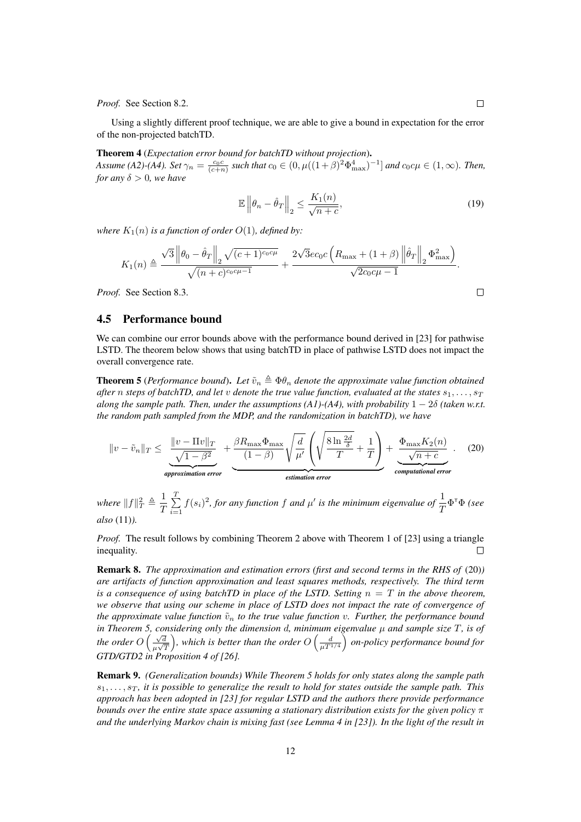*Proof.* See Section 8.2.

Using a slightly different proof technique, we are able to give a bound in expectation for the error of the non-projected batchTD.

## Theorem 4 (*Expectation error bound for batchTD without projection*).

*Assume* (A2)-(A4). Set  $\gamma_n = \frac{c_0 c}{(c+n)}$  such that  $c_0 \in (0, \mu((1+\beta)^2 \Phi_{\max}^4)^{-1}]$  and  $c_0 c \mu \in (1, \infty)$ . Then, *for any*  $\delta > 0$ *, we have* 

$$
\mathbb{E}\left\|\theta_n - \hat{\theta}_T\right\|_2 \le \frac{K_1(n)}{\sqrt{n+c}},\tag{19}
$$

*where*  $K_1(n)$  *is a function of order*  $O(1)$ *, defined by:* 

$$
K_1(n) \triangleq \frac{\sqrt{3} \| \theta_0 - \hat{\theta}_T \|_2 \sqrt{(c+1)^{c_0 c \mu}}}{\sqrt{(n+c)^{c_0 c \mu - 1}}} + \frac{2\sqrt{3} e c_0 c \left( R_{\max} + (1+\beta) \left\| \hat{\theta}_T \right\|_2 \Phi_{\max}^2 \right)}{\sqrt{2 c_0 c \mu - 1}}.
$$

*Proof.* See Section 8.3.

## 4.5 Performance bound

We can combine our error bounds above with the performance bound derived in [23] for pathwise LSTD. The theorem below shows that using batchTD in place of pathwise LSTD does not impact the overall convergence rate.

**Theorem 5** (*Performance bound*). Let  $\tilde{v}_n \triangleq \Phi \theta_n$  denote the approximate value function obtained *after* n *steps of batchTD, and let* v *denote the true value function, evaluated at the states*  $s_1, \ldots, s_T$ *along the sample path. Then, under the assumptions (A1)-(A4), with probability*  $1 - 2\delta$  *(taken w.r.t. the random path sampled from the MDP, and the randomization in batchTD), we have*

$$
||v - \tilde{v}_n||_T \le \underbrace{\frac{||v - \Pi v||_T}{\sqrt{1 - \beta^2}}}_{\text{approximation error}} + \underbrace{\frac{\beta R_{\text{max}} \Phi_{\text{max}}}{(1 - \beta)} \sqrt{\frac{d}{\mu'}} \left( \sqrt{\frac{8 \ln \frac{2d}{\delta}}{T}} + \frac{1}{T} \right)}_{\text{estimation error}} + \underbrace{\frac{\Phi_{\text{max}} K_2(n)}{\sqrt{n + c}}}_{\text{computational error}}.
$$
 (20)

where  $||f||_T^2 \triangleq \frac{1}{T}$  $\frac{1}{T}\sum_{i=1}^{T}$  $\sum_{i=1}^{T} f(s_i)^2$ , for any function f and  $\mu'$  is the minimum eigenvalue of  $\frac{1}{T} \Phi^{\mathsf{T}} \Phi$  (see *also* (11)*).*

*Proof.* The result follows by combining Theorem 2 above with Theorem 1 of [23] using a triangle inequality.  $\Box$ 

Remark 8. *The approximation and estimation errors (first and second terms in the RHS of* (20)*) are artifacts of function approximation and least squares methods, respectively. The third term is a consequence of using batchTD in place of the LSTD. Setting*  $n = T$  *in the above theorem, we observe that using our scheme in place of LSTD does not impact the rate of convergence of the approximate value function*  $\tilde{v}_n$  *to the true value function v. Further, the performance bound in Theorem 5, considering only the dimension* d*, minimum eigenvalue* µ *and sample size* T*, is of the order*  $O\left(\frac{\sqrt{d}}{\sqrt{d}}\right)$  $\frac{1}{\mu\sqrt{T}}$ ), which is better than the order  $O\left(\frac{d}{\mu T^{1/4}}\right)$  on-policy performance bound for *GTD/GTD2 in Proposition 4 of [26].*

Remark 9. *(Generalization bounds) While Theorem 5 holds for only states along the sample path*  $s_1, \ldots, s_T$ , it is possible to generalize the result to hold for states outside the sample path. This *approach has been adopted in [23] for regular LSTD and the authors there provide performance bounds over the entire state space assuming a stationary distribution exists for the given policy* π *and the underlying Markov chain is mixing fast (see Lemma 4 in [23]). In the light of the result in*

 $\Box$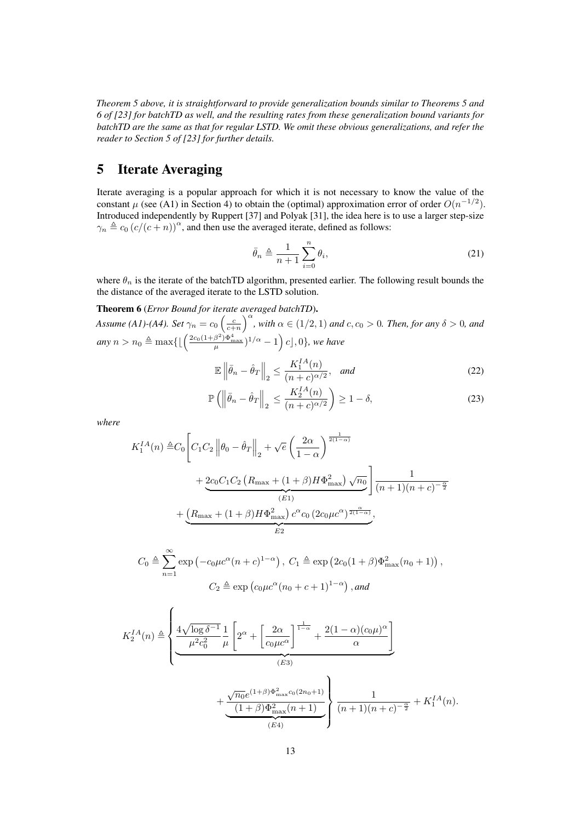*Theorem 5 above, it is straightforward to provide generalization bounds similar to Theorems 5 and 6 of [23] for batchTD as well, and the resulting rates from these generalization bound variants for batchTD are the same as that for regular LSTD. We omit these obvious generalizations, and refer the reader to Section 5 of [23] for further details.*

## 5 Iterate Averaging

Iterate averaging is a popular approach for which it is not necessary to know the value of the constant  $\mu$  (see (A1) in Section 4) to obtain the (optimal) approximation error of order  $O(n^{-1/2})$ . Introduced independently by Ruppert [37] and Polyak [31], the idea here is to use a larger step-size  $\gamma_n \triangleq c_0 \left( \frac{c}{(c + n)} \right)^{\alpha}$ , and then use the averaged iterate, defined as follows:

$$
\bar{\theta}_n \triangleq \frac{1}{n+1} \sum_{i=0}^n \theta_i,\tag{21}
$$

where  $\theta_n$  is the iterate of the batchTD algorithm, presented earlier. The following result bounds the the distance of the averaged iterate to the LSTD solution.

## Theorem 6 (*Error Bound for iterate averaged batchTD*).

*Assume* (*A1*)-(*A4*). Set  $\gamma_n = c_0 \left(\frac{c}{c+n}\right)^{\alpha}$ , with  $\alpha \in (1/2, 1)$  and  $c, c_0 > 0$ . Then, for any  $\delta > 0$ , and  $any\ n > n_0 \triangleq \max\{\lfloor\left(\frac{2c_0(1+\beta^2)\Phi_{\max}^4}{\mu})^{1/\alpha} - 1\right)c\rfloor, 0\}$ , we have

$$
\mathbb{E}\left\|\bar{\theta}_n - \hat{\theta}_T\right\|_2 \le \frac{K_1^{IA}(n)}{(n+c)^{\alpha/2}}, \quad \text{and} \tag{22}
$$

$$
\mathbb{P}\left(\left\|\bar{\theta}_n - \hat{\theta}_T\right\|_2 \le \frac{K_2^{IA}(n)}{(n+c)^{\alpha/2}} \right) \ge 1-\delta,\tag{23}
$$

*where*

$$
K_1^{IA}(n) \triangleq C_0 \left[ C_1 C_2 \left\| \theta_0 - \hat{\theta}_T \right\|_2 + \sqrt{e} \left( \frac{2\alpha}{1-\alpha} \right)^{\frac{1}{2(1-\alpha)}}
$$
  
+ 
$$
\underbrace{2c_0 C_1 C_2 \left( R_{\text{max}} + (1+\beta) H \Phi_{\text{max}}^2 \right) \sqrt{n_0}}_{(E1)} \right] \frac{1}{(n+1)(n+c)^{-\frac{\alpha}{2}}}
$$
  
+ 
$$
\underbrace{\left( R_{\text{max}} + (1+\beta) H \Phi_{\text{max}}^2 \right) c^{\alpha} c_0 \left( 2c_0 \mu c^{\alpha} \right)^{\frac{\alpha}{2(1-\alpha)}}}_{E2},
$$
  

$$
C_0 \triangleq \sum_{n=1}^{\infty} \exp \left( -c_0 \mu c^{\alpha} (n+c)^{1-\alpha} \right), C_1 \triangleq \exp \left( 2c_0 (1+\beta) \Phi_{\text{max}}^2 (n_0+1) \right),
$$
  

$$
C_2 \triangleq \exp \left( c_0 \mu c^{\alpha} (n_0+c+1)^{1-\alpha} \right), \text{and}
$$
  

$$
K_2^{IA}(n) \triangleq \left\{ \underbrace{4\sqrt{\log \delta^{-1} 1}_{\mu^2 c_0^2} \frac{1}{\mu} \left[ 2^{\alpha} + \left[ \frac{2\alpha}{c_0 \mu c^{\alpha}} \right]^{\frac{1}{1-\alpha}} + \frac{2(1-\alpha)(c_0 \mu)^{\alpha}}{\alpha} \right] \right.}_{(E3)}
$$
  
+ 
$$
\underbrace{\frac{\sqrt{n_0} e^{(1+\beta)\Phi_{\text{max}}^2 c_0 (2n_0+1)}}_{(E4)} \right\} \frac{1}{(n+1)(n+c)^{-\frac{\alpha}{2}}} + K_1^{IA}(n).
$$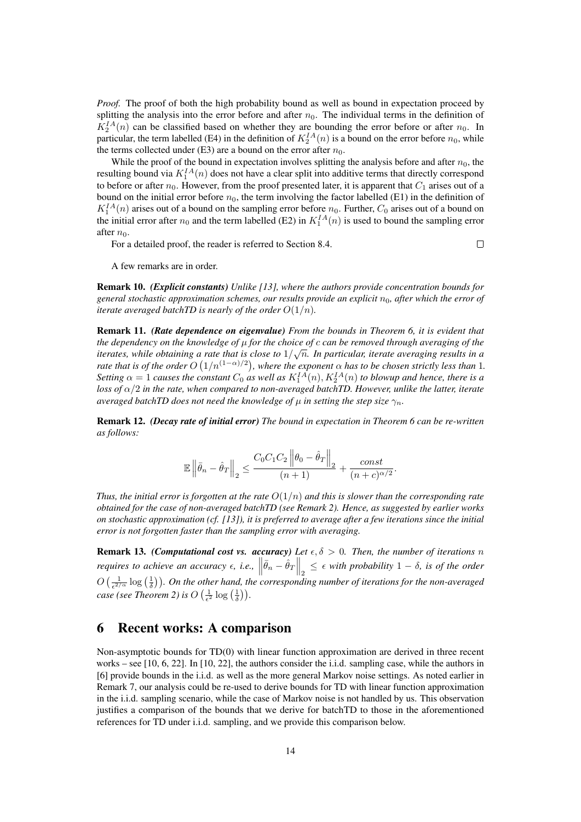*Proof.* The proof of both the high probability bound as well as bound in expectation proceed by splitting the analysis into the error before and after  $n_0$ . The individual terms in the definition of  $K_2^{IA}(n)$  can be classified based on whether they are bounding the error before or after  $n_0$ . In particular, the term labelled (E4) in the definition of  $K_2^{IA}(n)$  is a bound on the error before  $n_0$ , while the terms collected under (E3) are a bound on the error after  $n_0$ .

While the proof of the bound in expectation involves splitting the analysis before and after  $n_0$ , the resulting bound via  $K_1^{IA}(n)$  does not have a clear split into additive terms that directly correspond to before or after  $n_0$ . However, from the proof presented later, it is apparent that  $C_1$  arises out of a bound on the initial error before  $n_0$ , the term involving the factor labelled (E1) in the definition of  $K_1^{IA}(n)$  arises out of a bound on the sampling error before  $n_0$ . Further,  $C_0$  arises out of a bound on the initial error after  $n_0$  and the term labelled (E2) in  $K_1^{IA}(n)$  is used to bound the sampling error after  $n_0$ .

For a detailed proof, the reader is referred to Section 8.4.

 $\Box$ 

A few remarks are in order.

Remark 10. *(Explicit constants) Unlike [13], where the authors provide concentration bounds for general stochastic approximation schemes, our results provide an explicit*  $n_0$ , after which the error of *iterate averaged batchTD is nearly of the order*  $O(1/n)$ *.* 

Remark 11. *(Rate dependence on eigenvalue) From the bounds in Theorem 6, it is evident that the dependency on the knowledge of* µ *for the choice of* c *can be removed through averaging of the iterates, while obtaining a rate that is close to* 1/ √ n*. In particular, iterate averaging results in a rate that is of the order*  $O(1/n^{(1-\alpha)/2})$ , where the exponent  $\alpha$  has to be chosen strictly less than 1. Setting  $\alpha = 1$  causes the constant  $C_0$  as well as  $K_1^{IA}(n)$ ,  $K_2^{IA}(n)$  to blowup and hence, there is a *loss of* α/2 *in the rate, when compared to non-averaged batchTD. However, unlike the latter, iterate averaged batchTD does not need the knowledge of*  $\mu$  *in setting the step size*  $\gamma_n$ *.* 

Remark 12. *(Decay rate of initial error) The bound in expectation in Theorem 6 can be re-written as follows:*

$$
\mathbb{E}\left\|\bar{\theta}_n-\hat{\theta}_T\right\|_2 \le \frac{C_0C_1C_2\left\|\theta_0-\hat{\theta}_T\right\|_2}{(n+1)}+\frac{const}{(n+c)^{\alpha/2}}.
$$

*Thus, the initial error is forgotten at the rate*  $O(1/n)$  *and this is slower than the corresponding rate obtained for the case of non-averaged batchTD (see Remark 2). Hence, as suggested by earlier works on stochastic approximation (cf. [13]), it is preferred to average after a few iterations since the initial error is not forgotten faster than the sampling error with averaging.*

**Remark 13.** *(Computational cost vs. accuracy) Let*  $\epsilon, \delta > 0$ *. Then, the number of iterations n requires to achieve an accuracy*  $\epsilon$ , *i.e.*,  $\left\|\bar{\theta}_n - \hat{\theta}_T\right\|_2 \leq \epsilon$  with probability  $1 - \delta$ , *is of the order*  $O\left(\frac{1}{\epsilon^{2/\alpha}}\log\left(\frac{1}{\delta}\right)\right)$ . On the other hand, the corresponding number of iterations for the non-averaged *case (see Theorem 2) is*  $O\left(\frac{1}{\epsilon^2} \log\left(\frac{1}{\delta}\right)\right)$ *.* 

## 6 Recent works: A comparison

Non-asymptotic bounds for TD(0) with linear function approximation are derived in three recent works – see [10, 6, 22]. In [10, 22], the authors consider the i.i.d. sampling case, while the authors in [6] provide bounds in the i.i.d. as well as the more general Markov noise settings. As noted earlier in Remark 7, our analysis could be re-used to derive bounds for TD with linear function approximation in the i.i.d. sampling scenario, while the case of Markov noise is not handled by us. This observation justifies a comparison of the bounds that we derive for batchTD to those in the aforementioned references for TD under i.i.d. sampling, and we provide this comparison below.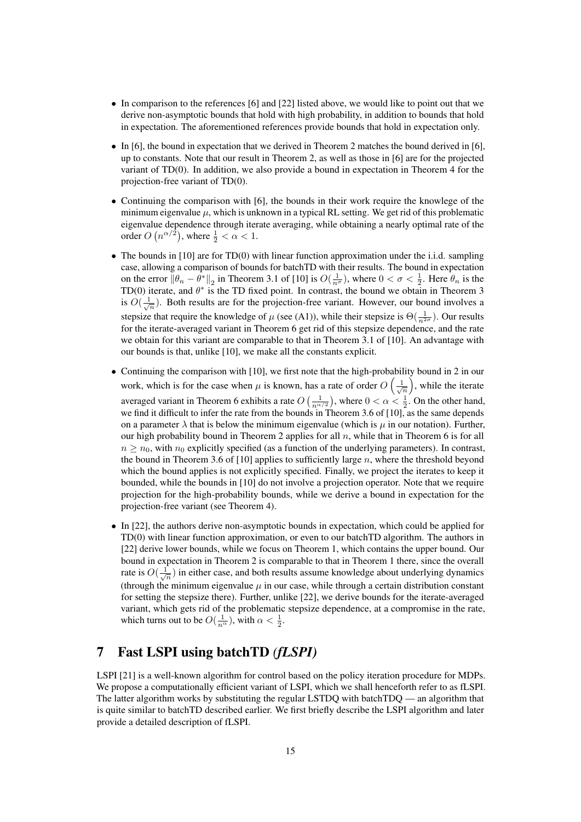- In comparison to the references [6] and [22] listed above, we would like to point out that we derive non-asymptotic bounds that hold with high probability, in addition to bounds that hold in expectation. The aforementioned references provide bounds that hold in expectation only.
- In [6], the bound in expectation that we derived in Theorem 2 matches the bound derived in [6], up to constants. Note that our result in Theorem 2, as well as those in [6] are for the projected variant of TD(0). In addition, we also provide a bound in expectation in Theorem 4 for the projection-free variant of TD(0).
- Continuing the comparison with [6], the bounds in their work require the knowlege of the minimum eigenvalue  $\mu$ , which is unknown in a typical RL setting. We get rid of this problematic eigenvalue dependence through iterate averaging, while obtaining a nearly optimal rate of the order  $O(n^{\alpha/2})$ , where  $\frac{1}{2} < \alpha < 1$ .
- The bounds in [10] are for TD(0) with linear function approximation under the i.i.d. sampling case, allowing a comparison of bounds for batchTD with their results. The bound in expectation on the error  $\|\theta_n - \theta^*\|_2$  in Theorem 3.1 of [10] is  $O(\frac{1}{n^{\sigma}})$ , where  $0 < \sigma < \frac{1}{2}$ . Here  $\theta_n$  is the TD(0) iterate, and  $\theta^*$  is the TD fixed point. In contrast, the bound we obtain in Theorem 3 is  $O(\frac{1}{\sqrt{n}})$ . Both results are for the projection-free variant. However, our bound involves a stepsize that require the knowledge of  $\mu$  (see (A1)), while their stepsize is  $\Theta(\frac{1}{n^{2\sigma}})$ . Our results for the iterate-averaged variant in Theorem 6 get rid of this stepsize dependence, and the rate we obtain for this variant are comparable to that in Theorem 3.1 of [10]. An advantage with our bounds is that, unlike [10], we make all the constants explicit.
- Continuing the comparison with [10], we first note that the high-probability bound in 2 in our work, which is for the case when  $\mu$  is known, has a rate of order  $O\left(\frac{1}{\sqrt{n}}\right)$ , while the iterate averaged variant in Theorem 6 exhibits a rate  $O\left(\frac{1}{n^{\alpha/2}}\right)$ , where  $0 < \alpha < \frac{1}{2}$ . On the other hand, we find it difficult to infer the rate from the bounds in Theorem 3.6 of [10], as the same depends on a parameter  $\lambda$  that is below the minimum eigenvalue (which is  $\mu$  in our notation). Further, our high probability bound in Theorem 2 applies for all  $n$ , while that in Theorem 6 is for all  $n \geq n_0$ , with  $n_0$  explicitly specified (as a function of the underlying parameters). In contrast, the bound in Theorem 3.6 of  $[10]$  applies to sufficiently large n, where the threshold beyond which the bound applies is not explicitly specified. Finally, we project the iterates to keep it bounded, while the bounds in [10] do not involve a projection operator. Note that we require projection for the high-probability bounds, while we derive a bound in expectation for the projection-free variant (see Theorem 4).
- In [22], the authors derive non-asymptotic bounds in expectation, which could be applied for TD(0) with linear function approximation, or even to our batchTD algorithm. The authors in [22] derive lower bounds, while we focus on Theorem 1, which contains the upper bound. Our bound in expectation in Theorem 2 is comparable to that in Theorem 1 there, since the overall rate is  $O(\frac{1}{\sqrt{n}})$  in either case, and both results assume knowledge about underlying dynamics (through the minimum eigenvalue  $\mu$  in our case, while through a certain distribution constant for setting the stepsize there). Further, unlike [22], we derive bounds for the iterate-averaged variant, which gets rid of the problematic stepsize dependence, at a compromise in the rate, which turns out to be  $O(\frac{1}{n^{\alpha}})$ , with  $\alpha < \frac{1}{2}$ .

## 7 Fast LSPI using batchTD *(fLSPI)*

LSPI [21] is a well-known algorithm for control based on the policy iteration procedure for MDPs. We propose a computationally efficient variant of LSPI, which we shall henceforth refer to as fLSPI. The latter algorithm works by substituting the regular LSTDQ with batchTDQ — an algorithm that is quite similar to batchTD described earlier. We first briefly describe the LSPI algorithm and later provide a detailed description of fLSPI.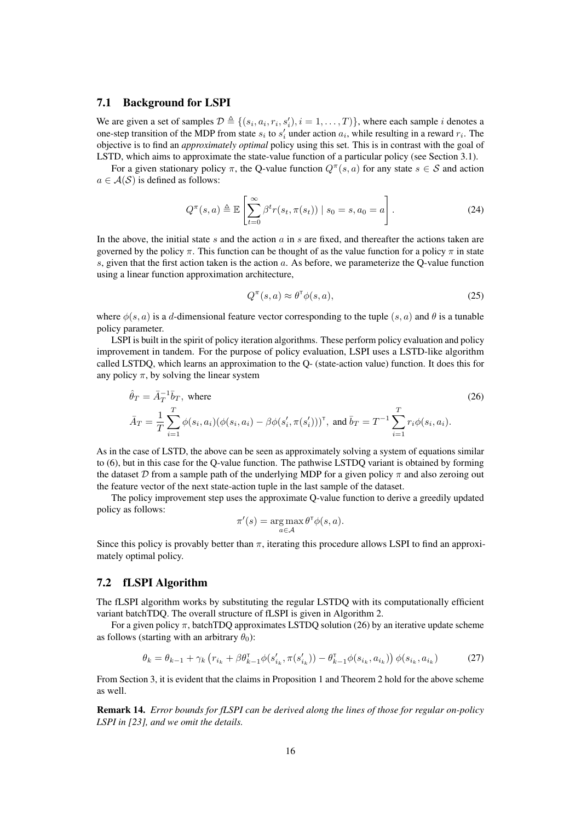## 7.1 Background for LSPI

We are given a set of samples  $\mathcal{D} \triangleq \{(s_i, a_i, r_i, s'_i), i = 1, ..., T)\}$ , where each sample *i* denotes a one-step transition of the MDP from state  $s_i$  to  $s'_i$  under action  $a_i$ , while resulting in a reward  $r_i$ . The objective is to find an *approximately optimal* policy using this set. This is in contrast with the goal of LSTD, which aims to approximate the state-value function of a particular policy (see Section 3.1).

For a given stationary policy  $\pi$ , the Q-value function  $Q^{\pi}(s, a)$  for any state  $s \in S$  and action  $a \in \mathcal{A}(\mathcal{S})$  is defined as follows:

$$
Q^{\pi}(s, a) \triangleq \mathbb{E}\left[\sum_{t=0}^{\infty} \beta^t r(s_t, \pi(s_t)) \mid s_0 = s, a_0 = a\right].
$$
 (24)

In the above, the initial state s and the action  $a$  in s are fixed, and thereafter the actions taken are governed by the policy  $\pi$ . This function can be thought of as the value function for a policy  $\pi$  in state s, given that the first action taken is the action a. As before, we parameterize the O-value function using a linear function approximation architecture,

$$
Q^{\pi}(s, a) \approx \theta^{\tau} \phi(s, a), \tag{25}
$$

where  $\phi(s, a)$  is a d-dimensional feature vector corresponding to the tuple  $(s, a)$  and  $\theta$  is a tunable policy parameter.

LSPI is built in the spirit of policy iteration algorithms. These perform policy evaluation and policy improvement in tandem. For the purpose of policy evaluation, LSPI uses a LSTD-like algorithm called LSTDQ, which learns an approximation to the Q- (state-action value) function. It does this for any policy  $\pi$ , by solving the linear system

$$
\hat{\theta}_T = \bar{A}_T^{-1} \bar{b}_T, \text{ where}
$$
\n
$$
\bar{A}_T = \frac{1}{T} \sum_{i=1}^T \phi(s_i, a_i) (\phi(s_i, a_i) - \beta \phi(s'_i, \pi(s'_i)))^\mathsf{T}, \text{ and } \bar{b}_T = T^{-1} \sum_{i=1}^T r_i \phi(s_i, a_i).
$$
\n(26)

As in the case of LSTD, the above can be seen as approximately solving a system of equations similar to (6), but in this case for the Q-value function. The pathwise LSTDQ variant is obtained by forming the dataset  $\mathcal D$  from a sample path of the underlying MDP for a given policy  $\pi$  and also zeroing out the feature vector of the next state-action tuple in the last sample of the dataset.

The policy improvement step uses the approximate Q-value function to derive a greedily updated policy as follows:

$$
\pi'(s) = \underset{a \in \mathcal{A}}{\arg \max} \, \theta^{\mathsf{T}} \phi(s, a).
$$

Since this policy is provably better than  $\pi$ , iterating this procedure allows LSPI to find an approximately optimal policy.

## 7.2 fLSPI Algorithm

The fLSPI algorithm works by substituting the regular LSTDQ with its computationally efficient variant batchTDQ. The overall structure of fLSPI is given in Algorithm 2.

For a given policy  $\pi$ , batchTDQ approximates LSTDQ solution (26) by an iterative update scheme as follows (starting with an arbitrary  $\theta_0$ ):

$$
\theta_k = \theta_{k-1} + \gamma_k \left( r_{i_k} + \beta \theta_{k-1}^\mathsf{T} \phi(s_{i_k}', \pi(s_{i_k}')) - \theta_{k-1}^\mathsf{T} \phi(s_{i_k}, a_{i_k}) \right) \phi(s_{i_k}, a_{i_k}) \tag{27}
$$

From Section 3, it is evident that the claims in Proposition 1 and Theorem 2 hold for the above scheme as well.

Remark 14. *Error bounds for fLSPI can be derived along the lines of those for regular on-policy LSPI in [23], and we omit the details.*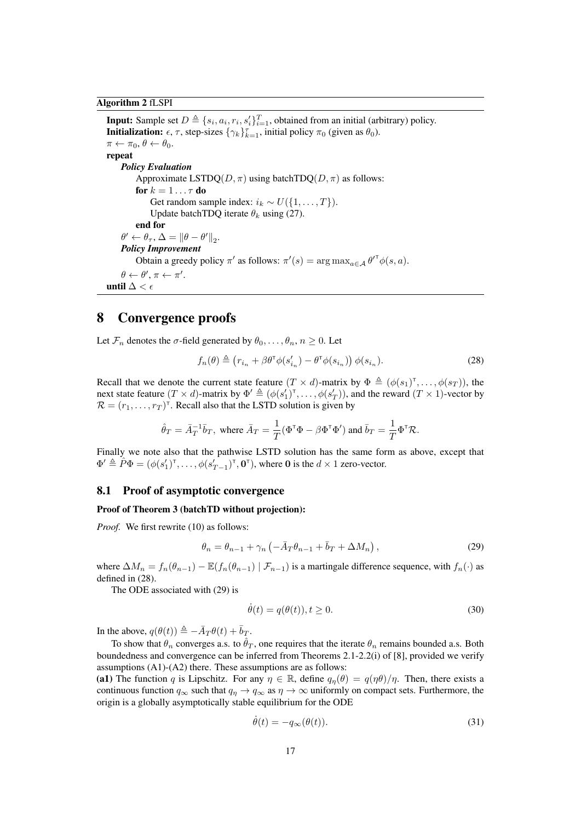## Algorithm 2 fLSPI

**Input:** Sample set  $D \triangleq \{s_i, a_i, r_i, s'_i\}_{i=1}^T$ , obtained from an initial (arbitrary) policy. **Initialization:**  $\epsilon$ ,  $\tau$ , step-sizes  $\{\gamma_k\}_{k=1}^{\tau}$ , initial policy  $\pi_0$  (given as  $\theta_0$ ).  $\pi \leftarrow \pi_0, \theta \leftarrow \theta_0.$ repeat *Policy Evaluation* Approximate LSTDO( $D, \pi$ ) using batchTDO( $D, \pi$ ) as follows: for  $k = 1 \ldots \tau$  do Get random sample index:  $i_k \sim U({1, \ldots, T})$ . Update batchTDQ iterate  $\theta_k$  using (27). end for  $\theta' \leftarrow \theta_{\tau}, \Delta = {\|\theta - \theta'\|}_2.$ *Policy Improvement* Obtain a greedy policy  $\pi'$  as follows:  $\pi'(s) = \arg \max_{a \in \mathcal{A}} \theta^{\tau \tau} \phi(s, a)$ .  $\theta \leftarrow \theta', \pi \leftarrow \pi'.$ until  $\Delta < \epsilon$ 

## 8 Convergence proofs

Let  $\mathcal{F}_n$  denotes the  $\sigma$ -field generated by  $\theta_0, \ldots, \theta_n, n \geq 0$ . Let

$$
f_n(\theta) \triangleq \left(r_{i_n} + \beta \theta^{\mathsf{T}} \phi(s'_{i_n}) - \theta^{\mathsf{T}} \phi(s_{i_n})\right) \phi(s_{i_n}).
$$
\n(28)

Recall that we denote the current state feature  $(T \times d)$ -matrix by  $\Phi \triangleq (\phi(s_1)^{\dagger}, \dots, \phi(s_T))$ , the next state feature  $(T \times d)$ -matrix by  $\Phi' \triangleq (\phi(s'_1)^{\top}, \dots, \phi(s'_T))$ , and the reward  $(T \times 1)$ -vector by  $\mathcal{R} = (r_1, \dots, r_T)^{\mathsf{T}}$ . Recall also that the LSTD solution is given by

$$
\hat{\theta}_T = \bar{A}_T^{-1} \bar{b}_T
$$
, where  $\bar{A}_T = \frac{1}{T} (\Phi^{\mathsf{T}} \Phi - \beta \Phi^{\mathsf{T}} \Phi')$  and  $\bar{b}_T = \frac{1}{T} \Phi^{\mathsf{T}} \mathcal{R}$ .

Finally we note also that the pathwise LSTD solution has the same form as above, except that  $\Phi' \triangleq \hat{P}\Phi = (\phi(s'_1)^{\text{T}}, \dots, \phi(s'_{T-1})^{\text{T}}, \mathbf{0}^{\text{T}})$ , where 0 is the  $d \times 1$  zero-vector.

## 8.1 Proof of asymptotic convergence

### Proof of Theorem 3 (batchTD without projection):

*Proof.* We first rewrite (10) as follows:

$$
\theta_n = \theta_{n-1} + \gamma_n \left( -\bar{A}_T \theta_{n-1} + \bar{b}_T + \Delta M_n \right),\tag{29}
$$

where  $\Delta M_n = f_n(\theta_{n-1}) - \mathbb{E}(f_n(\theta_{n-1}) | \mathcal{F}_{n-1})$  is a martingale difference sequence, with  $f_n(\cdot)$  as defined in (28).

The ODE associated with (29) is

$$
\dot{\theta}(t) = q(\theta(t)), t \ge 0.
$$
\n(30)

In the above,  $q(\theta(t)) \triangleq -\overline{A}_T \theta(t) + \overline{b}_T$ .

To show that  $\theta_n$  converges a.s. to  $\hat{\theta}_T$ , one requires that the iterate  $\theta_n$  remains bounded a.s. Both boundedness and convergence can be inferred from Theorems 2.1-2.2(i) of [8], provided we verify assumptions (A1)-(A2) there. These assumptions are as follows:

(a1) The function q is Lipschitz. For any  $\eta \in \mathbb{R}$ , define  $q_n(\theta) = q(\eta \theta)/\eta$ . Then, there exists a continuous function  $q_{\infty}$  such that  $q_{\eta} \to q_{\infty}$  as  $\eta \to \infty$  uniformly on compact sets. Furthermore, the origin is a globally asymptotically stable equilibrium for the ODE

$$
\dot{\theta}(t) = -q_{\infty}(\theta(t)).\tag{31}
$$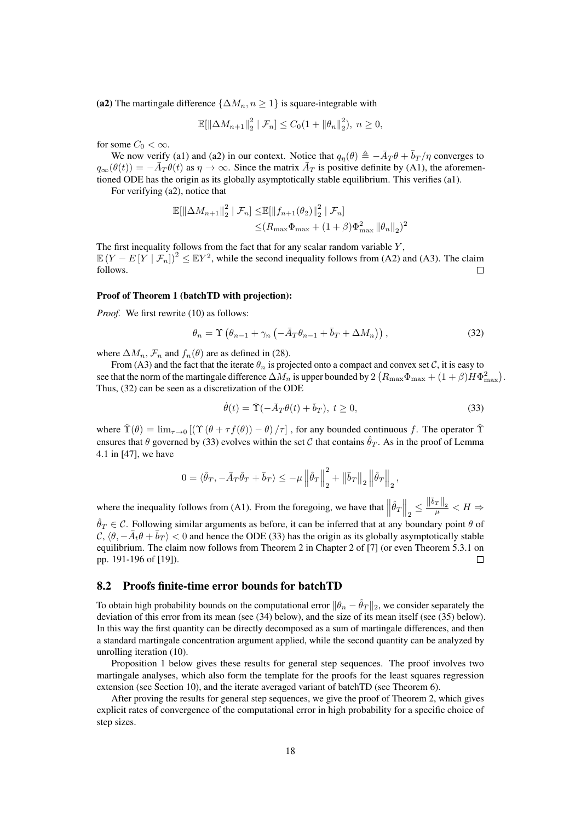(a2) The martingale difference  $\{\Delta M_n, n \geq 1\}$  is square-integrable with

$$
\mathbb{E}[\|\Delta M_{n+1}\|_2^2 \mid \mathcal{F}_n] \le C_0(1 + \|\theta_n\|_2^2), \ n \ge 0,
$$

for some  $C_0 < \infty$ .

We now verify (a1) and (a2) in our context. Notice that  $q_{\eta}(\theta) \triangleq -\bar{A}_T\theta + \bar{b}_T/\eta$  converges to  $q_{\infty}(\theta(t)) = -\overline{A}_T \theta(t)$  as  $\eta \to \infty$ . Since the matrix  $\overline{A}_T$  is positive definite by (A1), the aforementioned ODE has the origin as its globally asymptotically stable equilibrium. This verifies (a1).

For verifying (a2), notice that

$$
\mathbb{E}[\|\Delta M_{n+1}\|_{2}^{2} | \mathcal{F}_{n}] \leq \mathbb{E}[\|f_{n+1}(\theta_{2})\|_{2}^{2} | \mathcal{F}_{n}]
$$
  

$$
\leq (R_{\max}\Phi_{\max} + (1+\beta)\Phi_{\max}^{2} ||\theta_{n}||_{2})^{2}
$$

The first inequality follows from the fact that for any scalar random variable  $Y$ ,  $\mathbb{E}(Y - E[Y | \mathcal{F}_n])^2 \leq \mathbb{E}Y^2$ , while the second inequality follows from (A2) and (A3). The claim follows.  $\Box$ 

#### Proof of Theorem 1 (batchTD with projection):

*Proof.* We first rewrite (10) as follows:

$$
\theta_n = \Upsilon \left( \theta_{n-1} + \gamma_n \left( -\bar{A}_T \theta_{n-1} + \bar{b}_T + \Delta M_n \right) \right),\tag{32}
$$

where  $\Delta M_n$ ,  $\mathcal{F}_n$  and  $f_n(\theta)$  are as defined in (28).

From (A3) and the fact that the iterate  $\theta_n$  is projected onto a compact and convex set C, it is easy to see that the norm of the martingale difference  $\Delta M_n$  is upper bounded by  $2\left(R_{\rm max}\Phi_{\rm max}+(1+\beta)H\Phi_{\rm max}^2\right)$ . Thus, (32) can be seen as a discretization of the ODE

$$
\dot{\theta}(t) = \check{\Upsilon}(-\bar{A}_T\theta(t) + \bar{b}_T), \ t \ge 0,
$$
\n(33)

,

where  $\check{\Upsilon}(\theta) = \lim_{\tau \to 0} [(\Upsilon (\theta + \tau f(\theta)) - \theta)/\tau]$ , for any bounded continuous f. The operator  $\check{\Upsilon}$ ensures that  $\theta$  governed by (33) evolves within the set C that contains  $\hat{\theta}_T$ . As in the proof of Lemma 4.1 in [47], we have

$$
0=\langle\hat{\theta}_{T},-\bar{A}_{T}\hat{\theta}_{T}+\bar{b}_{T}\rangle\leq-\mu\left\Vert \hat{\theta}_{T}\right\Vert _{2}^{2}+\left\Vert \bar{b}_{T}\right\Vert _{2}\left\Vert \hat{\theta}_{T}\right\Vert _{2}
$$

where the inequality follows from (A1). From the foregoing, we have that  $\left\|\hat{\theta}_T\right\|_2 \le \frac{\|\bar{b}_T\|_2}{\mu} < H \Rightarrow$ 

 $\hat{\theta}_T \in \mathcal{C}$ . Following similar arguments as before, it can be inferred that at any boundary point  $\theta$  of  $\mathcal{C}, \langle \theta, -\bar{A}_t\theta + \bar{b}_T \rangle < 0$  and hence the ODE (33) has the origin as its globally asymptotically stable equilibrium. The claim now follows from Theorem 2 in Chapter 2 of [7] (or even Theorem 5.3.1 on pp. 191-196 of [19]).  $\Box$ 

## 8.2 Proofs finite-time error bounds for batchTD

To obtain high probability bounds on the computational error  $\|\theta_n - \hat{\theta}_T\|_2$ , we consider separately the deviation of this error from its mean (see (34) below), and the size of its mean itself (see (35) below). In this way the first quantity can be directly decomposed as a sum of martingale differences, and then a standard martingale concentration argument applied, while the second quantity can be analyzed by unrolling iteration (10).

Proposition 1 below gives these results for general step sequences. The proof involves two martingale analyses, which also form the template for the proofs for the least squares regression extension (see Section 10), and the iterate averaged variant of batchTD (see Theorem 6).

After proving the results for general step sequences, we give the proof of Theorem 2, which gives explicit rates of convergence of the computational error in high probability for a specific choice of step sizes.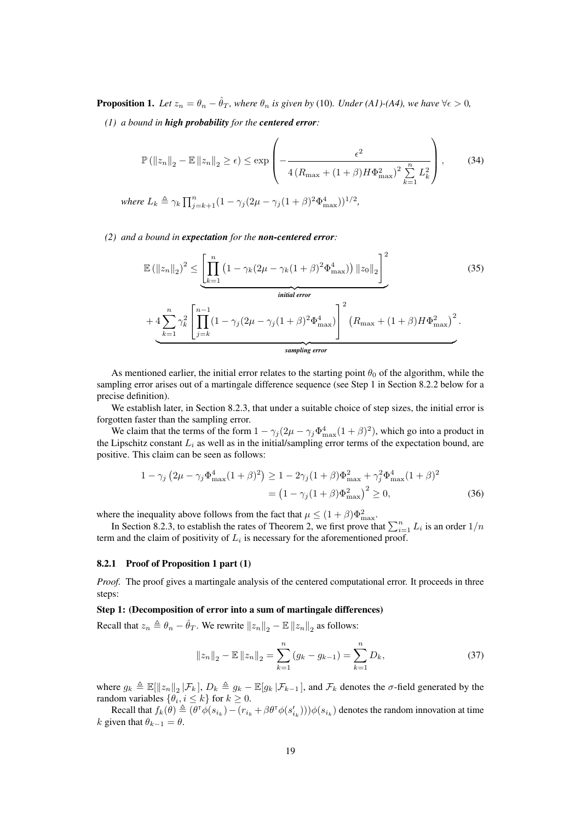**Proposition 1.** Let  $z_n = \theta_n - \hat{\theta}_T$ , where  $\theta_n$  is given by (10). Under (A1)-(A4), we have  $\forall \epsilon > 0$ ,

*(1) a bound in high probability for the centered error:*

$$
\mathbb{P}\left(\left\|z_{n}\right\|_{2} - \mathbb{E}\left\|z_{n}\right\|_{2} \geq \epsilon\right) \leq \exp\left(-\frac{\epsilon^{2}}{4\left(R_{\max} + (1+\beta)H\Phi_{\max}^{2}\right)^{2}\sum_{k=1}^{n}L_{k}^{2}}\right),\tag{34}
$$
\n
$$
\text{Re}\ L_{k} \triangleq \gamma_{k}\prod_{k=1}^{n} \gamma_{k}\left(1 - \gamma_{k}(2\mu - \gamma_{k}(1+\beta)^{2}\Phi^{4} - 1)\right)^{1/2}
$$

*where*  $L_k \triangleq \gamma_k \prod_{j=k+1}^n (1 - \gamma_j (2\mu - \gamma_j (1+\beta)^2 \Phi_{\text{max}}^4))^{1/2}$ ,

*(2) and a bound in expectation for the non-centered error:*

$$
\mathbb{E}\left(\left\|z_{n}\right\|_{2}\right)^{2} \leq \underbrace{\left[\prod_{k=1}^{n}\left(1-\gamma_{k}(2\mu-\gamma_{k}(1+\beta)^{2}\Phi_{\max}^{4})\right)\left\|z_{0}\right\|_{2}\right]^{2}}_{initial\ error} + 4 \underbrace{\sum_{k=1}^{n} \gamma_{k}^{2} \left[\prod_{j=k}^{n-1}\left(1-\gamma_{j}(2\mu-\gamma_{j}(1+\beta)^{2}\Phi_{\max}^{4})\right]^{2}\left(R_{\max}+(1+\beta)H\Phi_{\max}^{2}\right)^{2}\right]}_{sampling\ error}.
$$
\n(35)

As mentioned earlier, the initial error relates to the starting point  $\theta_0$  of the algorithm, while the sampling error arises out of a martingale difference sequence (see Step 1 in Section 8.2.2 below for a precise definition).

We establish later, in Section 8.2.3, that under a suitable choice of step sizes, the initial error is forgotten faster than the sampling error.

We claim that the terms of the form  $1 - \gamma_j (2\mu - \gamma_j \Phi_{\text{max}}^4 (1+\beta)^2)$ , which go into a product in the Lipschitz constant  $L_i$  as well as in the initial/sampling error terms of the expectation bound, are positive. This claim can be seen as follows:

$$
1 - \gamma_j \left( 2\mu - \gamma_j \Phi_{\text{max}}^4 (1+\beta)^2 \right) \ge 1 - 2\gamma_j (1+\beta) \Phi_{\text{max}}^2 + \gamma_j^2 \Phi_{\text{max}}^4 (1+\beta)^2
$$
  
=  $\left( 1 - \gamma_j (1+\beta) \Phi_{\text{max}}^2 \right)^2 \ge 0$ , (36)

where the inequality above follows from the fact that  $\mu \leq (1 + \beta)\Phi_{\text{max}}^2$ .

In Section 8.2.3, to establish the rates of Theorem 2, we first prove that  $\sum_{i=1}^{n} L_i$  is an order  $1/n$ term and the claim of positivity of  $L_i$  is necessary for the aforementioned proof.

### 8.2.1 Proof of Proposition 1 part (1)

*Proof.* The proof gives a martingale analysis of the centered computational error. It proceeds in three steps:

#### Step 1: (Decomposition of error into a sum of martingale differences)

Recall that  $z_n \triangleq \theta_n - \hat{\theta}_T$ . We rewrite  $||z_n||_2 - \mathbb{E} ||z_n||_2$  as follows:

$$
||z_n||_2 - \mathbb{E} ||z_n||_2 = \sum_{k=1}^n (g_k - g_{k-1}) = \sum_{k=1}^n D_k,
$$
\n(37)

where  $g_k \triangleq \mathbb{E}[\Vert z_n \Vert_2 | \mathcal{F}_k]$ ,  $D_k \triangleq g_k - \mathbb{E}[g_k | \mathcal{F}_{k-1}]$ , and  $\mathcal{F}_k$  denotes the  $\sigma$ -field generated by the random variables  $\{\theta_i, i \leq k\}$  for  $k \geq 0$ .

Recall that  $f_k(\theta) \triangleq (\theta^{\intercal} \phi(s_{i_k}) - (r_{i_k} + \beta \theta^{\intercal} \phi(s'_{i_k}))) \phi(s_{i_k})$  denotes the random innovation at time k given that  $\theta_{k-1} = \theta$ .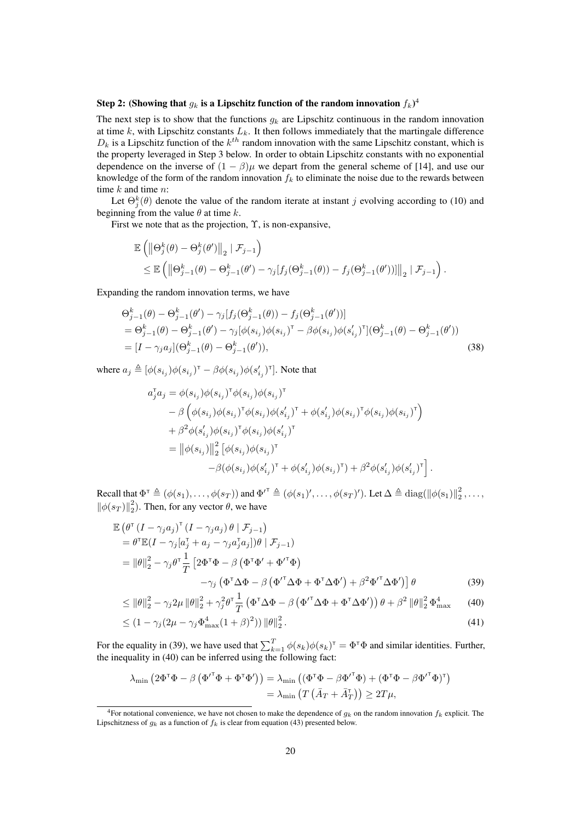## Step 2: (Showing that  $g_k$  is a Lipschitz function of the random innovation  $f_k)^4$

The next step is to show that the functions  $g_k$  are Lipschitz continuous in the random innovation at time k, with Lipschitz constants  $L_k$ . It then follows immediately that the martingale difference  $D_k$  is a Lipschitz function of the  $k^{th}$  random innovation with the same Lipschitz constant, which is the property leveraged in Step 3 below. In order to obtain Lipschitz constants with no exponential dependence on the inverse of  $(1 - \beta)\mu$  we depart from the general scheme of [14], and use our knowledge of the form of the random innovation  $f_k$  to eliminate the noise due to the rewards between time  $k$  and time  $n$ :

Let  $\Theta_j^k(\theta)$  denote the value of the random iterate at instant j evolving according to (10) and beginning from the value  $\theta$  at time k.

First we note that as the projection,  $\Upsilon$ , is non-expansive,

$$
\mathbb{E} \left( \left\| \Theta_j^k(\theta) - \Theta_j^k(\theta') \right\|_2 \mid \mathcal{F}_{j-1} \right) \n\leq \mathbb{E} \left( \left\| \Theta_{j-1}^k(\theta) - \Theta_{j-1}^k(\theta') - \gamma_j[f_j(\Theta_{j-1}^k(\theta)) - f_j(\Theta_{j-1}^k(\theta'))] \right\|_2 \mid \mathcal{F}_{j-1} \right).
$$

Expanding the random innovation terms, we have

$$
\Theta_{j-1}^{k}(\theta) - \Theta_{j-1}^{k}(\theta') - \gamma_{j}[f_{j}(\Theta_{j-1}^{k}(\theta)) - f_{j}(\Theta_{j-1}^{k}(\theta'))]
$$
\n
$$
= \Theta_{j-1}^{k}(\theta) - \Theta_{j-1}^{k}(\theta') - \gamma_{j}[\phi(s_{i_{j}})\phi(s_{i_{j}})^{\top} - \beta\phi(s_{i_{j}})\phi(s'_{i_{j}})^{\top}](\Theta_{j-1}^{k}(\theta) - \Theta_{j-1}^{k}(\theta'))
$$
\n
$$
= [I - \gamma_{j}a_{j}](\Theta_{j-1}^{k}(\theta) - \Theta_{j-1}^{k}(\theta')), \qquad (38)
$$

where  $a_j \triangleq [\phi(s_{i_j})\phi(s_{i_j})^{\dagger} - \beta\phi(s_{i_j})\phi(s'_{i_j})^{\dagger}]$ . Note that

$$
a_j^{\mathsf{T}} a_j = \phi(s_{i_j}) \phi(s_{i_j})^{\mathsf{T}} \phi(s_{i_j}) \phi(s_{i_j})^{\mathsf{T}}
$$
  
\n
$$
- \beta \left( \phi(s_{i_j}) \phi(s_{i_j})^{\mathsf{T}} \phi(s_{i_j}) \phi(s'_{i_j})^{\mathsf{T}} + \phi(s'_{i_j}) \phi(s_{i_j})^{\mathsf{T}} \phi(s_{i_j}) \phi(s_{i_j})^{\mathsf{T}} \right)
$$
  
\n
$$
+ \beta^2 \phi(s'_{i_j}) \phi(s_{i_j})^{\mathsf{T}} \phi(s_{i_j}) \phi(s'_{i_j})^{\mathsf{T}}
$$
  
\n
$$
= ||\phi(s_{i_j})||_2^2 [\phi(s_{i_j}) \phi(s_{i_j})^{\mathsf{T}}
$$
  
\n
$$
- \beta (\phi(s_{i_j}) \phi(s'_{i_j})^{\mathsf{T}} + \phi(s'_{i_j}) \phi(s_{i_j})^{\mathsf{T}}) + \beta^2 \phi(s'_{i_j}) \phi(s'_{i_j})^{\mathsf{T}}].
$$

Recall that  $\Phi^{\dagger} \triangleq (\phi(s_1), \ldots, \phi(s_T))$  and  $\Phi^{\dagger} \triangleq (\phi(s_1)', \ldots, \phi(s_T)')$ . Let  $\Delta \triangleq \text{diag}(\|\phi(s_1)\|_2^2, \ldots,$  $\|\phi(s_T)\|_2^2$ ). Then, for any vector  $\theta$ , we have

$$
\mathbb{E} \left( \theta^{\mathsf{T}} \left( I - \gamma_j a_j \right)^{\mathsf{T}} \left( I - \gamma_j a_j \right) \theta \mid \mathcal{F}_{j-1} \right) \n= \theta^{\mathsf{T}} \mathbb{E} \left( I - \gamma_j [a_j^{\mathsf{T}} + a_j - \gamma_j a_j^{\mathsf{T}} a_j] \right) \theta \mid \mathcal{F}_{j-1} \right) \n= \|\theta\|_2^2 - \gamma_j \theta^{\mathsf{T}} \frac{1}{T} \left[ 2 \Phi^{\mathsf{T}} \Phi - \beta \left( \Phi^{\mathsf{T}} \Phi' + {\Phi'}^{\mathsf{T}} \Phi \right) \n- \gamma_j \left( \Phi^{\mathsf{T}} \Delta \Phi - \beta \left( {\Phi'}^{\mathsf{T}} \Delta \Phi + {\Phi}^{\mathsf{T}} \Delta {\Phi'} \right) + \beta^2 {\Phi'}^{\mathsf{T}} \Delta {\Phi'} \right) \right] \theta
$$
\n(39)

$$
\leq \|\theta\|_{2}^{2} - \gamma_{j}2\mu\|\theta\|_{2}^{2} + \gamma_{j}^{2}\theta^{\mathsf{T}}\frac{1}{T}\left(\Phi^{\mathsf{T}}\Delta\Phi - \beta\left(\Phi^{\mathsf{T}}\Delta\Phi + \Phi^{\mathsf{T}}\Delta\Phi^{\mathsf{T}}\right)\right)\theta + \beta^{2}\|\theta\|_{2}^{2}\Phi_{\max}^{4} \tag{40}
$$

$$
\leq (1 - \gamma_j (2\mu - \gamma_j \Phi_{\text{max}}^4 (1 + \beta)^2)) ||\theta||_2^2.
$$
 (41)

For the equality in (39), we have used that  $\sum_{k=1}^{T} \phi(s_k) \phi(s_k)^{\dagger} = \Phi^{\dagger} \Phi$  and similar identities. Further, the inequality in (40) can be inferred using the following fact:

$$
\lambda_{\min} \left( 2 \Phi^{\mathsf{T}} \Phi - \beta \left( \Phi^{\mathsf{T}} \Phi + \Phi^{\mathsf{T}} \Phi^{\mathsf{T}} \right) \right) = \lambda_{\min} \left( \left( \Phi^{\mathsf{T}} \Phi - \beta \Phi^{\mathsf{T}} \Phi \right) + \left( \Phi^{\mathsf{T}} \Phi - \beta \Phi^{\mathsf{T}} \Phi \right)^{\mathsf{T}} \right) = \lambda_{\min} \left( T \left( \bar{A}_T + \bar{A}_T^{\mathsf{T}} \right) \right) \geq 2T\mu,
$$

<sup>&</sup>lt;sup>4</sup>For notational convenience, we have not chosen to make the dependence of  $g_k$  on the random innovation  $f_k$  explicit. The Lipschitzness of  $g_k$  as a function of  $f_k$  is clear from equation (43) presented below.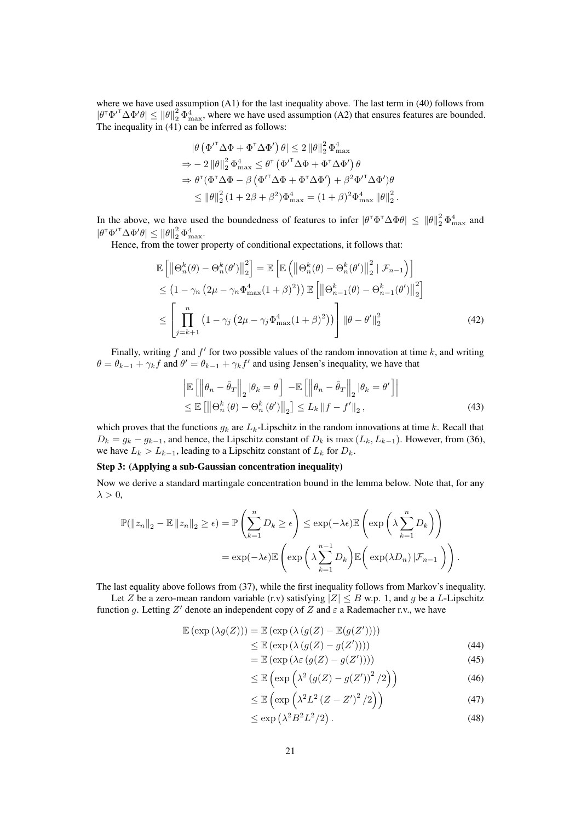where we have used assumption (A1) for the last inequality above. The last term in (40) follows from  $|\theta^{\dagger} \Phi'^{\dagger} \Delta \Phi' \theta| \leq ||\theta||_2^2 \Phi_{\text{max}}^4$ , where we have used assumption (A2) that ensures features are bounded. The inequality in  $(41)$  can be inferred as follows:

$$
\begin{aligned} \left| \theta \left( \Phi'^{\mathsf{T}} \Delta \Phi + \Phi^{\mathsf{T}} \Delta \Phi' \right) \theta \right| &\leq 2 \left\| \theta \right\|_2^2 \Phi_{\max}^4 \\ \Rightarrow - 2 \left\| \theta \right\|_2^2 \Phi_{\max}^4 &\leq \theta^{\mathsf{T}} \left( \Phi'^{\mathsf{T}} \Delta \Phi + \Phi^{\mathsf{T}} \Delta \Phi' \right) \theta \\ \Rightarrow \theta^{\mathsf{T}} (\Phi^{\mathsf{T}} \Delta \Phi - \beta \left( \Phi'^{\mathsf{T}} \Delta \Phi + \Phi^{\mathsf{T}} \Delta \Phi' \right) + \beta^2 \Phi'^{\mathsf{T}} \Delta \Phi' ) \theta \\ &\leq \left\| \theta \right\|_2^2 \left( 1 + 2\beta + \beta^2 \right) \Phi_{\max}^4 = \left( 1 + \beta \right)^2 \Phi_{\max}^4 \left\| \theta \right\|_2^2 \end{aligned}
$$

In the above, we have used the boundedness of features to infer  $|\theta^\top \Phi^\top \Delta \Phi \theta| \leq ||\theta||_2^2 \Phi_{\text{max}}^4$  and  $|\theta^{\intercal}\Phi'^{\intercal}\Delta\Phi'\theta|\leq \|\theta\|_2^2\,\Phi_{\max}^4.$ 

Hence, from the tower property of conditional expectations, it follows that:

$$
\mathbb{E}\left[\left\|\Theta_{n}^{k}(\theta)-\Theta_{n}^{k}(\theta')\right\|_{2}^{2}\right] = \mathbb{E}\left[\mathbb{E}\left(\left\|\Theta_{n}^{k}(\theta)-\Theta_{n}^{k}(\theta')\right\|_{2}^{2}|\mathcal{F}_{n-1}\right)\right] \leq \left(1-\gamma_{n}\left(2\mu-\gamma_{n}\Phi_{\max}^{4}(1+\beta)^{2}\right)\right)\mathbb{E}\left[\left\|\Theta_{n-1}^{k}(\theta)-\Theta_{n-1}^{k}(\theta')\right\|_{2}^{2}\right] \leq \left[\prod_{j=k+1}^{n}\left(1-\gamma_{j}\left(2\mu-\gamma_{j}\Phi_{\max}^{4}(1+\beta)^{2}\right)\right)\right]\left\|\theta-\theta'\right\|_{2}^{2}
$$
\n(42)

.

Finally, writing f and f' for two possible values of the random innovation at time  $k$ , and writing  $\theta = \theta_{k-1} + \gamma_k f$  and  $\theta' = \theta_{k-1} + \gamma_k f'$  and using Jensen's inequality, we have that

$$
\begin{aligned} & \left\| \mathbb{E} \left[ \left\| \theta_n - \hat{\theta}_T \right\|_2 |\theta_k = \theta \right] - \mathbb{E} \left[ \left\| \theta_n - \hat{\theta}_T \right\|_2 |\theta_k = \theta' \right] \right| \\ &\leq \mathbb{E} \left[ \left\| \Theta_n^k \left( \theta \right) - \Theta_n^k \left( \theta' \right) \right\|_2 \right] \leq L_k \left\| f - f' \right\|_2, \end{aligned} \tag{43}
$$

which proves that the functions  $g_k$  are  $L_k$ -Lipschitz in the random innovations at time k. Recall that  $D_k = g_k - g_{k-1}$ , and hence, the Lipschitz constant of  $D_k$  is max  $(L_k, L_{k-1})$ . However, from (36), we have  $L_k > L_{k-1}$ , leading to a Lipschitz constant of  $L_k$  for  $D_k$ .

## Step 3: (Applying a sub-Gaussian concentration inequality)

Now we derive a standard martingale concentration bound in the lemma below. Note that, for any  $\lambda > 0$ ,

$$
\mathbb{P}(\|z_n\|_2 - \mathbb{E} \|z_n\|_2 \ge \epsilon) = \mathbb{P}\left(\sum_{k=1}^n D_k \ge \epsilon\right) \le \exp(-\lambda \epsilon) \mathbb{E}\left(\exp\left(\lambda \sum_{k=1}^n D_k\right)\right)
$$

$$
= \exp(-\lambda \epsilon) \mathbb{E}\left(\exp\left(\lambda \sum_{k=1}^{n-1} D_k\right) \mathbb{E}\left(\exp(\lambda D_n) | \mathcal{F}_{n-1}\right)\right).
$$

The last equality above follows from (37), while the first inequality follows from Markov's inequality.

Let Z be a zero-mean random variable (r.v) satisfying  $|Z| \leq B$  w.p. 1, and g be a L-Lipschitz function g. Letting Z' denote an independent copy of Z and  $\varepsilon$  a Rademacher r.v., we have

$$
\mathbb{E}(\exp(\lambda g(Z))) = \mathbb{E}(\exp(\lambda (g(Z) - \mathbb{E}(g(Z')))))
$$
  
\n
$$
\leq \mathbb{E}(\exp(\lambda (g(Z) - g(Z'))))
$$
\n(44)

$$
= \mathbb{E} \left( \exp \left( \lambda \varepsilon \left( g(Z) - g(Z') \right) \right) \right) \tag{45}
$$

$$
\leq \mathbb{E}\left(\exp\left(\lambda^2\left(g(Z) - g(Z')\right)^2/2\right)\right) \tag{46}
$$

$$
\leq \mathbb{E}\left(\exp\left(\lambda^2 L^2 \left(Z - Z'\right)^2 / 2\right)\right) \tag{47}
$$

$$
\leq \exp\left(\lambda^2 B^2 L^2 / 2\right). \tag{48}
$$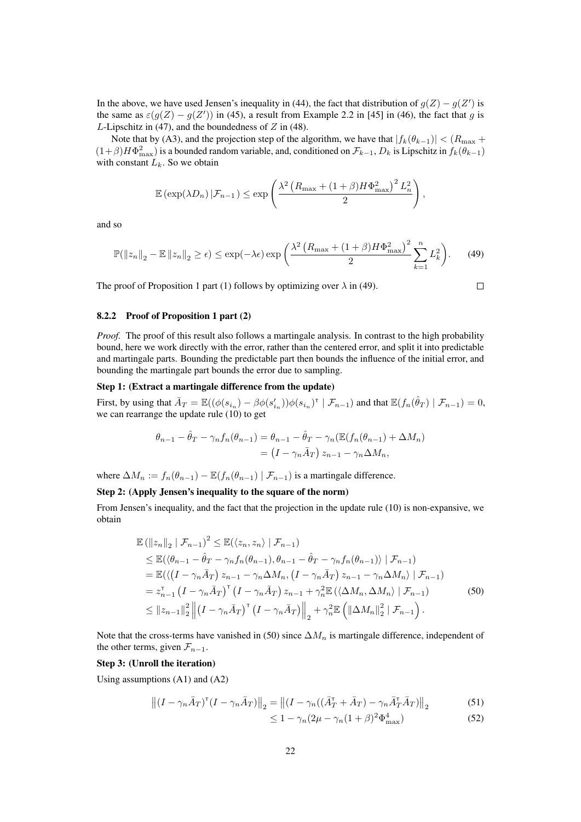In the above, we have used Jensen's inequality in (44), the fact that distribution of  $g(Z) - g(Z')$  is the same as  $\varepsilon(g(Z) - g(Z'))$  in (45), a result from Example 2.2 in [45] in (46), the fact that g is L-Lipschitz in (47), and the boundedness of  $Z$  in (48).

Note that by (A3), and the projection step of the algorithm, we have that  $|f_k(\theta_{k-1})| < (R_{\text{max}} +$  $(1+\beta)H\Phi_{\text{max}}^2$ ) is a bounded random variable, and, conditioned on  $\mathcal{F}_{k-1}$ ,  $D_k$  is Lipschitz in  $f_k(\theta_{k-1})$ with constant  $L_k$ . So we obtain

$$
\mathbb{E}\left(\exp(\lambda D_n)\,|\mathcal{F}_{n-1}\right) \leq \exp\left(\frac{\lambda^2\left(R_{\max} + (1+\beta)H\Phi_{\max}^2\right)^2L_n^2}{2}\right),
$$

and so

$$
\mathbb{P}(\|z_n\|_2 - \mathbb{E}\left\|z_n\right\|_2 \ge \epsilon) \le \exp(-\lambda \epsilon) \exp\left(\frac{\lambda^2 \left(R_{\max} + (1+\beta)H\Phi_{\max}^2\right)^2}{2} \sum_{k=1}^n L_k^2\right). \tag{49}
$$

The proof of Proposition 1 part (1) follows by optimizing over  $\lambda$  in (49).

$$
\qquad \qquad \Box
$$

## 8.2.2 Proof of Proposition 1 part (2)

*Proof.* The proof of this result also follows a martingale analysis. In contrast to the high probability bound, here we work directly with the error, rather than the centered error, and split it into predictable and martingale parts. Bounding the predictable part then bounds the influence of the initial error, and bounding the martingale part bounds the error due to sampling.

### Step 1: (Extract a martingale difference from the update)

First, by using that  $\bar{A}_T = \mathbb{E}((\phi(s_{i_n}) - \beta \phi(s_{i_n}'))\phi(s_{i_n})^\top \mid \mathcal{F}_{n-1})$  and that  $\mathbb{E}(f_n(\hat{\theta}_T) \mid \mathcal{F}_{n-1}) = 0$ , we can rearrange the update rule (10) to get

$$
\theta_{n-1} - \hat{\theta}_T - \gamma_n f_n(\theta_{n-1}) = \theta_{n-1} - \hat{\theta}_T - \gamma_n (\mathbb{E}(f_n(\theta_{n-1}) + \Delta M_n))
$$
  
= 
$$
(I - \gamma_n \bar{A}_T) z_{n-1} - \gamma_n \Delta M_n,
$$

where  $\Delta M_n := f_n(\theta_{n-1}) - \mathbb{E}(f_n(\theta_{n-1}) | \mathcal{F}_{n-1})$  is a martingale difference.

## Step 2: (Apply Jensen's inequality to the square of the norm)

From Jensen's inequality, and the fact that the projection in the update rule (10) is non-expansive, we obtain

$$
\mathbb{E}(\|z_{n}\|_{2} \mid \mathcal{F}_{n-1})^{2} \leq \mathbb{E}(\langle z_{n}, z_{n} \rangle \mid \mathcal{F}_{n-1})
$$
\n
$$
\leq \mathbb{E}(\langle \theta_{n-1} - \hat{\theta}_{T} - \gamma_{n} f_{n}(\theta_{n-1}), \theta_{n-1} - \hat{\theta}_{T} - \gamma_{n} f_{n}(\theta_{n-1}) \rangle \mid \mathcal{F}_{n-1})
$$
\n
$$
= \mathbb{E}(\langle (I - \gamma_{n} \bar{A}_{T}) z_{n-1} - \gamma_{n} \Delta M_{n}, (I - \gamma_{n} \bar{A}_{T}) z_{n-1} - \gamma_{n} \Delta M_{n} \rangle \mid \mathcal{F}_{n-1})
$$
\n
$$
= z_{n-1}^{\mathsf{T}} (I - \gamma_{n} \bar{A}_{T})^{\mathsf{T}} (I - \gamma_{n} \bar{A}_{T}) z_{n-1} + \gamma_{n}^{2} \mathbb{E}(\langle \Delta M_{n}, \Delta M_{n} \rangle \mid \mathcal{F}_{n-1})
$$
\n
$$
\leq \|z_{n-1}\|_{2}^{2} \left\| (I - \gamma_{n} \bar{A}_{T})^{\mathsf{T}} (I - \gamma_{n} \bar{A}_{T}) \right\|_{2} + \gamma_{n}^{2} \mathbb{E}(\| \Delta M_{n} \|_{2}^{2} \mid \mathcal{F}_{n-1}). \tag{50}
$$

Note that the cross-terms have vanished in (50) since  $\Delta M_n$  is martingale difference, independent of the other terms, given  $\mathcal{F}_{n-1}$ .

#### Step 3: (Unroll the iteration)

Using assumptions (A1) and (A2)

$$
\left\| (I - \gamma_n \bar{A}_T)^\mathsf{T} (I - \gamma_n \bar{A}_T) \right\|_2 = \left\| (I - \gamma_n((\bar{A}_T^\mathsf{T} + \bar{A}_T) - \gamma_n \bar{A}_T^\mathsf{T} \bar{A}_T) \right\|_2 \tag{51}
$$

$$
\leq 1 - \gamma_n (2\mu - \gamma_n (1+\beta)^2 \Phi_{\text{max}}^4)
$$
\n(52)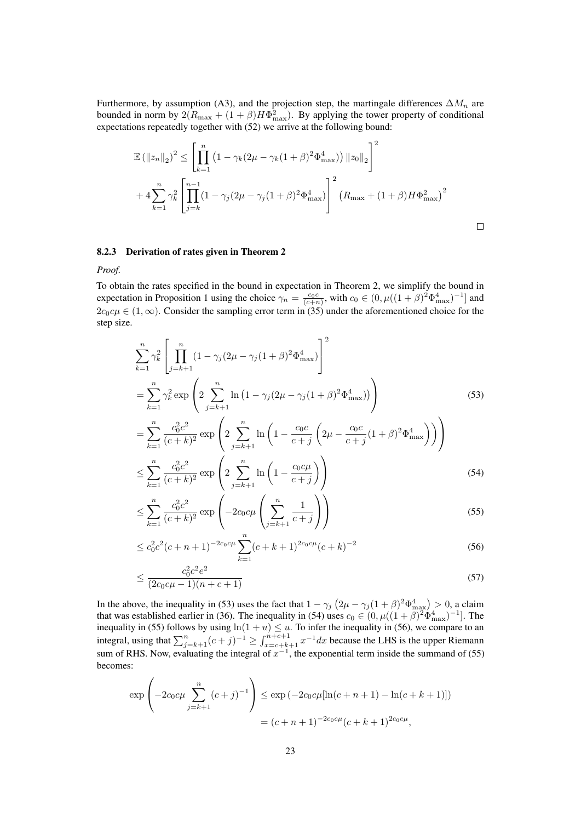Furthermore, by assumption (A3), and the projection step, the martingale differences  $\Delta M_n$  are bounded in norm by  $2(R_{\text{max}} + (1 + \beta)H\Phi_{\text{max}}^2)$ . By applying the tower property of conditional expectations repeatedly together with (52) we arrive at the following bound:

$$
\mathbb{E}(\|z_n\|_2)^2 \le \left[\prod_{k=1}^n (1 - \gamma_k(2\mu - \gamma_k(1+\beta)^2 \Phi_{\text{max}}^4)) \|z_0\|_2\right]^2
$$
  
+  $4 \sum_{k=1}^n \gamma_k^2 \left[\prod_{j=k}^{n-1} (1 - \gamma_j(2\mu - \gamma_j(1+\beta)^2 \Phi_{\text{max}}^4))\right]^2 (R_{\text{max}} + (1+\beta)H\Phi_{\text{max}}^2)^2$ 

 $\Box$ 

### 8.2.3 Derivation of rates given in Theorem 2

#### *Proof.*

To obtain the rates specified in the bound in expectation in Theorem 2, we simplify the bound in expectation in Proposition 1 using the choice  $\gamma_n = \frac{c_0 c}{(c+n)}$ , with  $c_0 \in (0, \mu((1+\beta)^2 \Phi_{\text{max}}^4)^{-1}]$  and  $2c_0c\mu \in (1,\infty)$ . Consider the sampling error term in (35) under the aforementioned choice for the step size.

$$
\sum_{k=1}^{n} \gamma_k^2 \left[ \prod_{j=k+1}^{n} (1 - \gamma_j (2\mu - \gamma_j (1+\beta)^2 \Phi_{\text{max}}^4) \right]^2
$$
  
= 
$$
\sum_{k=1}^{n} \gamma_k^2 \exp \left( 2 \sum_{j=k+1}^{n} \ln (1 - \gamma_j (2\mu - \gamma_j (1+\beta)^2 \Phi_{\text{max}}^4)) \right)
$$
 (53)

$$
= \sum_{k=1}^{n} \frac{c_0^2 c^2}{(c+k)^2} \exp\left(2 \sum_{j=k+1}^{n} \ln\left(1 - \frac{c_0 c}{c+j} \left(2\mu - \frac{c_0 c}{c+j} (1+\beta)^2 \Phi_{\text{max}}^4\right)\right)\right)
$$
  

$$
\leq \sum_{k=1}^{n} \frac{c_0^2 c^2}{(c+k)^2} \exp\left(2 \sum_{j=k+1}^{n} \ln\left(1 - \frac{c_0 c\mu}{c+j}\right)\right)
$$
(54)

$$
\leq \sum_{k=1}^{n} \frac{c_0^2 c^2}{(c+k)^2} \exp\left(-2c_0 c \mu \left(\sum_{j=k+1}^{n} \frac{1}{c+j}\right)\right) \tag{55}
$$

$$
\leq c_0^2 c^2 (c+n+1)^{-2c_0 c \mu} \sum_{k=1}^n (c+k+1)^{2c_0 c \mu} (c+k)^{-2}
$$
\n(56)

$$
\leq \frac{c_0^2 c^2 e^2}{(2c_0 c \mu - 1)(n + c + 1)}\tag{57}
$$

In the above, the inequality in (53) uses the fact that  $1 - \gamma_j (2\mu - \gamma_j (1 + \beta)^2 \Phi_{\text{max}}^4) > 0$ , a claim that was established earlier in (36). The inequality in (54) uses  $c_0 \in (0, \mu((1+\beta)^2 \Phi_{\text{max}}^4)^{-1}]$ . The inequality in (55) follows by using  $\ln(1 + u) \leq u$ . To infer the inequality in (56), we compare to an integral, using that  $\sum_{j=k+1}^{n} (c+j)^{-1} \ge \int_{x=c+k+1}^{n+c+1} x^{-1} dx$  because the LHS is the upper Riemann sum of RHS. Now, evaluating the integral of  $x^{-1}$ , the exponential term inside the summand of (55) becomes:

$$
\exp\left(-2c_0c\mu \sum_{j=k+1}^n (c+j)^{-1}\right) \le \exp\left(-2c_0c\mu[\ln(c+n+1) - \ln(c+k+1)]\right)
$$

$$
= (c+n+1)^{-2c_0c\mu}(c+k+1)^{2c_0c\mu},
$$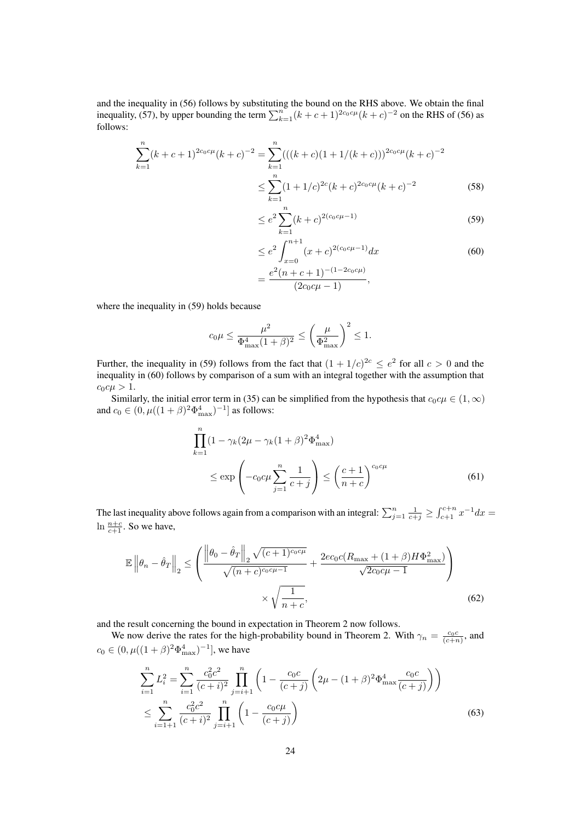and the inequality in (56) follows by substituting the bound on the RHS above. We obtain the final inequality, (57), by upper bounding the term  $\sum_{k=1}^{n} (k + c + 1)^{2c_0 c \mu} (k + c)^{-2}$  on the RHS of (56) as follows:

$$
\sum_{k=1}^{n} (k + c + 1)^{2c_0 c \mu} (k + c)^{-2} = \sum_{k=1}^{n} (((k + c)(1 + 1/(k + c)))^{2c_0 c \mu} (k + c)^{-2}
$$

$$
\leq \sum_{k=1}^{n} (1 + 1/c)^{2c} (k + c)^{2c_0 c \mu} (k + c)^{-2}
$$
(58)

$$
\leq e^2 \sum_{k=1}^{n} (k+c)^{2(c_0c\mu-1)} \tag{59}
$$

$$
\leq e^2 \int_{x=0}^{n+1} (x+c)^{2(c_0c\mu-1)} dx
$$
\n
$$
= \frac{e^2(n+c+1)^{-(1-2c_0c\mu)}}{(2c_0c\mu-1)},
$$
\n(60)

where the inequality in (59) holds because

$$
c_0\mu \le \frac{\mu^2}{\Phi_{\max}^4(1+\beta)^2} \le \left(\frac{\mu}{\Phi_{\max}^2}\right)^2 \le 1.
$$

Further, the inequality in (59) follows from the fact that  $(1 + 1/c)^{2c} \le e^2$  for all  $c > 0$  and the inequality in (60) follows by comparison of a sum with an integral together with the assumption that  $c_0 c \mu > 1.$ 

Similarly, the initial error term in (35) can be simplified from the hypothesis that  $c_0c\mu \in (1,\infty)$ and  $c_0 \in (0, \mu((1+\beta)^2 \Phi_{\text{max}}^4)^{-1}]$  as follows:

$$
\prod_{k=1}^{n} (1 - \gamma_k (2\mu - \gamma_k (1 + \beta)^2 \Phi_{\text{max}}^4)
$$
\n
$$
\leq \exp\left(-c_0 c\mu \sum_{j=1}^{n} \frac{1}{c+j}\right) \leq \left(\frac{c+1}{n+c}\right)^{c_0 c\mu} \tag{61}
$$

The last inequality above follows again from a comparison with an integral:  $\sum_{j=1}^{n} \frac{1}{c+j} \ge \int_{c+1}^{c+n} x^{-1} dx =$  $\ln \frac{n+c}{c+1}$ . So we have,

$$
\mathbb{E}\left\|\theta_{n}-\hat{\theta}_{T}\right\|_{2} \leq \left(\frac{\left\|\theta_{0}-\hat{\theta}_{T}\right\|_{2}\sqrt{(c+1)^{c_{0}c\mu}}}{\sqrt{(n+c)^{c_{0}c\mu-1}}} + \frac{2ec_{0}c(R_{\max}+(1+\beta)H\Phi_{\max}^{2})}{\sqrt{2c_{0}c\mu-1}}\right) \times \sqrt{\frac{1}{n+c}},
$$
\n(62)

and the result concerning the bound in expectation in Theorem 2 now follows.

We now derive the rates for the high-probability bound in Theorem 2. With  $\gamma_n = \frac{c_0 c}{(c+n)}$ , and  $c_0 \in (0, \mu((1+\beta)^2 \Phi_{\text{max}}^4)^{-1}],$  we have

$$
\sum_{i=1}^{n} L_i^2 = \sum_{i=1}^{n} \frac{c_0^2 c^2}{(c+i)^2} \prod_{j=i+1}^{n} \left( 1 - \frac{c_0 c}{(c+j)} \left( 2\mu - (1+\beta)^2 \Phi_{\text{max}}^4 \frac{c_0 c}{(c+j)} \right) \right)
$$
  

$$
\leq \sum_{i=1+1}^{n} \frac{c_0^2 c^2}{(c+i)^2} \prod_{j=i+1}^{n} \left( 1 - \frac{c_0 c \mu}{(c+j)} \right)
$$
(63)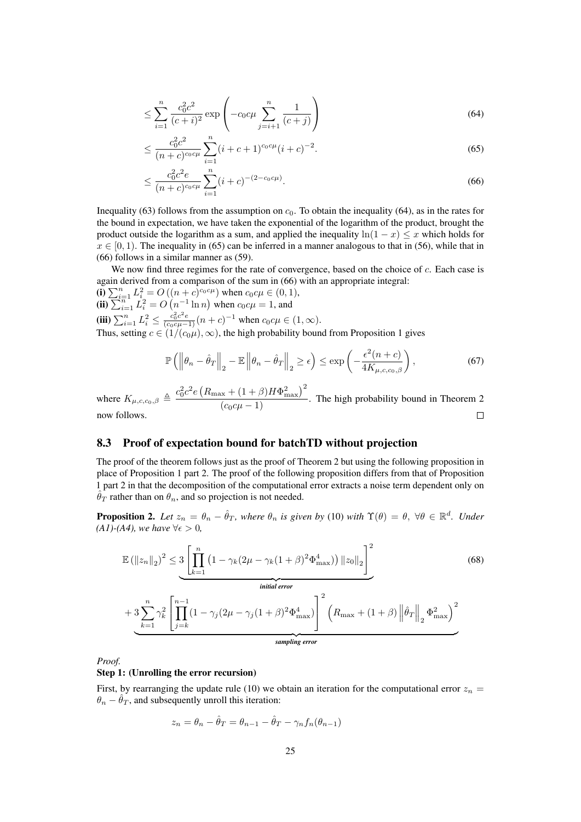$$
\leq \sum_{i=1}^{n} \frac{c_0^2 c^2}{(c+i)^2} \exp\left(-c_0 c \mu \sum_{j=i+1}^{n} \frac{1}{(c+j)}\right)
$$
(64)

$$
\leq \frac{c_0^2 c^2}{(n+c)^{c_0 c \mu}} \sum_{i=1}^n (i+c+1)^{c_0 c \mu} (i+c)^{-2}.
$$
\n(65)

$$
\leq \frac{c_0^2 c^2 e}{(n+c)^{c_0 c \mu}} \sum_{i=1}^n (i+c)^{-(2-c_0 c \mu)}.
$$
\n(66)

Inequality (63) follows from the assumption on  $c_0$ . To obtain the inequality (64), as in the rates for the bound in expectation, we have taken the exponential of the logarithm of the product, brought the product outside the logarithm as a sum, and applied the inequality  $\ln(1 - x) \leq x$  which holds for  $x \in [0, 1)$ . The inequality in (65) can be inferred in a manner analogous to that in (56), while that in (66) follows in a similar manner as (59).

We now find three regimes for the rate of convergence, based on the choice of c. Each case is again derived from a comparison of the sum in (66) with an appropriate integral:

(i)  $\sum_{i=1}^{n} L_i^2 = O((n+c)^{c_0 c \mu})$  when  $c_0 c \mu \in (0,1)$ , (ii)  $\sum_{i=1}^{n} L_i^2 = O(n^{-1} \ln n)$  when  $c_0 c \mu = 1$ , and (iii)  $\sum_{i=1}^{n} L_i^2 \le \frac{c_0^2 c^2 e}{(c_0 c \mu - 1)} (n + c)^{-1}$  when  $c_0 c \mu \in (1, \infty)$ . Thus, setting  $c \in (1/(c_0\mu), \infty)$ , the high probability bound from Proposition 1 gives

$$
\mathbb{P}\left(\left\|\theta_n - \hat{\theta}_T\right\|_2 - \mathbb{E}\left\|\theta_n - \hat{\theta}_T\right\|_2 \ge \epsilon\right) \le \exp\left(-\frac{\epsilon^2(n+c)}{4K_{\mu,c,c_0,\beta}}\right),\tag{67}
$$

where  $K_{\mu,c,c_0,\beta} \triangleq \frac{c_0^2 c^2 e \left( R_{\text{max}} + (1+\beta) H \Phi_{\text{max}}^2 \right)^2}{(e_0 \omega + 1)}$  $\frac{(c_0c\mu-1)}{(c_0c\mu-1)}$ . The high probability bound in Theorem 2 now follows.

## 8.3 Proof of expectation bound for batchTD without projection

The proof of the theorem follows just as the proof of Theorem 2 but using the following proposition in place of Proposition 1 part 2. The proof of the following proposition differs from that of Proposition 1 part 2 in that the decomposition of the computational error extracts a noise term dependent only on  $\hat{\theta}_T$  rather than on  $\theta_n$ , and so projection is not needed.

**Proposition 2.** Let  $z_n = \theta_n - \hat{\theta}_T$ , where  $\theta_n$  is given by (10) with  $\Upsilon(\theta) = \theta$ ,  $\forall \theta \in \mathbb{R}^d$ . Under *(A1)-(A4), we have*  $\forall \epsilon > 0$ *,* 

$$
\mathbb{E}(\|z_n\|_2)^2 \leq 3 \left[ \prod_{k=1}^n \left(1 - \gamma_k (2\mu - \gamma_k (1+\beta)^2 \Phi_{\text{max}}^4) \right) \|z_0\|_2 \right]^2
$$
\ninitial error

\n
$$
+ 3 \sum_{k=1}^n \gamma_k^2 \left[ \prod_{j=k}^{n-1} (1 - \gamma_j (2\mu - \gamma_j (1+\beta)^2 \Phi_{\text{max}}^4) \right]^2 \left( R_{\text{max}} + (1+\beta) \left\| \hat{\theta}_T \right\|_2 \Phi_{\text{max}}^2 \right)^2
$$
\n(68)

 ${sumline error}$ *sampling error*

*Proof.*

### Step 1: (Unrolling the error recursion)

First, by rearranging the update rule (10) we obtain an iteration for the computational error  $z_n =$  $\theta_n - \hat{\theta}_T$ , and subsequently unroll this iteration:

$$
z_n = \theta_n - \hat{\theta}_T = \theta_{n-1} - \hat{\theta}_T - \gamma_n f_n(\theta_{n-1})
$$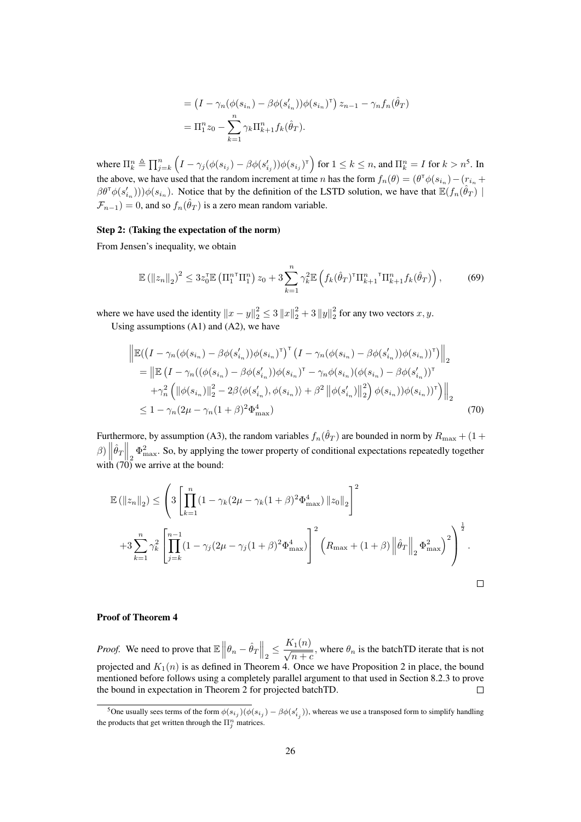$$
= \left(I - \gamma_n(\phi(s_{i_n}) - \beta\phi(s'_{i_n}))\phi(s_{i_n})^\top\right)z_{n-1} - \gamma_n f_n(\hat{\theta}_T)
$$

$$
= \Pi_1^n z_0 - \sum_{k=1}^n \gamma_k \Pi_{k+1}^n f_k(\hat{\theta}_T).
$$

where  $\prod_{k}^{n} \triangleq \prod_{j=k}^{n} (I - \gamma_j(\phi(s_{i_j}) - \beta \phi(s_{i_j}'))\phi(s_{i_j})^{\intercal})$  for  $1 \leq k \leq n$ , and  $\Pi_{k}^{n} = I$  for  $k > n^5$ . In the above, we have used that the random increment at time *n* has the form  $f_n(\theta) = (\theta^T \phi(s_{i_n}) - (r_{i_n} + r_{i_n}))$  $(\beta \theta^{\mathsf{T}} \phi(s'_{i_n})) \phi(s_{i_n})$ . Notice that by the definition of the LSTD solution, we have that  $\mathbb{E}(f_n(\hat{\theta}_T))$  $\mathcal{F}_{n-1}$ ) = 0, and so  $f_n(\hat{\theta}_T)$  is a zero mean random variable.

## Step 2: (Taking the expectation of the norm)

From Jensen's inequality, we obtain

$$
\mathbb{E}(\|z_n\|_2)^2 \le 3z_0^{\mathsf{T}} \mathbb{E}\left(\Pi_1^{n\mathsf{T}}\Pi_1^n\right)z_0 + 3\sum_{k=1}^n \gamma_k^2 \mathbb{E}\left(f_k(\hat{\theta}_T)^{\mathsf{T}}\Pi_{k+1}^n\Pi_{k+1}^n f_k(\hat{\theta}_T)\right),\tag{69}
$$

where we have used the identity  $||x - y||_2^2 \le 3 ||x||_2^2 + 3 ||y||_2^2$  for any two vectors  $x, y$ . Using assumptions  $(A1)$  and  $(A2)$ , we have

$$
\begin{split}\n&\left\| \mathbb{E}((I - \gamma_n(\phi(s_{i_n}) - \beta \phi(s'_{i_n}))\phi(s_{i_n})^\mathsf{T})^\mathsf{T} (I - \gamma_n(\phi(s_{i_n}) - \beta \phi(s'_{i_n}))\phi(s_{i_n}))^\mathsf{T}) \right\|_2 \\
&= \left\| \mathbb{E} (I - \gamma_n((\phi(s_{i_n}) - \beta \phi(s'_{i_n}))\phi(s_{i_n})^\mathsf{T} - \gamma_n \phi(s_{i_n})(\phi(s_{i_n}) - \beta \phi(s'_{i_n}))^\mathsf{T} \\
&\quad + \gamma_n^2 \left( \|\phi(s_{i_n})\|_2^2 - 2\beta \langle \phi(s'_{i_n}), \phi(s_{i_n}) \rangle + \beta^2 \left\| \phi(s'_{i_n})\right\|_2^2 \right) \phi(s_{i_n}))\phi(s_{i_n}))^\mathsf{T} \right) \right\|_2 \\
&\leq 1 - \gamma_n (2\mu - \gamma_n (1 + \beta)^2 \Phi_{\text{max}}^4)\n\end{split} \tag{70}
$$

Furthermore, by assumption (A3), the random variables  $f_n(\hat{\theta}_T)$  are bounded in norm by  $R_{\text{max}} + (1 +$  $\beta$ )  $\left\|\hat{\theta}_T\right\|_2 \Phi_{\text{max}}^2$ . So, by applying the tower property of conditional expectations repeatedly together with  $(70)$  we arrive at the bound:

$$
\mathbb{E}(\|z_n\|_2) \leq \left(3\left[\prod_{k=1}^n (1-\gamma_k(2\mu-\gamma_k(1+\beta)^2\Phi_{\text{max}}^4))\|z_0\|_2\right]^2 + 3\sum_{k=1}^n \gamma_k^2 \left[\prod_{j=k}^{n-1} (1-\gamma_j(2\mu-\gamma_j(1+\beta)^2\Phi_{\text{max}}^4))\right]^2 \left(R_{\text{max}} + (1+\beta)\left\|\hat{\theta}_T\right\|_2 \Phi_{\text{max}}^2\right)^2\right)^{\frac{1}{2}}.
$$

## Proof of Theorem 4

 $K_1(n)$ *Proof.* We need to prove that  $\mathbb{E} \left\| \theta_n - \hat{\theta}_T \right\|_2 \leq$  $\frac{1}{\sqrt{n+c}}$ , where  $\theta_n$  is the batchTD iterate that is not projected and  $K_1(n)$  is as defined in Theorem 4. Once we have Proposition 2 in place, the bound mentioned before follows using a completely parallel argument to that used in Section 8.2.3 to prove the bound in expectation in Theorem 2 for projected batchTD.  $\Box$ 

<sup>&</sup>lt;sup>5</sup>One usually sees terms of the form  $\phi(s_{i_j})(\phi(s_{i_j}) - \beta \phi(s'_{i_j}))$ , whereas we use a transposed form to simplify handling the products that get written through the  $\Pi_j^n$  matrices.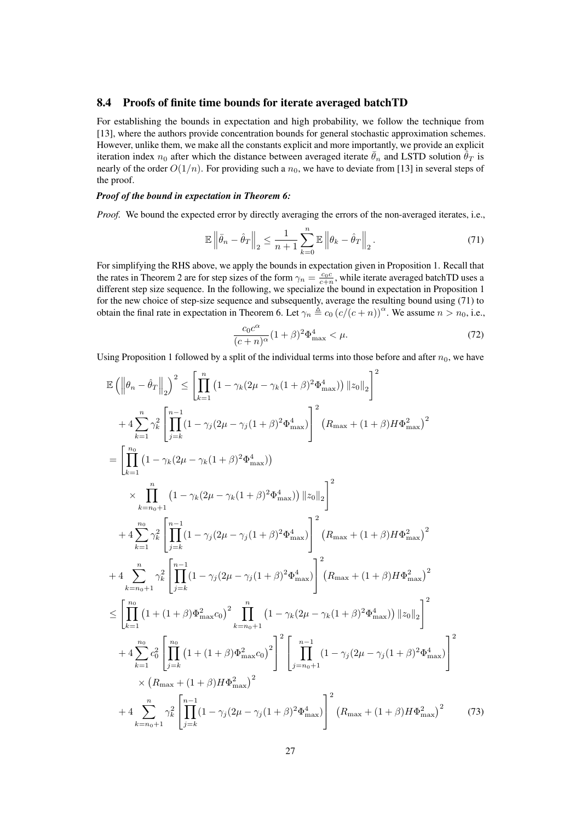## 8.4 Proofs of finite time bounds for iterate averaged batchTD

For establishing the bounds in expectation and high probability, we follow the technique from [13], where the authors provide concentration bounds for general stochastic approximation schemes. However, unlike them, we make all the constants explicit and more importantly, we provide an explicit iteration index  $n_0$  after which the distance between averaged iterate  $\bar{\theta}_n$  and LSTD solution  $\hat{\theta}_T$  is nearly of the order  $O(1/n)$ . For providing such a  $n_0$ , we have to deviate from [13] in several steps of the proof.

### *Proof of the bound in expectation in Theorem 6:*

*Proof.* We bound the expected error by directly averaging the errors of the non-averaged iterates, i.e.,

$$
\mathbb{E}\left\|\bar{\theta}_n - \hat{\theta}_T\right\|_2 \le \frac{1}{n+1} \sum_{k=0}^n \mathbb{E}\left\|\theta_k - \hat{\theta}_T\right\|_2.
$$
\n(71)

For simplifying the RHS above, we apply the bounds in expectation given in Proposition 1. Recall that the rates in Theorem 2 are for step sizes of the form  $\gamma_n = \frac{c_0 c}{c+n}$ , while iterate averaged batchTD uses a different step size sequence. In the following, we specialize the bound in expectation in Proposition 1 for the new choice of step-size sequence and subsequently, average the resulting bound using (71) to obtain the final rate in expectation in Theorem 6. Let  $\gamma_n \triangleq c_0 (c/(c + n))^{\alpha}$ . We assume  $n > n_0$ , i.e.,

$$
\frac{c_0 c^{\alpha}}{(c+n)^{\alpha}} (1+\beta)^2 \Phi_{\text{max}}^4 < \mu. \tag{72}
$$

Using Proposition 1 followed by a split of the individual terms into those before and after  $n_0$ , we have

$$
\mathbb{E}\left(\left\|\theta_{n}-\hat{\theta}_{T}\right\|_{2}\right)^{2} \leq \left[\prod_{k=1}^{n}\left(1-\gamma_{k}(2\mu-\gamma_{k}(1+\beta)^{2}\Phi_{\max}^{4})\right)\|z_{0}\|_{2}\right]^{2}
$$
\n
$$
+4\sum_{k=1}^{n}\gamma_{k}^{2}\left[\prod_{j=k}^{n-1}\left(1-\gamma_{j}(2\mu-\gamma_{j}(1+\beta)^{2}\Phi_{\max}^{4})\right]^{2}\left(R_{\max}+(1+\beta)H\Phi_{\max}^{2}\right)^{2}\right]
$$
\n
$$
=\left[\prod_{k=1}^{n_{0}}\left(1-\gamma_{k}(2\mu-\gamma_{k}(1+\beta)^{2}\Phi_{\max}^{4})\right)\right]^{2}\left(R_{\max}+(1+\beta)H\Phi_{\max}^{2}\right)^{2}
$$
\n
$$
\times\prod_{k=n_{0}+1}^{n_{0}}\left(1-\gamma_{k}(2\mu-\gamma_{k}(1+\beta)^{2}\Phi_{\max}^{4})\right)\|z_{0}\|_{2}\right]^{2}
$$
\n
$$
+4\sum_{k=1}^{n_{0}}\gamma_{k}^{2}\left[\prod_{j=k}^{n-1}(1-\gamma_{j}(2\mu-\gamma_{j}(1+\beta)^{2}\Phi_{\max}^{4})\right]^{2}\left(R_{\max}+(1+\beta)H\Phi_{\max}^{2}\right)^{2}
$$
\n
$$
+4\sum_{k=n_{0}+1}^{n}\gamma_{k}^{2}\left[\prod_{j=k}^{n-1}(1-\gamma_{j}(2\mu-\gamma_{j}(1+\beta)^{2}\Phi_{\max}^{4})\right]^{2}\left(R_{\max}+(1+\beta)H\Phi_{\max}^{2}\right)^{2}
$$
\n
$$
\leq\left[\prod_{k=1}^{n_{0}}\left(1+(1+\beta)\Phi_{\max}^{2}c_{0}\right)^{2}\prod_{k=n_{0}+1}^{n}\left(1-\gamma_{k}(2\mu-\gamma_{k}(1+\beta)^{2}\Phi_{\max}^{4})\right)\|z_{0}\|_{2}\right]^{2}
$$
\n
$$
+4\sum_{k=1}^{n_{0}}c_{0}^{2}\left[\prod_{j=k}^{n_{0}}\left(1+(1+\beta)\Phi_{\max}^{2}\right)^{2}\right]^{2}\left[\prod_{j
$$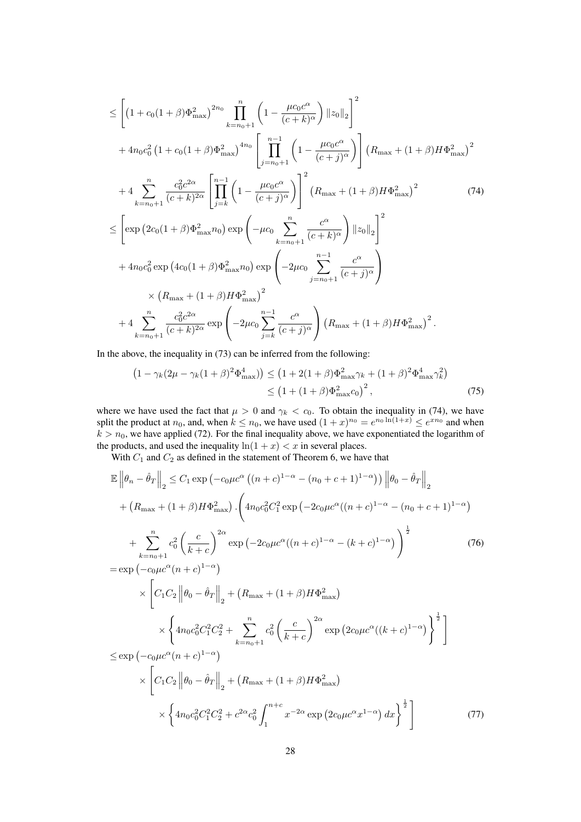$$
\leq \left[ \left( 1 + c_0 (1 + \beta) \Phi_{\text{max}}^2 \right)^{2n_0} \prod_{k=n_0+1}^n \left( 1 - \frac{\mu c_0 c^{\alpha}}{(c+k)^{\alpha}} \right) \|z_0\|_2 \right]^2
$$
  
+  $4n_0 c_0^2 \left( 1 + c_0 (1 + \beta) \Phi_{\text{max}}^2 \right)^{4n_0} \left[ \prod_{j=n_0+1}^{n-1} \left( 1 - \frac{\mu c_0 c^{\alpha}}{(c+j)^{\alpha}} \right) \right] \left( R_{\text{max}} + (1 + \beta) H \Phi_{\text{max}}^2 \right)^2$   
+  $4 \sum_{k=n_0+1}^n \frac{c_0^2 c^{2\alpha}}{(c+k)^{2\alpha}} \left[ \prod_{j=k}^{n-1} \left( 1 - \frac{\mu c_0 c^{\alpha}}{(c+j)^{\alpha}} \right) \right]^2 \left( R_{\text{max}} + (1 + \beta) H \Phi_{\text{max}}^2 \right)^2$   
 $\leq \left[ \exp \left( 2c_0 (1 + \beta) \Phi_{\text{max}}^2 n_0 \right) \exp \left( -\mu c_0 \sum_{k=n_0+1}^n \frac{c^{\alpha}}{(c+k)^{\alpha}} \right) ||z_0||_2 \right]^2$   
+  $4n_0 c_0^2 \exp \left( 4c_0 (1 + \beta) \Phi_{\text{max}}^2 n_0 \right) \exp \left( -2\mu c_0 \sum_{j=n_0+1}^{n-1} \frac{c^{\alpha}}{(c+j)^{\alpha}} \right)$   
 $\times \left( R_{\text{max}} + (1 + \beta) H \Phi_{\text{max}}^2 \right)^2$   
+  $4 \sum_{k=n_0+1}^n \frac{c_0^2 c^{2\alpha}}{(c+k)^{2\alpha}} \exp \left( -2\mu c_0 \sum_{j=k}^{n-1} \frac{c^{\alpha}}{(c+j)^{\alpha}} \right) \left( R_{\text{max}} + (1 + \beta) H \Phi_{\text{max}}^2 \right)^2$ .

In the above, the inequality in (73) can be inferred from the following:

$$
(1 - \gamma_k (2\mu - \gamma_k (1 + \beta)^2 \Phi_{\text{max}}^4)) \le (1 + 2(1 + \beta) \Phi_{\text{max}}^2 \gamma_k + (1 + \beta)^2 \Phi_{\text{max}}^4 \gamma_k^2)
$$
  
 
$$
\le (1 + (1 + \beta) \Phi_{\text{max}}^2 c_0)^2, \tag{75}
$$

where we have used the fact that  $\mu > 0$  and  $\gamma_k < c_0$ . To obtain the inequality in (74), we have split the product at  $n_0$ , and, when  $k \le n_0$ , we have used  $(1+x)^{n_0} = e^{n_0 \ln(1+x)} \le e^{xn_0}$  and when  $k > n_0$ , we have applied (72). For the final inequality above, we have exponentiated the logarithm of the products, and used the inequality  $\ln(1 + x) < x$  in several places.

With  $C_1$  and  $C_2$  as defined in the statement of Theorem 6, we have that

$$
\mathbb{E} \left\| \theta_n - \hat{\theta}_T \right\|_2 \leq C_1 \exp \left( -c_0 \mu c^{\alpha} \left( (n+c)^{1-\alpha} - (n_0 + c + 1)^{1-\alpha} \right) \right) \left\| \theta_0 - \hat{\theta}_T \right\|_2
$$
\n
$$
+ \left( R_{\max} + (1+\beta) H \Phi_{\max}^2 \right) \cdot \left( 4n_0 c_0^2 C_1^2 \exp \left( -2c_0 \mu c^{\alpha} ((n+c)^{1-\alpha} - (n_0 + c + 1)^{1-\alpha} \right) \right)
$$
\n
$$
+ \sum_{k=n_0+1}^n c_0^2 \left( \frac{c}{k+c} \right)^{2\alpha} \exp \left( -2c_0 \mu c^{\alpha} ((n+c)^{1-\alpha} - (k+c)^{1-\alpha} \right) \right)^{\frac{1}{2}}
$$
\n
$$
= \exp \left( -c_0 \mu c^{\alpha} (n+c)^{1-\alpha} \right)
$$
\n
$$
\times \left[ C_1 C_2 \left\| \theta_0 - \hat{\theta}_T \right\|_2 + \left( R_{\max} + (1+\beta) H \Phi_{\max}^2 \right) \right]
$$
\n
$$
\times \left\{ 4n_0 c_0^2 C_1^2 C_2^2 + \sum_{k=n_0+1}^n c_0^2 \left( \frac{c}{k+c} \right)^{2\alpha} \exp \left( 2c_0 \mu c^{\alpha} ((k+c)^{1-\alpha} \right) \right\}^{\frac{1}{2}}
$$
\n
$$
\leq \exp \left( -c_0 \mu c^{\alpha} (n+c)^{1-\alpha} \right)
$$
\n
$$
\times \left[ C_1 C_2 \left\| \theta_0 - \hat{\theta}_T \right\|_2 + \left( R_{\max} + (1+\beta) H \Phi_{\max}^2 \right) \right]
$$
\n
$$
\times \left\{ 4n_0 c_0^2 C_1^2 C_2^2 + c^{2\alpha} c_0^2 \int_1^{n+c} x^{-2\alpha} \exp \left( 2c_0 \mu c^{\alpha} x^{1-\alpha} \right) dx \right\}^{\frac{1}{2}}
$$
\n(77)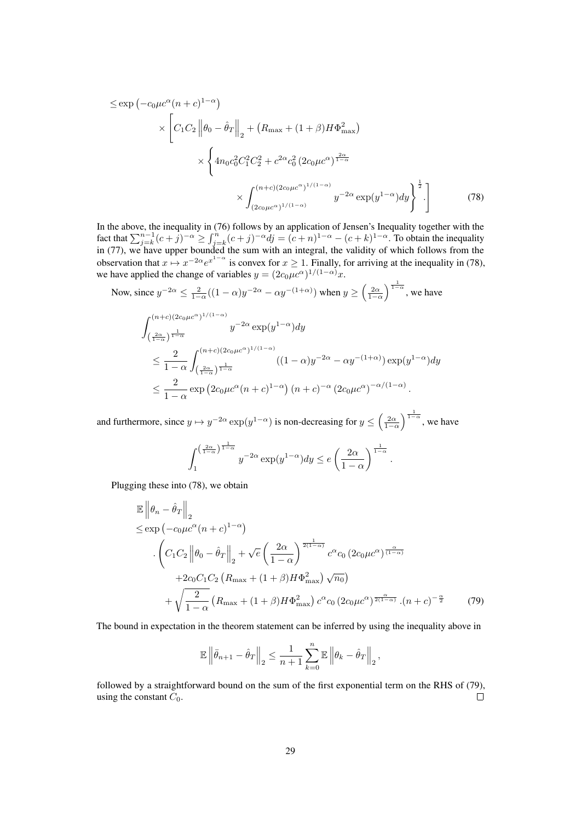$$
\leq \exp\left(-c_0\mu c^{\alpha}(n+c)^{1-\alpha}\right)
$$
  
\$\times \left[C\_1C\_2 \left\|\theta\_0 - \hat{\theta}\_T\right\|\_2 + \left(R\_{\max} + (1+\beta)H\Phi\_{\max}^2\right)\right] \times \left\{4n\_0c\_0^2C\_1^2C\_2^2 + c^{2\alpha}c\_0^2\left(2c\_0\mu c^{\alpha}\right)^{\frac{2\alpha}{1-\alpha}}\right\}  
\$\times \int\_{(2c\_0\mu c^{\alpha})^{1/(1-\alpha)}}^{(n+c)(2c\_0\mu c^{\alpha})^{1/(1-\alpha)}} y^{-2\alpha}\exp(y^{1-\alpha})dy\right\}^{\frac{1}{2}}\$.\n\tag{78}\$

In the above, the inequality in (76) follows by an application of Jensen's Inequality together with the fact that  $\sum_{j=k}^{n-1} (c+j)^{-\alpha} \ge \int_{j=k}^{n} (c+j)^{-\alpha} dj = (c+n)^{1-\alpha} - (c+k)^{1-\alpha}$ . To obtain the inequality in (77), we have upper bounded the sum with an integral, the validity of which follows from the observation that  $x \mapsto x^{-2\alpha}e^{x^{1-\alpha}}$  is convex for  $x \ge 1$ . Finally, for arriving at the inequality in (78), we have applied the change of variables  $y = (2c_0\mu c^{\alpha})^{1/(1-\alpha)}x$ . <sup>1</sup>

Now, since 
$$
y^{-2\alpha} \le \frac{2}{1-\alpha}((1-\alpha)y^{-2\alpha} - \alpha y^{-(1+\alpha)})
$$
 when  $y \ge (\frac{2\alpha}{1-\alpha})^{\frac{1}{1-\alpha}}$ , we have  
\n
$$
\int_{(\frac{2\alpha}{1-\alpha})^{\frac{1}{1-\alpha}}}^{(n+c)(2c_0\mu c^{\alpha})^{1/(1-\alpha)}} y^{-2\alpha} \exp(y^{1-\alpha}) dy
$$
\n
$$
\le \frac{2}{1-\alpha} \int_{(\frac{2\alpha}{1-\alpha})^{\frac{1}{1-\alpha}}}^{(n+c)(2c_0\mu c^{\alpha})^{1/(1-\alpha)}} ((1-\alpha)y^{-2\alpha} - \alpha y^{-(1+\alpha)}) \exp(y^{1-\alpha}) dy
$$
\n
$$
\le \frac{2}{1-\alpha} \exp(2c_0\mu c^{\alpha} (n+c)^{1-\alpha}) (n+c)^{-\alpha} (2c_0\mu c^{\alpha})^{-\alpha/(1-\alpha)}.
$$

and furthermore, since  $y \mapsto y^{-2\alpha} \exp(y^{1-\alpha})$  is non-decreasing for  $y \le \left(\frac{2\alpha}{1-\alpha}\right)$  $\int_{1-\alpha}^{\frac{1}{1-\alpha}}$ , we have

$$
\int_{1}^{\left(\frac{2\alpha}{1-\alpha}\right)^{\frac{1}{1-\alpha}}} y^{-2\alpha} \exp(y^{1-\alpha}) dy \le e \left(\frac{2\alpha}{1-\alpha}\right)^{\frac{1}{1-\alpha}}.
$$

Plugging these into (78), we obtain

$$
\mathbb{E} \left\| \theta_n - \hat{\theta}_T \right\|_2
$$
\n
$$
\leq \exp \left( -c_0 \mu c^{\alpha} (n+c)^{1-\alpha} \right)
$$
\n
$$
\cdot \left( C_1 C_2 \left\| \theta_0 - \hat{\theta}_T \right\|_2 + \sqrt{e} \left( \frac{2\alpha}{1-\alpha} \right)^{\frac{1}{2(1-\alpha)}} c^{\alpha} c_0 \left( 2c_0 \mu c^{\alpha} \right)^{\frac{\alpha}{(1-\alpha)}}
$$
\n
$$
+ 2c_0 C_1 C_2 \left( R_{\text{max}} + (1+\beta) H \Phi_{\text{max}}^2 \right) \sqrt{n_0} \right)
$$
\n
$$
+ \sqrt{\frac{2}{1-\alpha}} \left( R_{\text{max}} + (1+\beta) H \Phi_{\text{max}}^2 \right) c^{\alpha} c_0 \left( 2c_0 \mu c^{\alpha} \right)^{\frac{\alpha}{2(1-\alpha)}} \cdot (n+c)^{-\frac{\alpha}{2}} \tag{79}
$$

The bound in expectation in the theorem statement can be inferred by using the inequality above in

$$
\mathbb{E} \left\|\bar{\theta}_{n+1}-\hat{\theta}_T\right\|_2 \leq \frac{1}{n+1}\sum_{k=0}^{n} \mathbb{E} \left\|\theta_k-\hat{\theta}_T\right\|_2,
$$

followed by a straightforward bound on the sum of the first exponential term on the RHS of (79), using the constant  $C_0$ .  $\Box$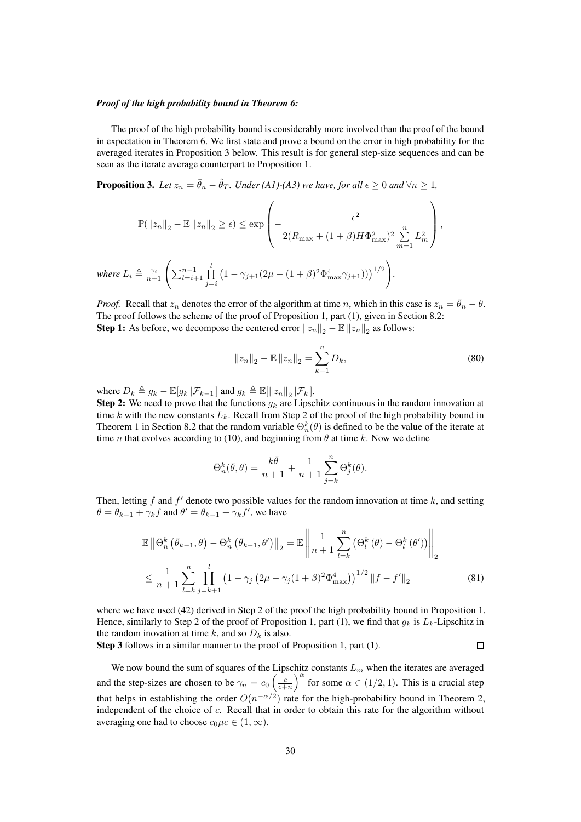### *Proof of the high probability bound in Theorem 6:*

The proof of the high probability bound is considerably more involved than the proof of the bound in expectation in Theorem 6. We first state and prove a bound on the error in high probability for the averaged iterates in Proposition 3 below. This result is for general step-size sequences and can be seen as the iterate average counterpart to Proposition 1.

**Proposition 3.** Let  $z_n = \bar{\theta}_n - \hat{\theta}_T$ . Under (A1)-(A3) we have, for all  $\epsilon \geq 0$  and  $\forall n \geq 1$ ,

$$
\mathbb{P}(\|z_n\|_2 - \mathbb{E} \|z_n\|_2 \ge \epsilon) \le \exp\left(-\frac{\epsilon^2}{2(R_{\max} + (1+\beta)H\Phi_{\max}^2)^2 \sum_{m=1}^n L_m^2}\right),
$$
  

$$
L_i \triangleq \frac{\gamma_i}{n+1} \left(\sum_{l=i+1}^{n-1} \prod_{j=i}^l (1-\gamma_{j+1}(2\mu - (1+\beta)^2 \Phi_{\max}^4 \gamma_{j+1})))^{1/2}\right).
$$

*Proof.* Recall that  $z_n$  denotes the error of the algorithm at time n, which in this case is  $z_n = \bar{\theta}_n - \theta$ . The proof follows the scheme of the proof of Proposition 1, part (1), given in Section 8.2: **Step 1:** As before, we decompose the centered error  $||z_n||_2 - \mathbb{E} ||z_n||_2$  as follows:

$$
||z_n||_2 - \mathbb{E} ||z_n||_2 = \sum_{k=1}^n D_k,
$$
\n(80)

where  $D_k \triangleq g_k - \mathbb{E}[g_k | \mathcal{F}_{k-1}]$  and  $g_k \triangleq \mathbb{E}[\Vert z_n \Vert_2 | \mathcal{F}_k]$ .

 $where$ 

**Step 2:** We need to prove that the functions  $g_k$  are Lipschitz continuous in the random innovation at time  $k$  with the new constants  $L_k$ . Recall from Step 2 of the proof of the high probability bound in Theorem 1 in Section 8.2 that the random variable  $\Theta_n^k(\theta)$  is defined to be the value of the iterate at time *n* that evolves according to (10), and beginning from  $\theta$  at time k. Now we define

$$
\bar{\Theta}_n^k(\bar{\theta}, \theta) = \frac{k\bar{\theta}}{n+1} + \frac{1}{n+1} \sum_{j=k}^n \Theta_j^k(\theta).
$$

Then, letting f and  $f'$  denote two possible values for the random innovation at time k, and setting  $\theta = \theta_{k-1} + \gamma_k f$  and  $\theta' = \theta_{k-1} + \gamma_k f'$ , we have

$$
\mathbb{E}\left\|\bar{\Theta}_{n}^{k}\left(\bar{\theta}_{k-1},\theta\right)-\bar{\Theta}_{n}^{k}\left(\bar{\theta}_{k-1},\theta'\right)\right\|_{2}=\mathbb{E}\left\|\frac{1}{n+1}\sum_{l=k}^{n}\left(\Theta_{l}^{k}\left(\theta\right)-\Theta_{l}^{k}\left(\theta'\right)\right)\right\|_{2}
$$
\n
$$
\leq \frac{1}{n+1}\sum_{l=k}^{n}\prod_{j=k+1}^{l}\left(1-\gamma_{j}\left(2\mu-\gamma_{j}(1+\beta)^{2}\Phi_{\max}^{4}\right)\right)^{1/2}\left\|f-f'\right\|_{2} \tag{81}
$$

where we have used (42) derived in Step 2 of the proof the high probability bound in Proposition 1. Hence, similarly to Step 2 of the proof of Proposition 1, part (1), we find that  $g_k$  is  $L_k$ -Lipschitz in the random inovation at time k, and so  $D_k$  is also.  $\Box$ 

Step 3 follows in a similar manner to the proof of Proposition 1, part (1).

We now bound the sum of squares of the Lipschitz constants  $L_m$  when the iterates are averaged and the step-sizes are chosen to be  $\gamma_n = c_0 \left(\frac{c}{c+n}\right)^{\alpha}$  for some  $\alpha \in (1/2, 1)$ . This is a crucial step that helps in establishing the order  $O(n^{-\alpha/2})$  rate for the high-probability bound in Theorem 2, independent of the choice of c. Recall that in order to obtain this rate for the algorithm without averaging one had to choose  $c_0\mu c \in (1,\infty)$ .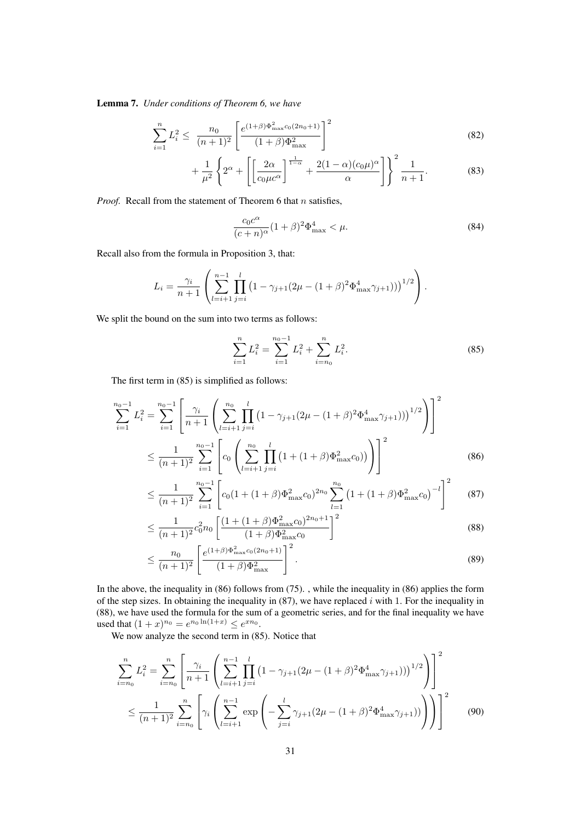Lemma 7. *Under conditions of Theorem 6, we have*

$$
\sum_{i=1}^{n} L_i^2 \le \frac{n_0}{(n+1)^2} \left[ \frac{e^{(1+\beta)\Phi_{\text{max}}^2 c_0 (2n_0+1)}}{(1+\beta)\Phi_{\text{max}}^2} \right]^2 \tag{82}
$$

$$
+\frac{1}{\mu^2} \left\{ 2^{\alpha} + \left[ \left[ \frac{2\alpha}{c_0 \mu c^{\alpha}} \right]^{\frac{1}{1-\alpha}} + \frac{2(1-\alpha)(c_0 \mu)^{\alpha}}{\alpha} \right] \right\}^2 \frac{1}{n+1}.
$$
 (83)

*Proof.* Recall from the statement of Theorem 6 that  $n$  satisfies,

$$
\frac{c_0 c^{\alpha}}{(c+n)^{\alpha}} (1+\beta)^2 \Phi_{\text{max}}^4 < \mu.
$$
 (84)

Recall also from the formula in Proposition 3, that:

$$
L_i = \frac{\gamma_i}{n+1} \left( \sum_{l=i+1}^{n-1} \prod_{j=i}^l \left( 1 - \gamma_{j+1} (2\mu - (1+\beta)^2 \Phi_{\text{max}}^4 \gamma_{j+1}) \right) \right)^{1/2} \right).
$$

We split the bound on the sum into two terms as follows:

$$
\sum_{i=1}^{n} L_i^2 = \sum_{i=1}^{n_0 - 1} L_i^2 + \sum_{i=n_0}^{n} L_i^2.
$$
 (85)

The first term in (85) is simplified as follows:

$$
\sum_{i=1}^{n_0-1} L_i^2 = \sum_{i=1}^{n_0-1} \left[ \frac{\gamma_i}{n+1} \left( \sum_{l=i+1}^{n_0} \prod_{j=i}^l \left( 1 - \gamma_{j+1} (2\mu - (1+\beta)^2 \Phi_{\text{max}}^4 \gamma_{j+1}) \right) \right)^{1/2} \right] \right]^2
$$
  

$$
\leq \frac{1}{(n+1)^2} \sum_{i=1}^{n_0-1} \left[ c_0 \left( \sum_{l=i+1}^{n_0} \prod_{j=i}^l \left( 1 + (1+\beta) \Phi_{\text{max}}^2 c_0 \right) \right) \right]^2
$$
(86)

$$
\leq \frac{1}{(n+1)^2} \sum_{i=1}^{n_0-1} \left[ c_0 (1 + (1+\beta) \Phi_{\text{max}}^2 c_0)^{2n_0} \sum_{l=1}^{n_0} \left( 1 + (1+\beta) \Phi_{\text{max}}^2 c_0 \right)^{-l} \right]^2 \tag{87}
$$

$$
\leq \frac{1}{(n+1)^2} c_0^2 n_0 \left[ \frac{(1 + (1+\beta)\Phi_{\text{max}}^2 c_0)^{2n_0+1}}{(1+\beta)\Phi_{\text{max}}^2 c_0} \right]^2
$$
\n(88)

$$
\leq \frac{n_0}{(n+1)^2} \left[ \frac{e^{(1+\beta)\Phi_{\text{max}}^2 c_0 (2n_0+1)}}{(1+\beta)\Phi_{\text{max}}^2} \right]^2.
$$
 (89)

In the above, the inequality in (86) follows from (75). , while the inequality in (86) applies the form of the step sizes. In obtaining the inequality in  $(87)$ , we have replaced i with 1. For the inequality in (88), we have used the formula for the sum of a geometric series, and for the final inequality we have used that  $(1+x)^{n_0} = e^{n_0 \ln(1+x)} \le e^{xn_0}$ .

We now analyze the second term in (85). Notice that

$$
\sum_{i=n_0}^{n} L_i^2 = \sum_{i=n_0}^{n} \left[ \frac{\gamma_i}{n+1} \left( \sum_{l=i+1}^{n-1} \prod_{j=i}^{l} (1 - \gamma_{j+1} (2\mu - (1+\beta)^2 \Phi_{\text{max}}^4 \gamma_{j+1})) \right)^{1/2} \right) \right]^2
$$
  

$$
\leq \frac{1}{(n+1)^2} \sum_{i=n_0}^{n} \left[ \gamma_i \left( \sum_{l=i+1}^{n-1} \exp \left( -\sum_{j=i}^{l} \gamma_{j+1} (2\mu - (1+\beta)^2 \Phi_{\text{max}}^4 \gamma_{j+1})) \right) \right) \right]^2
$$
(90)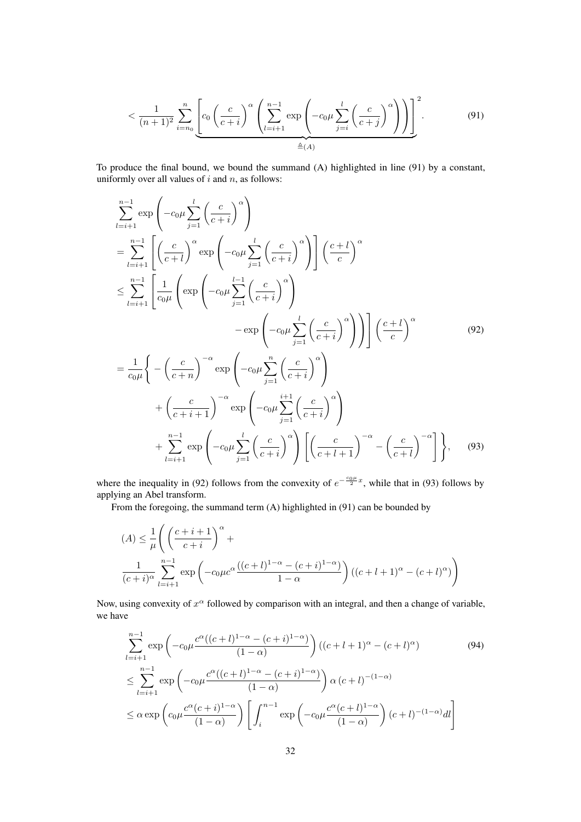$$
\langle \frac{1}{(n+1)^2} \sum_{i=n_0}^n \left[ c_0 \left( \frac{c}{c+i} \right)^{\alpha} \left( \sum_{l=i+1}^{n-1} \exp \left( -c_0 \mu \sum_{j=i}^l \left( \frac{c}{c+j} \right)^{\alpha} \right) \right) \right]^2. \tag{91}
$$

To produce the final bound, we bound the summand (A) highlighted in line (91) by a constant, uniformly over all values of  $i$  and  $n$ , as follows:

$$
\sum_{l=i+1}^{n-1} \exp\left(-c_0\mu \sum_{j=1}^{l} \left(\frac{c}{c+i}\right)^{\alpha}\right)
$$
\n
$$
= \sum_{l=i+1}^{n-1} \left[ \left(\frac{c}{c+l}\right)^{\alpha} \exp\left(-c_0\mu \sum_{j=1}^{l} \left(\frac{c}{c+i}\right)^{\alpha}\right) \right] \left(\frac{c+l}{c}\right)^{\alpha}
$$
\n
$$
\leq \sum_{l=i+1}^{n-1} \left[ \frac{1}{c_0\mu} \left( \exp\left(-c_0\mu \sum_{j=1}^{l-1} \left(\frac{c}{c+i}\right)^{\alpha}\right) \right) - \exp\left(-c_0\mu \sum_{j=1}^{l} \left(\frac{c}{c+i}\right)^{\alpha}\right) \right] \left(\frac{c+l}{c}\right)^{\alpha}
$$
\n
$$
= \frac{1}{c_0\mu} \left\{-\left(\frac{c}{c+n}\right)^{-\alpha} \exp\left(-c_0\mu \sum_{j=1}^{n} \left(\frac{c}{c+i}\right)^{\alpha}\right) \right\}
$$
\n
$$
+ \left(\frac{c}{c+i+1}\right)^{-\alpha} \exp\left(-c_0\mu \sum_{j=1}^{i+1} \left(\frac{c}{c+i}\right)^{\alpha}\right)
$$
\n
$$
+ \sum_{l=i+1}^{n-1} \exp\left(-c_0\mu \sum_{j=1}^{l} \left(\frac{c}{c+i}\right)^{\alpha}\right) \left[ \left(\frac{c}{c+l+1}\right)^{-\alpha} - \left(\frac{c}{c+l}\right)^{-\alpha}\right] \right\}, \quad (93)
$$

where the inequality in (92) follows from the convexity of  $e^{-\frac{c_0\mu}{2}x}$ , while that in (93) follows by applying an Abel transform.

From the foregoing, the summand term (A) highlighted in (91) can be bounded by

$$
(A) \leq \frac{1}{\mu} \left( \left( \frac{c+i+1}{c+i} \right)^{\alpha} + \frac{1}{(c+i)^{\alpha}} \sum_{l=i+1}^{n-1} \exp \left( -c_0 \mu c^{\alpha} \frac{((c+l)^{1-\alpha} - (c+i)^{1-\alpha})}{1-\alpha} \right) ((c+l+1)^{\alpha} - (c+l)^{\alpha}) \right)
$$

Now, using convexity of  $x^{\alpha}$  followed by comparison with an integral, and then a change of variable, we have

$$
\sum_{l=i+1}^{n-1} \exp\left(-c_0\mu \frac{c^{\alpha}((c+l)^{1-\alpha} - (c+i)^{1-\alpha})}{(1-\alpha)}\right) ((c+l+1)^{\alpha} - (c+l)^{\alpha})
$$
(94)  

$$
\leq \sum_{l=i+1}^{n-1} \exp\left(-c_0\mu \frac{c^{\alpha}((c+l)^{1-\alpha} - (c+i)^{1-\alpha})}{(1-\alpha)}\right) \alpha (c+l)^{-(1-\alpha)}
$$
  

$$
\leq \alpha \exp\left(c_0\mu \frac{c^{\alpha}(c+i)^{1-\alpha}}{(1-\alpha)}\right) \left[\int_i^{n-1} \exp\left(-c_0\mu \frac{c^{\alpha}(c+l)^{1-\alpha}}{(1-\alpha)}\right) (c+l)^{-(1-\alpha)} dl\right]
$$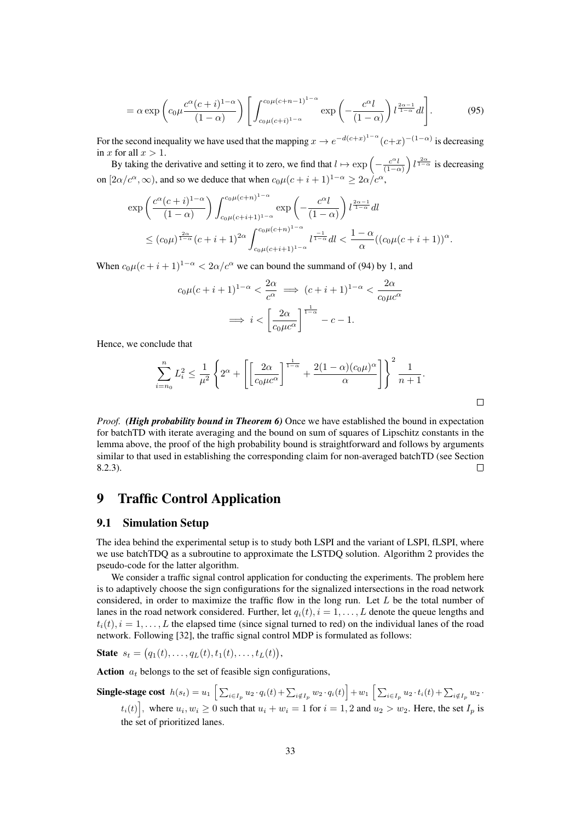$$
= \alpha \exp\left(c_0 \mu \frac{c^{\alpha}(c+i)^{1-\alpha}}{(1-\alpha)}\right) \left[\int_{c_0 \mu(c+i)^{1-\alpha}}^{c_0 \mu(c+n-1)^{1-\alpha}} \exp\left(-\frac{c^{\alpha}l}{(1-\alpha)}\right) l^{\frac{2\alpha-1}{1-\alpha}} dl\right].
$$
 (95)

For the second inequality we have used that the mapping  $x \to e^{-d(c+x)^{1-\alpha}}(c+x)^{-(1-\alpha)}$  is decreasing in x for all  $x > 1$ .

By taking the derivative and setting it to zero, we find that  $l \mapsto \exp \left(-\frac{c^{\alpha}l}{(1-c)^{\alpha}}\right)$  $(1-\alpha)$ )  $l^{\frac{2\alpha}{1-\alpha}}$  is decreasing on  $[2\alpha/c^{\alpha}, \infty)$ , and so we deduce that when  $c_0\mu(c+i+1)^{1-\alpha} \geq 2\alpha/c^{\alpha}$ ,

$$
\begin{aligned} \exp&\left(\frac{c^{\alpha}(c+i)^{1-\alpha}}{(1-\alpha)}\right) \int_{c_0\mu(c+i+1)^{1-\alpha}}^{c_0\mu(c+n)^{1-\alpha}} \exp\left(-\frac{c^{\alpha}l}{(1-\alpha)}\right) l^{\frac{2\alpha-1}{1-\alpha}} dl \\ &\leq (c_0\mu)^{\frac{2\alpha}{1-\alpha}}(c+i+1)^{2\alpha} \int_{c_0\mu(c+i+1)^{1-\alpha}}^{c_0\mu(c+n)^{1-\alpha}} l^{\frac{-1}{1-\alpha}} dl < \frac{1-\alpha}{\alpha} ((c_0\mu(c+i+1))^{\alpha}. \end{aligned}
$$

When  $c_0\mu(c+i+1)^{1-\alpha} < 2\alpha/c^{\alpha}$  we can bound the summand of (94) by 1, and

$$
c_0\mu(c+i+1)^{1-\alpha} < \frac{2\alpha}{c^{\alpha}} \implies (c+i+1)^{1-\alpha} < \frac{2\alpha}{c_0\mu c^{\alpha}}
$$
\n
$$
\implies i < \left[\frac{2\alpha}{c_0\mu c^{\alpha}}\right]^{\frac{1}{1-\alpha}} - c - 1.
$$

Hence, we conclude that

$$
\sum_{i=n_0}^n L_i^2 \le \frac{1}{\mu^2} \left\{ 2^{\alpha} + \left[ \left[ \frac{2\alpha}{c_0 \mu c^{\alpha}} \right]^{\frac{1}{1-\alpha}} + \frac{2(1-\alpha)(c_0 \mu)^{\alpha}}{\alpha} \right] \right\}^2 \frac{1}{n+1}.
$$

 $\Box$ 

*Proof. (High probability bound in Theorem 6)* Once we have established the bound in expectation for batchTD with iterate averaging and the bound on sum of squares of Lipschitz constants in the lemma above, the proof of the high probability bound is straightforward and follows by arguments similar to that used in establishing the corresponding claim for non-averaged batchTD (see Section 8.2.3).  $\Box$ 

## 9 Traffic Control Application

## 9.1 Simulation Setup

The idea behind the experimental setup is to study both LSPI and the variant of LSPI, fLSPI, where we use batchTDQ as a subroutine to approximate the LSTDQ solution. Algorithm 2 provides the pseudo-code for the latter algorithm.

We consider a traffic signal control application for conducting the experiments. The problem here is to adaptively choose the sign configurations for the signalized intersections in the road network considered, in order to maximize the traffic flow in the long run. Let  $L$  be the total number of lanes in the road network considered. Further, let  $q_i(t)$ ,  $i = 1, \ldots, L$  denote the queue lengths and  $t_i(t)$ ,  $i = 1, \ldots, L$  the elapsed time (since signal turned to red) on the individual lanes of the road network. Following [32], the traffic signal control MDP is formulated as follows:

State  $s_t = (q_1(t), \ldots, q_L(t), t_1(t), \ldots, t_L(t)),$ 

Action  $a_t$  belongs to the set of feasible sign configurations,

Single-stage cost  $h(s_t) = u_1 \left[ \sum_{i \in I_p} u_2 \cdot q_i(t) + \sum_{i \notin I_p} w_2 \cdot q_i(t) \right] + w_1 \left[ \sum_{i \in I_p} u_2 \cdot t_i(t) + \sum_{i \notin I_p} w_2 \cdot q_i(t) \right]$  $[t_i(t)]$ , where  $u_i, w_i \ge 0$  such that  $u_i + w_i = 1$  for  $i = 1, 2$  and  $u_2 > w_2$ . Here, the set  $I_p$  is the set of prioritized lanes.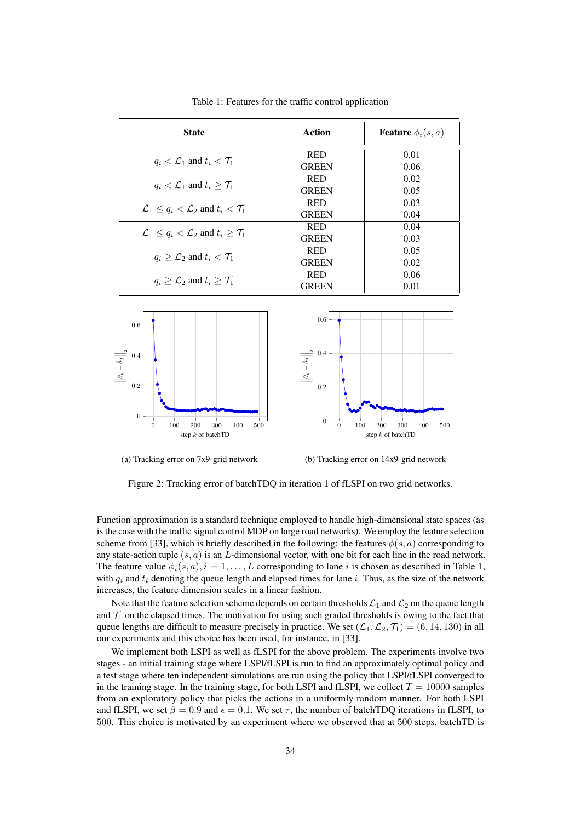| <b>State</b>                                                             | Action       | <b>Feature</b> $\phi_i(s, a)$ |
|--------------------------------------------------------------------------|--------------|-------------------------------|
| $q_i < \mathcal{L}_1$ and $t_i < \mathcal{T}_1$                          | <b>RED</b>   | 0.01                          |
|                                                                          | <b>GREEN</b> | 0.06                          |
| $q_i < \mathcal{L}_1$ and $t_i > \mathcal{T}_1$                          | <b>RED</b>   | 0.02                          |
|                                                                          | <b>GREEN</b> | 0.05                          |
| $\mathcal{L}_1 \leq q_i \leq \mathcal{L}_2$ and $t_i \leq \mathcal{T}_1$ | <b>RED</b>   | 0.03                          |
|                                                                          | <b>GREEN</b> | 0.04                          |
| $\mathcal{L}_1 \leq q_i < \mathcal{L}_2$ and $t_i \geq \mathcal{T}_1$    | <b>RED</b>   | 0.04                          |
|                                                                          | <b>GREEN</b> | 0.03                          |
| $q_i \geq \mathcal{L}_2$ and $t_i < \mathcal{T}_1$                       | <b>RED</b>   | 0.05                          |
|                                                                          | <b>GREEN</b> | 0.02                          |
|                                                                          | <b>RED</b>   | 0.06                          |
| $q_i > \mathcal{L}_2$ and $t_i > \mathcal{T}_1$                          | <b>GREEN</b> | 0.01                          |

Table 1: Features for the traffic control application



(a) Tracking error on 7x9-grid network

(b) Tracking error on 14x9-grid network

Figure 2: Tracking error of batchTDQ in iteration 1 of fLSPI on two grid networks.

Function approximation is a standard technique employed to handle high-dimensional state spaces (as is the case with the traffic signal control MDP on large road networks). We employ the feature selection scheme from [33], which is briefly described in the following: the features  $\phi(s, a)$  corresponding to any state-action tuple  $(s, a)$  is an L-dimensional vector, with one bit for each line in the road network. The feature value  $\phi_i(s, a), i = 1, \ldots, L$  corresponding to lane i is chosen as described in Table 1, with  $q_i$  and  $t_i$  denoting the queue length and elapsed times for lane i. Thus, as the size of the network increases, the feature dimension scales in a linear fashion.

Note that the feature selection scheme depends on certain thresholds  $\mathcal{L}_1$  and  $\mathcal{L}_2$  on the queue length and  $\mathcal{T}_1$  on the elapsed times. The motivation for using such graded thresholds is owing to the fact that queue lengths are difficult to measure precisely in practice. We set  $(\mathcal{L}_1, \mathcal{L}_2, \mathcal{T}_1) = (6, 14, 130)$  in all our experiments and this choice has been used, for instance, in [33].

We implement both LSPI as well as fLSPI for the above problem. The experiments involve two stages - an initial training stage where LSPI/fLSPI is run to find an approximately optimal policy and a test stage where ten independent simulations are run using the policy that LSPI/fLSPI converged to in the training stage. In the training stage, for both LSPI and fLSPI, we collect  $T = 10000$  samples from an exploratory policy that picks the actions in a uniformly random manner. For both LSPI and fLSPI, we set  $\beta = 0.9$  and  $\epsilon = 0.1$ . We set  $\tau$ , the number of batchTDQ iterations in fLSPI, to 500. This choice is motivated by an experiment where we observed that at 500 steps, batchTD is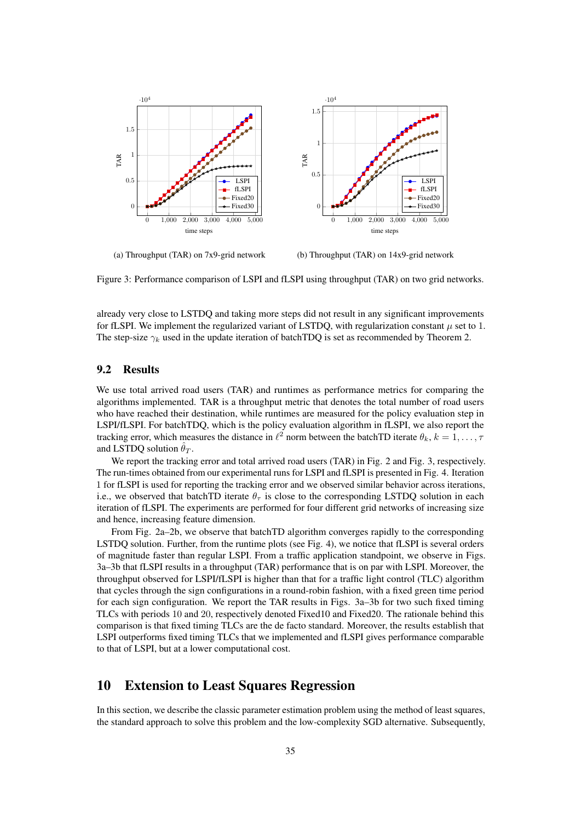

(a) Throughput (TAR) on 7x9-grid network

(b) Throughput (TAR) on 14x9-grid network

Figure 3: Performance comparison of LSPI and fLSPI using throughput (TAR) on two grid networks.

already very close to LSTDQ and taking more steps did not result in any significant improvements for fLSPI. We implement the regularized variant of LSTDQ, with regularization constant  $\mu$  set to 1. The step-size  $\gamma_k$  used in the update iteration of batchTDQ is set as recommended by Theorem 2.

## 9.2 Results

We use total arrived road users (TAR) and runtimes as performance metrics for comparing the algorithms implemented. TAR is a throughput metric that denotes the total number of road users who have reached their destination, while runtimes are measured for the policy evaluation step in LSPI/fLSPI. For batchTDQ, which is the policy evaluation algorithm in fLSPI, we also report the tracking error, which measures the distance in  $\ell^2$  norm between the batchTD iterate  $\theta_k$ ,  $k = 1, \ldots, \tau$ and LSTDQ solution  $\theta_T$ .

We report the tracking error and total arrived road users (TAR) in Fig. 2 and Fig. 3, respectively. The run-times obtained from our experimental runs for LSPI and fLSPI is presented in Fig. 4. Iteration 1 for fLSPI is used for reporting the tracking error and we observed similar behavior across iterations, i.e., we observed that batchTD iterate  $\theta_{\tau}$  is close to the corresponding LSTDQ solution in each iteration of fLSPI. The experiments are performed for four different grid networks of increasing size and hence, increasing feature dimension.

From Fig. 2a–2b, we observe that batchTD algorithm converges rapidly to the corresponding LSTDQ solution. Further, from the runtime plots (see Fig. 4), we notice that fLSPI is several orders of magnitude faster than regular LSPI. From a traffic application standpoint, we observe in Figs. 3a–3b that fLSPI results in a throughput (TAR) performance that is on par with LSPI. Moreover, the throughput observed for LSPI/fLSPI is higher than that for a traffic light control (TLC) algorithm that cycles through the sign configurations in a round-robin fashion, with a fixed green time period for each sign configuration. We report the TAR results in Figs. 3a–3b for two such fixed timing TLCs with periods 10 and 20, respectively denoted Fixed10 and Fixed20. The rationale behind this comparison is that fixed timing TLCs are the de facto standard. Moreover, the results establish that LSPI outperforms fixed timing TLCs that we implemented and fLSPI gives performance comparable to that of LSPI, but at a lower computational cost.

## 10 Extension to Least Squares Regression

In this section, we describe the classic parameter estimation problem using the method of least squares, the standard approach to solve this problem and the low-complexity SGD alternative. Subsequently,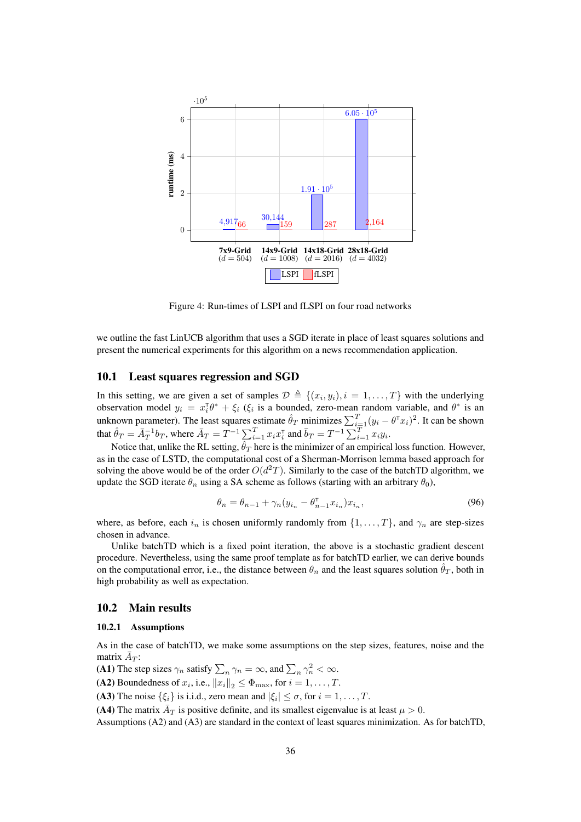

Figure 4: Run-times of LSPI and fLSPI on four road networks

we outline the fast LinUCB algorithm that uses a SGD iterate in place of least squares solutions and present the numerical experiments for this algorithm on a news recommendation application.

## 10.1 Least squares regression and SGD

In this setting, we are given a set of samples  $\mathcal{D} \triangleq \{(x_i, y_i), i = 1, ..., T\}$  with the underlying observation model  $y_i = x_i^T \theta^* + \xi_i$  ( $\xi_i$  is a bounded, zero-mean random variable, and  $\theta^*$  is an unknown parameter). The least squares estimate  $\hat{\theta}_T$  minimizes  $\sum_{i=1}^T (y_i - \theta^{\dagger} x_i)^2$ . It can be shown that  $\hat{\theta}_T = \bar{A}_T^{-1} b_T$ , where  $\bar{A}_T = T^{-1} \sum_{i=1}^T x_i x_i^{\intercal}$  and  $\bar{b}_T = T^{-1} \sum_{i=1}^T x_i y_i$ .

Notice that, unlike the RL setting,  $\hat{\theta}_T$  here is the minimizer of an empirical loss function. However, as in the case of LSTD, the computational cost of a Sherman-Morrison lemma based approach for solving the above would be of the order  $O(d^2T)$ . Similarly to the case of the batchTD algorithm, we update the SGD iterate  $\theta_n$  using a SA scheme as follows (starting with an arbitrary  $\theta_0$ ),

$$
\theta_n = \theta_{n-1} + \gamma_n (y_{i_n} - \theta_{n-1}^\mathsf{T} x_{i_n}) x_{i_n},\tag{96}
$$

where, as before, each  $i_n$  is chosen uniformly randomly from  $\{1, \ldots, T\}$ , and  $\gamma_n$  are step-sizes chosen in advance.

Unlike batchTD which is a fixed point iteration, the above is a stochastic gradient descent procedure. Nevertheless, using the same proof template as for batchTD earlier, we can derive bounds on the computational error, i.e., the distance between  $\theta_n$  and the least squares solution  $\hat{\theta}_T$ , both in high probability as well as expectation.

## 10.2 Main results

### 10.2.1 Assumptions

As in the case of batchTD, we make some assumptions on the step sizes, features, noise and the matrix  $\bar{A}_T$ :

(A1) The step sizes  $\gamma_n$  satisfy  $\sum_n \gamma_n = \infty$ , and  $\sum_n \gamma_n^2 < \infty$ .

(A2) Boundedness of  $x_i$ , i.e.,  $||x_i||_2 \le \Phi_{\text{max}}$ , for  $i = 1, ..., T$ .

(A3) The noise  $\{\xi_i\}$  is i.i.d., zero mean and  $|\xi_i| \leq \sigma$ , for  $i = 1, \ldots, T$ .

(A4) The matrix  $\overline{A}_T$  is positive definite, and its smallest eigenvalue is at least  $\mu > 0$ .

Assumptions (A2) and (A3) are standard in the context of least squares minimization. As for batchTD,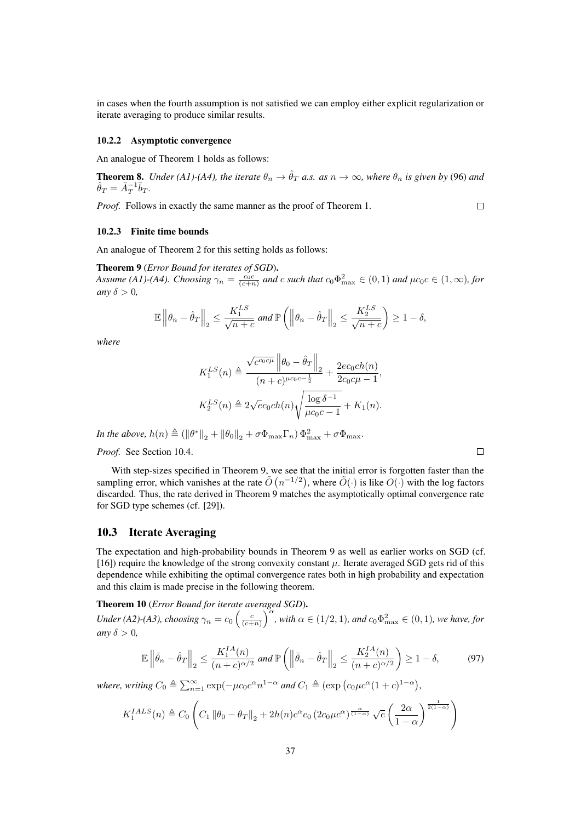in cases when the fourth assumption is not satisfied we can employ either explicit regularization or iterate averaging to produce similar results.

#### 10.2.2 Asymptotic convergence

An analogue of Theorem 1 holds as follows:

**Theorem 8.** *Under* (A1)-(A4), the iterate  $\theta_n \to \hat{\theta}_T$  *a.s.* as  $n \to \infty$ , where  $\theta_n$  is given by (96) and  $\hat{\theta}_T = \bar{A}_T^{-1} \bar{b}_T.$ 

*Proof.* Follows in exactly the same manner as the proof of Theorem 1.

### $\Box$

### 10.2.3 Finite time bounds

An analogue of Theorem 2 for this setting holds as follows:

Theorem 9 (*Error Bound for iterates of SGD*). *Assume* (A1)-(A4). Choosing  $\gamma_n = \frac{c_0 c}{(c+n)}$  and c such that  $c_0 \Phi_{\text{max}}^2 \in (0,1)$  and  $\mu c_0 c \in (1,\infty)$ , for *any*  $\delta > 0$ *,* 

$$
\mathbb{E}\left\|\theta_n-\hat{\theta}_T\right\|_2 \le \frac{K_1^{LS}}{\sqrt{n+c}} \text{ and } \mathbb{P}\left(\left\|\theta_n-\hat{\theta}_T\right\|_2 \le \frac{K_2^{LS}}{\sqrt{n+c}}\right) \ge 1-\delta,
$$

*where*

$$
K_1^{LS}(n) \triangleq \frac{\sqrt{c^{c_0 c \mu}} ||\theta_0 - \hat{\theta}_T||_2}{(n+c)^{\mu c_0 c - \frac{1}{2}}} + \frac{2e c_0 ch(n)}{2c_0 c \mu - 1},
$$
  

$$
K_2^{LS}(n) \triangleq 2\sqrt{e}c_0 ch(n) \sqrt{\frac{\log \delta^{-1}}{\mu c_0 c - 1}} + K_1(n).
$$

*In the above,*  $h(n) \triangleq (||\theta^*||_2 + ||\theta_0||_2 + \sigma \Phi_{\text{max}} \Gamma_n) \Phi_{\text{max}}^2 + \sigma \Phi_{\text{max}}.$ 

*Proof.* See Section 10.4.

With step-sizes specified in Theorem 9, we see that the initial error is forgotten faster than the sampling error, which vanishes at the rate  $\tilde{O}(n^{-1/2})$ , where  $\tilde{O}(\cdot)$  is like  $O(\cdot)$  with the log factors discarded. Thus, the rate derived in Theorem 9 matches the asymptotically optimal convergence rate for SGD type schemes (cf. [29]).

## 10.3 Iterate Averaging

The expectation and high-probability bounds in Theorem 9 as well as earlier works on SGD (cf. [16]) require the knowledge of the strong convexity constant  $\mu$ . Iterate averaged SGD gets rid of this dependence while exhibiting the optimal convergence rates both in high probability and expectation and this claim is made precise in the following theorem.

Theorem 10 (*Error Bound for iterate averaged SGD*). *Under* (A2)-(A3), choosing  $\gamma_n = c_0 \left( \frac{c}{(c+n)} \right)^{\alpha}$ , with  $\alpha \in (1/2, 1)$ , and  $c_0 \Phi_{\text{max}}^2 \in (0, 1)$ , we have, for *any*  $\delta > 0$ *,* 

$$
\mathbb{E}\left\|\bar{\theta}_n - \hat{\theta}_T\right\|_2 \le \frac{K_1^{IA}(n)}{(n+c)^{\alpha/2}} \text{ and } \mathbb{P}\left(\left\|\bar{\theta}_n - \hat{\theta}_T\right\|_2 \le \frac{K_2^{IA}(n)}{(n+c)^{\alpha/2}}\right) \ge 1-\delta,\tag{97}
$$

*where, writing*  $C_0 \triangleq \sum_{n=1}^{\infty} \exp(-\mu c_0 c^{\alpha} n^{1-\alpha} \text{ and } C_1 \triangleq (\exp(c_0 \mu c^{\alpha} (1+c)^{1-\alpha}),$ 

$$
K_1^{IALS}(n) \triangleq C_0 \left( C_1 \left\| \theta_0 - \theta_T \right\|_2 + 2h(n)c^{\alpha} c_0 \left( 2c_0 \mu c^{\alpha} \right)^{\frac{\alpha}{(1-\alpha)}} \sqrt{e} \left( \frac{2\alpha}{1-\alpha} \right)^{\frac{1}{2(1-\alpha)}} \right)
$$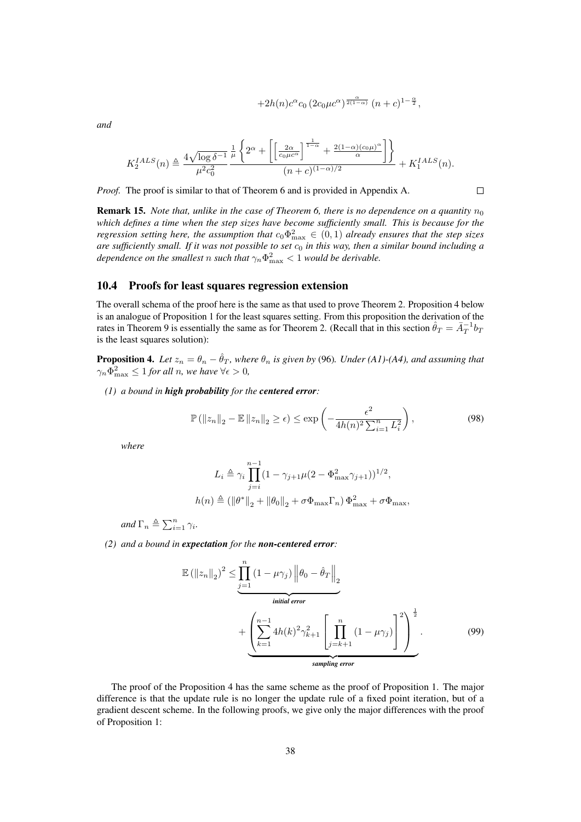$$
+2h(n)c^{\alpha}c_0\left(2c_0\mu c^{\alpha}\right)^{\frac{\alpha}{2(1-\alpha)}}(n+c)^{1-\frac{\alpha}{2}},
$$

 $\Box$ 

*and*

$$
K_2^{IALS}(n) \triangleq \frac{4\sqrt{\log \delta^{-1}}}{\mu^2 c_0^2} \frac{\frac{1}{\mu} \left\{ 2^{\alpha} + \left[ \left[ \frac{2\alpha}{c_0 \mu c^{\alpha}} \right]^{\frac{1}{1-\alpha}} + \frac{2(1-\alpha)(c_0 \mu)^{\alpha}}{\alpha} \right] \right\}}{(n+c)^{(1-\alpha)/2}} + K_1^{IALS}(n).
$$

*Proof.* The proof is similar to that of Theorem 6 and is provided in Appendix A.

**Remark 15.** *Note that, unlike in the case of Theorem 6, there is no dependence on a quantity*  $n_0$ *which defines a time when the step sizes have become sufficiently small. This is because for the regression setting here, the assumption that*  $c_0 \Phi_{\text{max}}^2 \in (0, 1)$  *already ensures that the step sizes are sufficiently small. If it was not possible to set* c<sup>0</sup> *in this way, then a similar bound including a* dependence on the smallest  $n$  such that  $\gamma_n\Phi_{\rm max}^2 < 1$  would be derivable.

## 10.4 Proofs for least squares regression extension

The overall schema of the proof here is the same as that used to prove Theorem 2. Proposition 4 below is an analogue of Proposition 1 for the least squares setting. From this proposition the derivation of the rates in Theorem 9 is essentially the same as for Theorem 2. (Recall that in this section  $\hat{\theta}_T = \bar{A}_T^{-1} b_T$ is the least squares solution):

**Proposition 4.** Let  $z_n = \theta_n - \hat{\theta}_T$ , where  $\theta_n$  is given by (96). Under (A1)-(A4), and assuming that  $\gamma_n \Phi_{\text{max}}^2 \leq 1$  for all n, we have  $\forall \epsilon > 0$ ,

*(1) a bound in high probability for the centered error:*

$$
\mathbb{P}\left(\left\|z_{n}\right\|_{2}-\mathbb{E}\left\|z_{n}\right\|_{2}\geq\epsilon\right)\leq\exp\left(-\frac{\epsilon^{2}}{4h(n)^{2}\sum_{i=1}^{n}L_{i}^{2}}\right),\tag{98}
$$

*where*

$$
L_i \triangleq \gamma_i \prod_{j=i}^{n-1} (1 - \gamma_{j+1} \mu (2 - \Phi_{\text{max}}^2 \gamma_{j+1}))^{1/2},
$$
  

$$
h(n) \triangleq (\|\theta^*\|_2 + \|\theta_0\|_2 + \sigma \Phi_{\text{max}} \Gamma_n) \Phi_{\text{max}}^2 + \sigma \Phi_{\text{max}},
$$

*and*  $\Gamma_n \triangleq \sum_{i=1}^n \gamma_i$ *.* 

*(2) and a bound in expectation for the non-centered error:*

$$
\mathbb{E}(\|z_n\|_2)^2 \leq \underbrace{\prod_{j=1}^n (1 - \mu \gamma_j) \left\|\theta_0 - \hat{\theta}_T\right\|_2}_{initial\ error} + \underbrace{\left(\sum_{k=1}^{n-1} 4h(k)^2 \gamma_{k+1}^2 \left[\prod_{j=k+1}^n (1 - \mu \gamma_j)\right]^2\right)^{\frac{1}{2}}}_{sampling\ error}.
$$
\n(99)

The proof of the Proposition 4 has the same scheme as the proof of Proposition 1. The major difference is that the update rule is no longer the update rule of a fixed point iteration, but of a gradient descent scheme. In the following proofs, we give only the major differences with the proof of Proposition 1: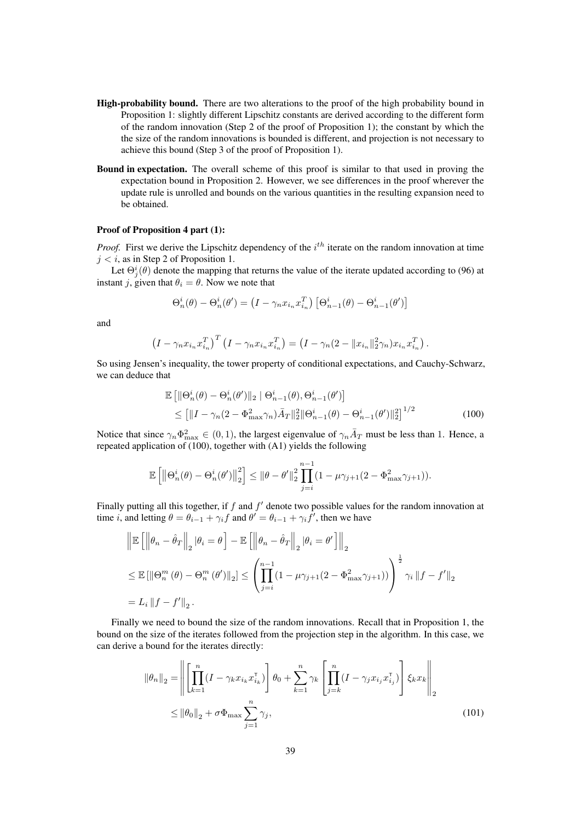- High-probability bound. There are two alterations to the proof of the high probability bound in Proposition 1: slightly different Lipschitz constants are derived according to the different form of the random innovation (Step 2 of the proof of Proposition 1); the constant by which the the size of the random innovations is bounded is different, and projection is not necessary to achieve this bound (Step 3 of the proof of Proposition 1).
- Bound in expectation. The overall scheme of this proof is similar to that used in proving the expectation bound in Proposition 2. However, we see differences in the proof wherever the update rule is unrolled and bounds on the various quantities in the resulting expansion need to be obtained.

## Proof of Proposition 4 part (1):

*Proof.* First we derive the Lipschitz dependency of the  $i^{th}$  iterate on the random innovation at time  $j < i$ , as in Step 2 of Proposition 1.

Let  $\Theta_j^i(\theta)$  denote the mapping that returns the value of the iterate updated according to (96) at instant j, given that  $\theta_i = \theta$ . Now we note that

$$
\Theta_n^i(\theta) - \Theta_n^i(\theta') = \left(I - \gamma_n x_{i_n} x_{i_n}^T\right) \left[\Theta_{n-1}^i(\theta) - \Theta_{n-1}^i(\theta')\right]
$$

and

$$
\left(I - \gamma_n x_{i_n} x_{i_n}^T\right)^T \left(I - \gamma_n x_{i_n} x_{i_n}^T\right) = \left(I - \gamma_n (2 - \|x_{i_n}\|_2^2 \gamma_n) x_{i_n} x_{i_n}^T\right)
$$

So using Jensen's inequality, the tower property of conditional expectations, and Cauchy-Schwarz, we can deduce that

$$
\mathbb{E}\left[\|\Theta_n^i(\theta) - \Theta_n^i(\theta')\|_2 \mid \Theta_{n-1}^i(\theta), \Theta_{n-1}^i(\theta')\right] \le \left[\|I - \gamma_n(2 - \Phi_{\text{max}}^2 \gamma_n)\bar{A}_T\|_2^2 \|\Theta_{n-1}^i(\theta) - \Theta_{n-1}^i(\theta')\|_2^2\right]^{1/2} \tag{100}
$$

.

Notice that since  $\gamma_n \Phi_{\max}^2 \in (0,1)$ , the largest eigenvalue of  $\gamma_n \bar{A}_T$  must be less than 1. Hence, a repeated application of (100), together with (A1) yields the following

$$
\mathbb{E}\left[\left\|\Theta_n^i(\theta)-\Theta_n^i(\theta')\right\|_2^2\right] \leq \|\theta-\theta'\|_2^2 \prod_{j=i}^{n-1} (1-\mu\gamma_{j+1}(2-\Phi_{\max}^2\gamma_{j+1})).
$$

Finally putting all this together, if  $f$  and  $f'$  denote two possible values for the random innovation at time *i*, and letting  $\theta = \theta_{i-1} + \gamma_i f$  and  $\theta' = \theta_{i-1} + \gamma_i f'$ , then we have

$$
\|\mathbb{E}\left[\left\|\theta_{n}-\hat{\theta}_{T}\right\|_{2}|\theta_{i}=\theta\right]-\mathbb{E}\left[\left\|\theta_{n}-\hat{\theta}_{T}\right\|_{2}|\theta_{i}=\theta'\right]\right\|_{2}
$$
  

$$
\leq \mathbb{E}\left[\left\|\Theta_{n}^{m}\left(\theta\right)-\Theta_{n}^{m}\left(\theta'\right)\right\|_{2}\right] \leq \left(\prod_{j=i}^{n-1} \left(1-\mu\gamma_{j+1}\left(2-\Phi_{\max}^{2}\gamma_{j+1}\right)\right)\right)^{\frac{1}{2}}\gamma_{i}\left\|f-f'\right\|_{2}
$$
  

$$
=L_{i}\left\|f-f'\right\|_{2}.
$$

Finally we need to bound the size of the random innovations. Recall that in Proposition 1, the bound on the size of the iterates followed from the projection step in the algorithm. In this case, we can derive a bound for the iterates directly:

$$
\|\theta_n\|_2 = \left\| \left[ \prod_{k=1}^n (I - \gamma_k x_{i_k} x_{i_k}^\mathsf{T}) \right] \theta_0 + \sum_{k=1}^n \gamma_k \left[ \prod_{j=k}^n (I - \gamma_j x_{i_j} x_{i_j}^\mathsf{T}) \right] \xi_k x_k \right\|_2
$$
  

$$
\leq \|\theta_0\|_2 + \sigma \Phi_{\text{max}} \sum_{j=1}^n \gamma_j,
$$
 (101)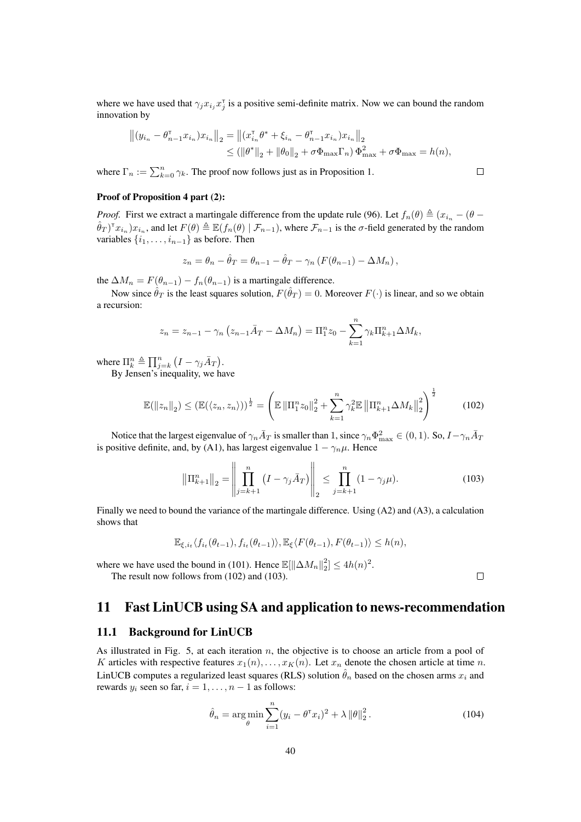where we have used that  $\gamma_j x_{i_j} x_j^{\dagger}$  is a positive semi-definite matrix. Now we can bound the random innovation by

$$
||(y_{i_n} - \theta_{n-1}^{\mathsf{T}} x_{i_n}) x_{i_n}||_2 = ||(x_{i_n}^{\mathsf{T}} \theta^* + \xi_{i_n} - \theta_{n-1}^{\mathsf{T}} x_{i_n}) x_{i_n}||_2
$$
  

$$
\leq (||\theta^*||_2 + ||\theta_0||_2 + \sigma \Phi_{\max} \Gamma_n) \Phi_{\max}^2 + \sigma \Phi_{\max} = h(n),
$$

where  $\Gamma_n := \sum_{k=0}^n \gamma_k$ . The proof now follows just as in Proposition 1.

### Proof of Proposition 4 part (2):

*Proof.* First we extract a martingale difference from the update rule (96). Let  $f_n(\theta) \triangleq (x_{i_n} - (\theta - \theta)^2)$  $(\hat{\theta}_T)^{\intercal} x_{i_n}) x_{i_n}$ , and let  $F(\theta) \triangleq \mathbb{E}(f_n(\theta) | \mathcal{F}_{n-1})$ , where  $\mathcal{F}_{n-1}$  is the  $\sigma$ -field generated by the random variables  $\{i_1, \ldots, i_{n-1}\}$  as before. Then

$$
z_n = \theta_n - \hat{\theta}_T = \theta_{n-1} - \hat{\theta}_T - \gamma_n (F(\theta_{n-1}) - \Delta M_n),
$$

the  $\Delta M_n = F(\theta_{n-1}) - f_n(\theta_{n-1})$  is a martingale difference.

Now since  $\hat{\theta}_T$  is the least squares solution,  $F(\hat{\theta}_T) = 0$ . Moreover  $F(\cdot)$  is linear, and so we obtain a recursion:

$$
z_n = z_{n-1} - \gamma_n (z_{n-1} \bar{A}_T - \Delta M_n) = \Pi_1^n z_0 - \sum_{k=1}^n \gamma_k \Pi_{k+1}^n \Delta M_k,
$$

where  $\Pi_{k}^{n} \triangleq \prod_{j=k}^{n} (I - \gamma_{j} \bar{A}_{T}).$ 

By Jensen's inequality, we have

$$
\mathbb{E}(\|z_n\|_2) \le (\mathbb{E}(\langle z_n, z_n \rangle))^{\frac{1}{2}} = \left(\mathbb{E}\left\|\Pi_1^n z_0\right\|_2^2 + \sum_{k=1}^n \gamma_k^2 \mathbb{E}\left\|\Pi_{k+1}^n \Delta M_k\right\|_2^2\right)^{\frac{1}{2}}\tag{102}
$$

Notice that the largest eigenvalue of  $\gamma_n \bar{A}_T$  is smaller than 1, since  $\gamma_n \Phi_{\max}^2 \in (0,1)$ . So,  $I-\gamma_n \bar{A}_T$ is positive definite, and, by (A1), has largest eigenvalue  $1 - \gamma_n \mu$ . Hence

$$
\left\|\Pi_{k+1}^{n}\right\|_{2} = \left\|\prod_{j=k+1}^{n} (I - \gamma_{j} \bar{A}_{T})\right\|_{2} \le \prod_{j=k+1}^{n} (1 - \gamma_{j} \mu). \tag{103}
$$

Finally we need to bound the variance of the martingale difference. Using (A2) and (A3), a calculation shows that

$$
\mathbb{E}_{\xi,i_t} \langle f_{i_t}(\theta_{t-1}), f_{i_t}(\theta_{t-1}) \rangle, \mathbb{E}_{\xi} \langle F(\theta_{t-1}), F(\theta_{t-1}) \rangle \le h(n),
$$

where we have used the bound in (101). Hence  $\mathbb{E}[\|\Delta M_n\|_2^2] \le 4h(n)^2$ . The result now follows from (102) and (103).

## 11 Fast LinUCB using SA and application to news-recommendation

### 11.1 Background for LinUCB

As illustrated in Fig. 5, at each iteration  $n$ , the objective is to choose an article from a pool of K articles with respective features  $x_1(n), \ldots, x_K(n)$ . Let  $x_n$  denote the chosen article at time n. LinUCB computes a regularized least squares (RLS) solution  $\hat{\theta}_n$  based on the chosen arms  $x_i$  and rewards  $y_i$  seen so far,  $i = 1, \ldots, n - 1$  as follows:

$$
\hat{\theta}_n = \underset{\theta}{\arg\min} \sum_{i=1}^n (y_i - \theta^\mathsf{T} x_i)^2 + \lambda \left\| \theta \right\|_2^2. \tag{104}
$$

 $\Box$ 

 $\Box$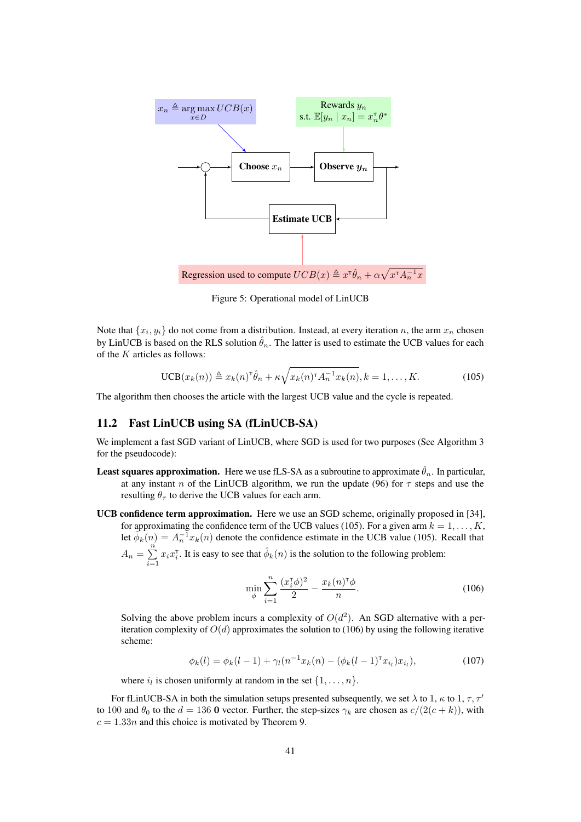

Figure 5: Operational model of LinUCB

Note that  $\{x_i, y_i\}$  do not come from a distribution. Instead, at every iteration n, the arm  $x_n$  chosen by LinUCB is based on the RLS solution  $\hat{\theta}_n$ . The latter is used to estimate the UCB values for each of the  $K$  articles as follows:

$$
UCB(x_k(n)) \triangleq x_k(n)^{\mathsf{T}} \hat{\theta}_n + \kappa \sqrt{x_k(n)^{\mathsf{T}} A_n^{-1} x_k(n)}, k = 1, \dots, K. \tag{105}
$$

The algorithm then chooses the article with the largest UCB value and the cycle is repeated.

## 11.2 Fast LinUCB using SA (fLinUCB-SA)

We implement a fast SGD variant of LinUCB, where SGD is used for two purposes (See Algorithm 3 for the pseudocode):

- **Least squares approximation.** Here we use fLS-SA as a subroutine to approximate  $\hat{\theta}_n$ . In particular, at any instant n of the LinUCB algorithm, we run the update (96) for  $\tau$  steps and use the resulting  $\theta_{\tau}$  to derive the UCB values for each arm.
- UCB confidence term approximation. Here we use an SGD scheme, originally proposed in [34], for approximating the confidence term of the UCB values (105). For a given arm  $k = 1, ..., K$ , let  $\phi_k(n) = A_n^{-1} x_k(n)$  denote the confidence estimate in the UCB value (105). Recall that  $A_n = \sum_{n=1}^{n} A_n$  $\sum_{i=1}^{N} x_i x_i^{\intercal}$ . It is easy to see that  $\hat{\phi}_k(n)$  is the solution to the following problem:

$$
\min_{\phi} \sum_{i=1}^{n} \frac{(x_i^{\tau} \phi)^2}{2} - \frac{x_k(n)^{\tau} \phi}{n}.
$$
\n(106)

Solving the above problem incurs a complexity of  $O(d^2)$ . An SGD alternative with a periteration complexity of  $O(d)$  approximates the solution to (106) by using the following iterative scheme:

$$
\phi_k(l) = \phi_k(l-1) + \gamma_l(n^{-1}x_k(n) - (\phi_k(l-1)^\top x_{i_l})x_{i_l}),\tag{107}
$$

where  $i_l$  is chosen uniformly at random in the set  $\{1, \ldots, n\}$ .

For fLinUCB-SA in both the simulation setups presented subsequently, we set  $\lambda$  to 1,  $\kappa$  to 1,  $\tau$ ,  $\tau'$ to 100 and  $\theta_0$  to the  $d = 136$  O vector. Further, the step-sizes  $\gamma_k$  are chosen as  $c/(2(c + k))$ , with  $c = 1.33n$  and this choice is motivated by Theorem 9.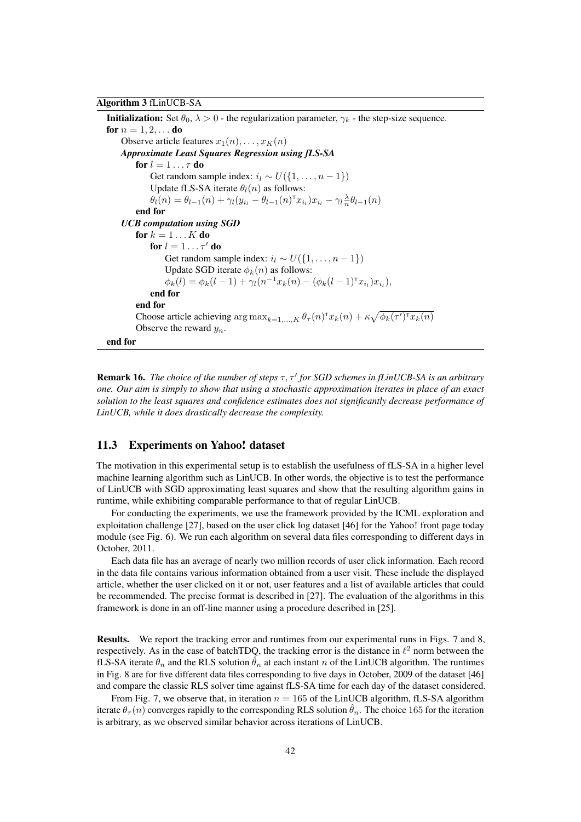Algorithm 3 fLinUCB-SA

**Initialization:** Set  $\theta_0$ ,  $\lambda > 0$  - the regularization parameter,  $\gamma_k$  - the step-size sequence. **for**  $n = 1, 2, ...$  **do** Observe article features  $x_1(n), \ldots, x_K(n)$ *Approximate Least Squares Regression using fLS-SA* for  $l = 1 \ldots \tau$  do Get random sample index:  $i_l \sim U({1, \ldots, n-1})$ Update fLS-SA iterate  $\theta_l(n)$  as follows:  $\theta_l(n) = \theta_{l-1}(n) + \gamma_l (y_{i_l} - \theta_{l-1}(n)^\mathsf{T} x_{i_l}) x_{i_l} - \gamma_l \frac{\lambda}{n} \theta_{l-1}(n)$ end for *UCB computation using SGD* for  $k = 1...K$  do for  $l = 1 \ldots \tau'$  do Get random sample index:  $i_l \sim U({1, \ldots, n-1})$ Update SGD iterate  $\phi_k(n)$  as follows:  $\phi_k(l) = \phi_k(l-1) + \gamma_l(n^{-1}x_k(n) - (\phi_k(l-1)^\mathsf{T} x_{i_l})x_{i_l}),$ end for end for Choose article achieving  $\arg \max_{k=1,...,K} \theta_{\tau}(n)^{\intercal} x_k(n) + \kappa \sqrt{\phi_k(\tau')^{\intercal} x_k(n)}$ Observe the reward  $y_n$ . end for

**Remark 16.** *The choice of the number of steps*  $\tau$ ,  $\tau'$  *for SGD schemes in fLinUCB-SA is an arbitrary one. Our aim is simply to show that using a stochastic approximation iterates in place of an exact solution to the least squares and confidence estimates does not significantly decrease performance of LinUCB, while it does drastically decrease the complexity.*

## 11.3 Experiments on Yahoo! dataset

The motivation in this experimental setup is to establish the usefulness of fLS-SA in a higher level machine learning algorithm such as LinUCB. In other words, the objective is to test the performance of LinUCB with SGD approximating least squares and show that the resulting algorithm gains in runtime, while exhibiting comparable performance to that of regular LinUCB.

For conducting the experiments, we use the framework provided by the ICML exploration and exploitation challenge [27], based on the user click log dataset [46] for the Yahoo! front page today module (see Fig. 6). We run each algorithm on several data files corresponding to different days in October, 2011.

Each data file has an average of nearly two million records of user click information. Each record in the data file contains various information obtained from a user visit. These include the displayed article, whether the user clicked on it or not, user features and a list of available articles that could be recommended. The precise format is described in [27]. The evaluation of the algorithms in this framework is done in an off-line manner using a procedure described in [25].

Results. We report the tracking error and runtimes from our experimental runs in Figs. 7 and 8, respectively. As in the case of batchTDQ, the tracking error is the distance in  $\ell^2$  norm between the fLS-SA iterate  $\theta_n$  and the RLS solution  $\theta_n$  at each instant n of the LinUCB algorithm. The runtimes in Fig. 8 are for five different data files corresponding to five days in October, 2009 of the dataset [46] and compare the classic RLS solver time against fLS-SA time for each day of the dataset considered.

From Fig. 7, we observe that, in iteration  $n = 165$  of the LinUCB algorithm, fLS-SA algorithm iterate  $\theta_{\tau}(n)$  converges rapidly to the corresponding RLS solution  $\hat{\theta}_n$ . The choice 165 for the iteration is arbitrary, as we observed similar behavior across iterations of LinUCB.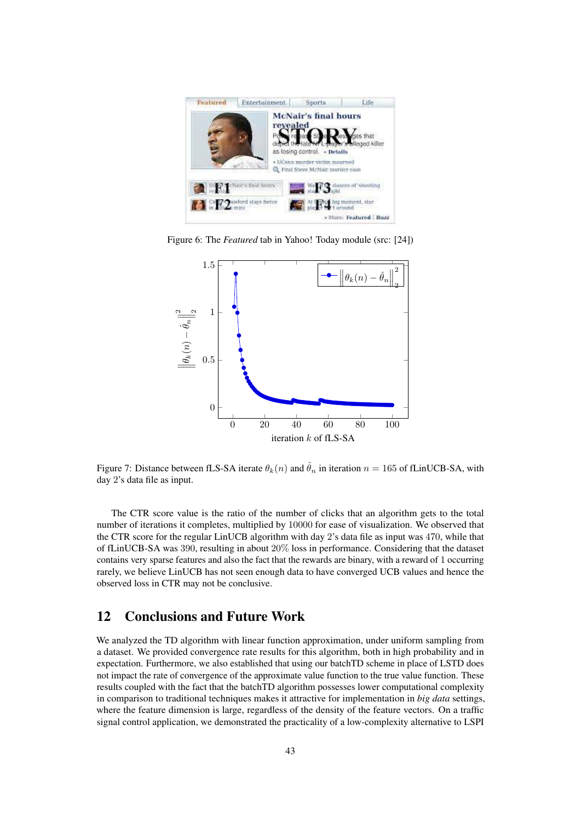

Figure 6: The *Featured* tab in Yahoo! Today module (src: [24])



Figure 7: Distance between fLS-SA iterate  $\theta_k(n)$  and  $\hat{\theta}_n$  in iteration  $n = 165$  of fLinUCB-SA, with day 2's data file as input.

The CTR score value is the ratio of the number of clicks that an algorithm gets to the total number of iterations it completes, multiplied by 10000 for ease of visualization. We observed that the CTR score for the regular LinUCB algorithm with day 2's data file as input was 470, while that of fLinUCB-SA was 390, resulting in about 20% loss in performance. Considering that the dataset contains very sparse features and also the fact that the rewards are binary, with a reward of 1 occurring rarely, we believe LinUCB has not seen enough data to have converged UCB values and hence the observed loss in CTR may not be conclusive.

## 12 Conclusions and Future Work

We analyzed the TD algorithm with linear function approximation, under uniform sampling from a dataset. We provided convergence rate results for this algorithm, both in high probability and in expectation. Furthermore, we also established that using our batchTD scheme in place of LSTD does not impact the rate of convergence of the approximate value function to the true value function. These results coupled with the fact that the batchTD algorithm possesses lower computational complexity in comparison to traditional techniques makes it attractive for implementation in *big data* settings, where the feature dimension is large, regardless of the density of the feature vectors. On a traffic signal control application, we demonstrated the practicality of a low-complexity alternative to LSPI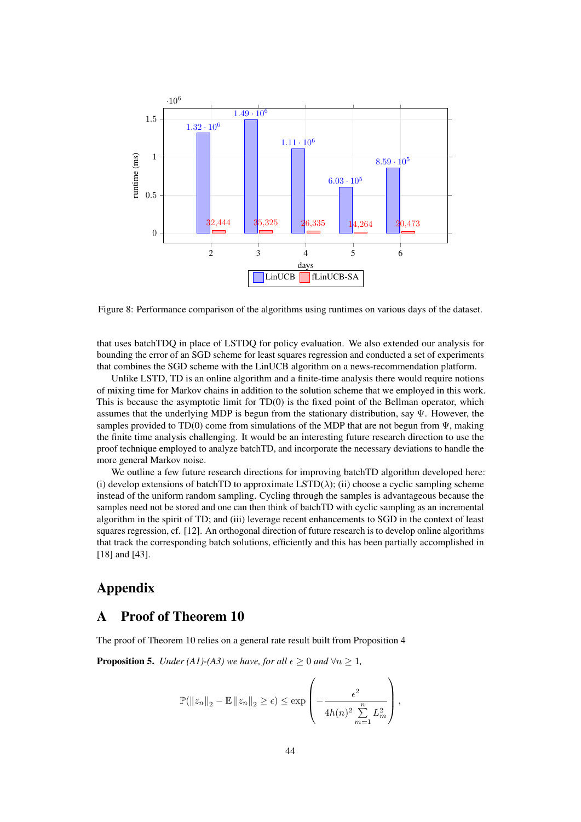

Figure 8: Performance comparison of the algorithms using runtimes on various days of the dataset.

that uses batchTDQ in place of LSTDQ for policy evaluation. We also extended our analysis for bounding the error of an SGD scheme for least squares regression and conducted a set of experiments that combines the SGD scheme with the LinUCB algorithm on a news-recommendation platform.

Unlike LSTD, TD is an online algorithm and a finite-time analysis there would require notions of mixing time for Markov chains in addition to the solution scheme that we employed in this work. This is because the asymptotic limit for TD(0) is the fixed point of the Bellman operator, which assumes that the underlying MDP is begun from the stationary distribution, say  $\Psi$ . However, the samples provided to TD(0) come from simulations of the MDP that are not begun from  $\Psi$ , making the finite time analysis challenging. It would be an interesting future research direction to use the proof technique employed to analyze batchTD, and incorporate the necessary deviations to handle the more general Markov noise.

We outline a few future research directions for improving batchTD algorithm developed here: (i) develop extensions of batchTD to approximate  $\text{LSTD}(\lambda)$ ; (ii) choose a cyclic sampling scheme instead of the uniform random sampling. Cycling through the samples is advantageous because the samples need not be stored and one can then think of batchTD with cyclic sampling as an incremental algorithm in the spirit of TD; and (iii) leverage recent enhancements to SGD in the context of least squares regression, cf. [12]. An orthogonal direction of future research is to develop online algorithms that track the corresponding batch solutions, efficiently and this has been partially accomplished in [18] and [43].

# Appendix

## A Proof of Theorem 10

The proof of Theorem 10 relies on a general rate result built from Proposition 4

**Proposition 5.** *Under (A1)-(A3) we have, for all*  $\epsilon \geq 0$  *and*  $\forall n \geq 1$ *,* 

$$
\mathbb{P}(\left\|z_{n}\right\|_{2}-\mathbb{E}\left\|z_{n}\right\|_{2} \geq \epsilon) \leq \exp\left(-\frac{\epsilon^{2}}{4h(n)^{2}\sum\limits_{m=1}^{n}L_{m}^{2}}\right),
$$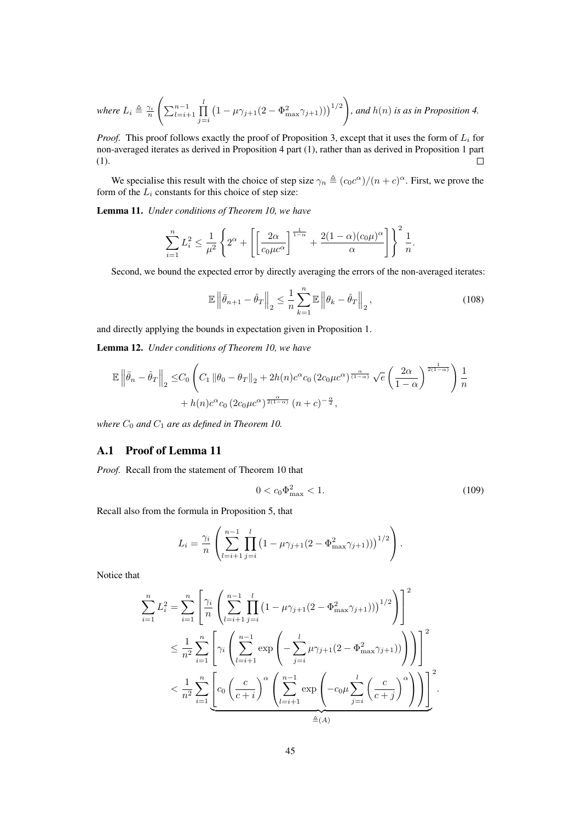where 
$$
L_i \triangleq \frac{\gamma_i}{n} \left( \sum_{l=i+1}^{n-1} \prod_{j=i}^{l} \left(1 - \mu \gamma_{j+1} (2 - \Phi_{\text{max}}^2 \gamma_{j+1})\right)\right)^{1/2}
$$
, and  $h(n)$  is as in Proposition 4.

*Proof.* This proof follows exactly the proof of Proposition 3, except that it uses the form of  $L_i$  for non-averaged iterates as derived in Proposition 4 part (1), rather than as derived in Proposition 1 part (1).  $\Box$ 

We specialise this result with the choice of step size  $\gamma_n \triangleq (c_0 c^{\alpha})/(n+c)^{\alpha}$ . First, we prove the form of the  $L_i$  constants for this choice of step size:

Lemma 11. *Under conditions of Theorem 10, we have*

$$
\sum_{i=1}^n L_i^2 \le \frac{1}{\mu^2} \left\{ 2^{\alpha} + \left[ \left[ \frac{2\alpha}{c_0 \mu c^{\alpha}} \right]^{\frac{1}{1-\alpha}} + \frac{2(1-\alpha)(c_0 \mu)^{\alpha}}{\alpha} \right] \right\}^2 \frac{1}{n}.
$$

Second, we bound the expected error by directly averaging the errors of the non-averaged iterates:

$$
\mathbb{E}\left\|\bar{\theta}_{n+1} - \hat{\theta}_T\right\|_2 \le \frac{1}{n} \sum_{k=1}^n \mathbb{E}\left\|\theta_k - \hat{\theta}_T\right\|_2, \tag{108}
$$

and directly applying the bounds in expectation given in Proposition 1.

Lemma 12. *Under conditions of Theorem 10, we have*

$$
\mathbb{E}\left\|\bar{\theta}_{n}-\hat{\theta}_{T}\right\|_{2} \leq C_{0} \left(C_{1} \left\|\theta_{0}-\theta_{T}\right\|_{2} + 2h(n)c^{\alpha}c_{0} \left(2c_{0}\mu c^{\alpha}\right)^{\frac{\alpha}{(1-\alpha)}}\sqrt{e}\left(\frac{2\alpha}{1-\alpha}\right)^{\frac{1}{2(1-\alpha)}}\right) \frac{1}{n} + h(n)c^{\alpha}c_{0} \left(2c_{0}\mu c^{\alpha}\right)^{\frac{\alpha}{2(1-\alpha)}}\left(n+c\right)^{-\frac{\alpha}{2}},
$$

*where*  $C_0$  *and*  $C_1$  *are as defined in Theorem 10.* 

## A.1 Proof of Lemma 11

*Proof.* Recall from the statement of Theorem 10 that

$$
0 < c_0 \Phi_{\text{max}}^2 < 1. \tag{109}
$$

Recall also from the formula in Proposition 5, that

$$
L_i = \frac{\gamma_i}{n} \left( \sum_{l=i+1}^{n-1} \prod_{j=i}^{l} \left( 1 - \mu \gamma_{j+1} (2 - \Phi_{\text{max}}^2 \gamma_{j+1}) \right) \right)^{1/2} \right).
$$

Notice that

$$
\sum_{i=1}^{n} L_i^2 = \sum_{i=1}^{n} \left[ \frac{\gamma_i}{n} \left( \sum_{l=i+1}^{n-1} \prod_{j=i}^{l} \left( 1 - \mu \gamma_{j+1} (2 - \Phi_{\text{max}}^2 \gamma_{j+1}) \right) \right)^{1/2} \right] \right]^2
$$
  

$$
\leq \frac{1}{n^2} \sum_{i=1}^{n} \left[ \gamma_i \left( \sum_{l=i+1}^{n-1} \exp \left( - \sum_{j=i}^{l} \mu \gamma_{j+1} (2 - \Phi_{\text{max}}^2 \gamma_{j+1}) \right) \right) \right]^2
$$
  

$$
< \frac{1}{n^2} \sum_{i=1}^{n} \left[ c_0 \left( \frac{c}{c+i} \right)^{\alpha} \left( \sum_{l=i+1}^{n-1} \exp \left( -c_0 \mu \sum_{j=i}^{l} \left( \frac{c}{c+j} \right)^{\alpha} \right) \right) \right]^2.
$$
  

$$
\triangleq (A)
$$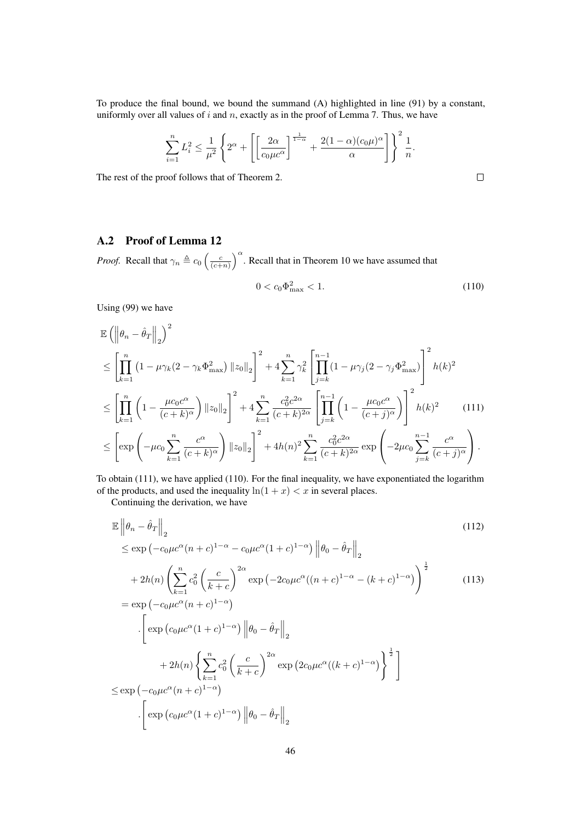To produce the final bound, we bound the summand (A) highlighted in line (91) by a constant, uniformly over all values of  $i$  and  $n$ , exactly as in the proof of Lemma 7. Thus, we have

$$
\sum_{i=1}^n L_i^2 \le \frac{1}{\mu^2} \left\{ 2^{\alpha} + \left[ \left[ \frac{2\alpha}{c_0 \mu c^{\alpha}} \right]^{\frac{1}{1-\alpha}} + \frac{2(1-\alpha)(c_0 \mu)^{\alpha}}{\alpha} \right] \right\}^2 \frac{1}{n}.
$$

The rest of the proof follows that of Theorem 2.

## A.2 Proof of Lemma 12

*Proof.* Recall that  $\gamma_n \triangleq c_0 \left(\frac{c}{(c+n)}\right)^\alpha$ . Recall that in Theorem 10 we have assumed that

$$
0 < c_0 \Phi_{\text{max}}^2 < 1. \tag{110}
$$

Using (99) we have

$$
\mathbb{E}\left(\left\|\theta_{n}-\hat{\theta}_{T}\right\|_{2}\right)^{2}
$$
\n
$$
\leq \left[\prod_{k=1}^{n}\left(1-\mu\gamma_{k}(2-\gamma_{k}\Phi_{\max}^{2})\left\|z_{0}\right\|_{2}\right]^{2} + 4\sum_{k=1}^{n}\gamma_{k}^{2}\left[\prod_{j=k}^{n-1}(1-\mu\gamma_{j}(2-\gamma_{j}\Phi_{\max}^{2})\right]^{2}h(k)^{2}
$$
\n
$$
\leq \left[\prod_{k=1}^{n}\left(1-\frac{\mu c_{0}c^{\alpha}}{(c+k)^{\alpha}}\right)\left\|z_{0}\right\|_{2}\right]^{2} + 4\sum_{k=1}^{n}\frac{c_{0}^{2}c^{2\alpha}}{(c+k)^{2\alpha}}\left[\prod_{j=k}^{n-1}\left(1-\frac{\mu c_{0}c^{\alpha}}{(c+j)^{\alpha}}\right)\right]^{2}h(k)^{2} \qquad (111)
$$
\n
$$
\leq \left[\exp\left(-\mu c_{0}\sum_{k=1}^{n}\frac{c^{\alpha}}{(c+k)^{\alpha}}\right)\left\|z_{0}\right\|_{2}\right]^{2} + 4h(n)^{2}\sum_{k=1}^{n}\frac{c_{0}^{2}c^{2\alpha}}{(c+k)^{2\alpha}}\exp\left(-2\mu c_{0}\sum_{j=k}^{n-1}\frac{c^{\alpha}}{(c+j)^{\alpha}}\right).
$$

To obtain (111), we have applied (110). For the final inequality, we have exponentiated the logarithm of the products, and used the inequality  $ln(1 + x) < x$  in several places.

Continuing the derivation, we have

$$
\mathbb{E} \left\| \theta_n - \hat{\theta}_T \right\|_2 \tag{112}
$$
\n
$$
\leq \exp \left( -c_0 \mu c^{\alpha} (n+c)^{1-\alpha} - c_0 \mu c^{\alpha} (1+c)^{1-\alpha} \right) \left\| \theta_0 - \hat{\theta}_T \right\|_2
$$
\n
$$
+ 2h(n) \left( \sum_{k=1}^n c_0^2 \left( \frac{c}{k+c} \right)^{2\alpha} \exp \left( -2c_0 \mu c^{\alpha} ((n+c)^{1-\alpha} - (k+c)^{1-\alpha} \right) \right)^{\frac{1}{2}}
$$
\n
$$
= \exp \left( -c_0 \mu c^{\alpha} (n+c)^{1-\alpha} \right)
$$
\n
$$
\cdot \left[ \exp \left( c_0 \mu c^{\alpha} (1+c)^{1-\alpha} \right) \left\| \theta_0 - \hat{\theta}_T \right\|_2
$$
\n
$$
+ 2h(n) \left\{ \sum_{k=1}^n c_0^2 \left( \frac{c}{k+c} \right)^{2\alpha} \exp \left( 2c_0 \mu c^{\alpha} ((k+c)^{1-\alpha} \right) \right\}^{\frac{1}{2}} \right]
$$
\n
$$
\leq \exp \left( -c_0 \mu c^{\alpha} (n+c)^{1-\alpha} \right)
$$
\n
$$
\cdot \left[ \exp \left( c_0 \mu c^{\alpha} (1+c)^{1-\alpha} \right) \left\| \theta_0 - \hat{\theta}_T \right\|_2
$$
\n(112)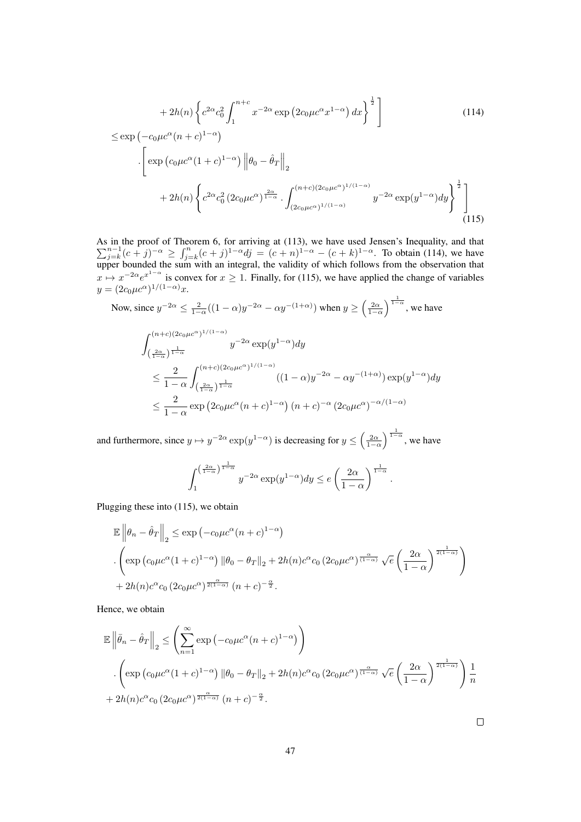$$
+ 2h(n) \left\{ c^{2\alpha} c_0^2 \int_1^{n+c} x^{-2\alpha} \exp\left(2c_0 \mu c^{\alpha} x^{1-\alpha}\right) dx \right\}^{\frac{1}{2}} \right]
$$
(114)  
\n
$$
\leq \exp\left(-c_0 \mu c^{\alpha} (n+c)^{1-\alpha}\right)
$$
  
\n
$$
\cdot \left[ \exp\left(c_0 \mu c^{\alpha} (1+c)^{1-\alpha}\right) \left\| \theta_0 - \hat{\theta}_T \right\|_2
$$
  
\n
$$
+ 2h(n) \left\{ c^{2\alpha} c_0^2 \left(2c_0 \mu c^{\alpha}\right)^{\frac{2\alpha}{1-\alpha}} \cdot \int_{(2c_0 \mu c^{\alpha})^{1/(1-\alpha)}}^{(n+c)(2c_0 \mu c^{\alpha})^{1/(1-\alpha)}} y^{-2\alpha} \exp\left(y^{1-\alpha}\right) dy \right\}^{\frac{1}{2}} \right]
$$
(115)

As in the proof of Theorem 6, for arriving at P (113), we have used Jensen's Inequality, and that  $\int_{j=k}^{n-1} (c+j)^{-\alpha} \ge \int_{j=k}^{n} (c+j)^{1-\alpha} dj = (c+n)^{1-\alpha} - (c+k)^{1-\alpha}$ . To obtain (114), we have upper bounded the sum with an integral, the validity of which follows from the observation that  $x \mapsto x^{-2\alpha}e^{x^{1-\alpha}}$  is convex for  $x \ge 1$ . Finally, for (115), we have applied the change of variables  $y = (2c_0 \mu c^{\alpha})^{1/(1-\alpha)}x.$ 

Now, since 
$$
y^{-2\alpha} \le \frac{2}{1-\alpha}((1-\alpha)y^{-2\alpha} - \alpha y^{-(1+\alpha)})
$$
 when  $y \ge \left(\frac{2\alpha}{1-\alpha}\right)^{\frac{1}{1-\alpha}}$ , we have  
\n
$$
\int_{\left(\frac{2\alpha}{1-\alpha}\right)^{\frac{1}{1-\alpha}}}^{(n+c)(2c_0\mu c^{\alpha})^{1/(1-\alpha)}} y^{-2\alpha} \exp(y^{1-\alpha}) dy
$$
\n
$$
\le \frac{2}{1-\alpha} \int_{\left(\frac{2\alpha}{1-\alpha}\right)^{\frac{1}{1-\alpha}}}^{(n+c)(2c_0\mu c^{\alpha})^{1/(1-\alpha)}} ((1-\alpha)y^{-2\alpha} - \alpha y^{-(1+\alpha)}) \exp(y^{1-\alpha}) dy
$$
\n
$$
\le \frac{2}{1-\alpha} \exp\left(2c_0\mu c^{\alpha}(n+c)^{1-\alpha}\right)(n+c)^{-\alpha} (2c_0\mu c^{\alpha})^{-\alpha/(1-\alpha)}
$$

and furthermore, since  $y \mapsto y^{-2\alpha} \exp(y^{1-\alpha})$  is decreasing for  $y \le \left(\frac{2\alpha}{1-\alpha}\right)$  $\int_{1-\alpha}^{\frac{1}{1-\alpha}}$ , we have

$$
\int_{1}^{\left(\frac{2\alpha}{1-\alpha}\right)^{\frac{1}{1-\alpha}}} y^{-2\alpha} \exp(y^{1-\alpha}) dy \le e \left(\frac{2\alpha}{1-\alpha}\right)^{\frac{1}{1-\alpha}}
$$

.

Plugging these into (115), we obtain

$$
\mathbb{E} \left\| \theta_n - \hat{\theta}_T \right\|_2 \le \exp \left( -c_0 \mu c^{\alpha} (n+c)^{1-\alpha} \right)
$$
  

$$
\cdot \left( \exp \left( c_0 \mu c^{\alpha} (1+c)^{1-\alpha} \right) \left\| \theta_0 - \theta_T \right\|_2 + 2h(n) c^{\alpha} c_0 \left( 2c_0 \mu c^{\alpha} \right)^{\frac{\alpha}{(1-\alpha)}} \sqrt{e} \left( \frac{2\alpha}{1-\alpha} \right)^{\frac{1}{2(1-\alpha)}} \right)
$$
  

$$
+ 2h(n) c^{\alpha} c_0 \left( 2c_0 \mu c^{\alpha} \right)^{\frac{\alpha}{2(1-\alpha)}} (n+c)^{-\frac{\alpha}{2}}.
$$

Hence, we obtain

$$
\mathbb{E}\left\|\bar{\theta}_{n}-\hat{\theta}_{T}\right\|_{2} \leq \left(\sum_{n=1}^{\infty} \exp\left(-c_{0}\mu c^{\alpha}(n+c)^{1-\alpha}\right)\right)
$$

$$
\left(\exp\left(c_{0}\mu c^{\alpha}(1+c)^{1-\alpha}\right) \|\theta_{0}-\theta_{T}\|_{2} + 2h(n)c^{\alpha}c_{0}\left(2c_{0}\mu c^{\alpha}\right)^{\frac{\alpha}{(1-\alpha)}}\sqrt{e}\left(\frac{2\alpha}{1-\alpha}\right)^{\frac{1}{2(1-\alpha)}}\right)\frac{1}{n} + 2h(n)c^{\alpha}c_{0}\left(2c_{0}\mu c^{\alpha}\right)^{\frac{\alpha}{2(1-\alpha)}}\left(n+c\right)^{-\frac{\alpha}{2}}.
$$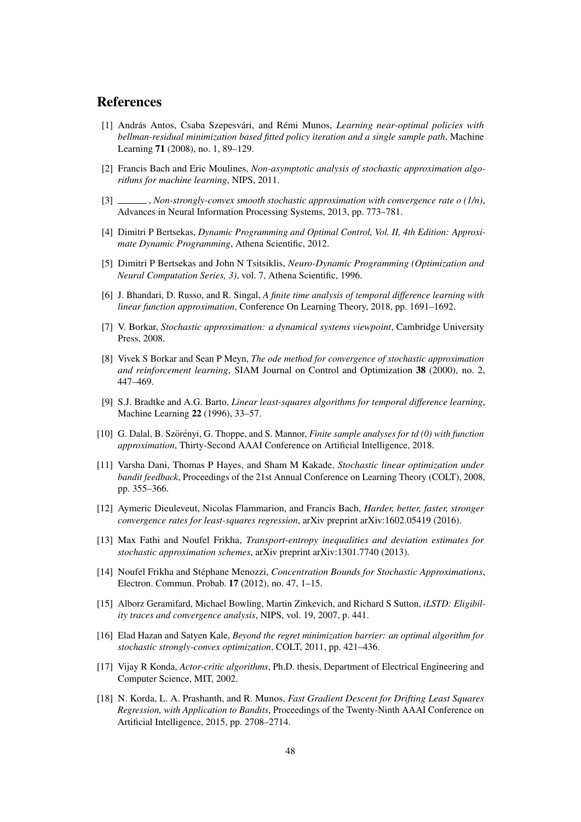## References

- [1] András Antos, Csaba Szepesvári, and Rémi Munos, *Learning near-optimal policies with bellman-residual minimization based fitted policy iteration and a single sample path*, Machine Learning 71 (2008), no. 1, 89–129.
- [2] Francis Bach and Eric Moulines, *Non-asymptotic analysis of stochastic approximation algorithms for machine learning*, NIPS, 2011.
- [3]  $\_\_\_\_\_\$ Non-strongly-convex smooth stochastic approximation with convergence rate o (1/n), Advances in Neural Information Processing Systems, 2013, pp. 773–781.
- [4] Dimitri P Bertsekas, *Dynamic Programming and Optimal Control, Vol. II, 4th Edition: Approximate Dynamic Programming*, Athena Scientific, 2012.
- [5] Dimitri P Bertsekas and John N Tsitsiklis, *Neuro-Dynamic Programming (Optimization and Neural Computation Series, 3)*, vol. 7, Athena Scientific, 1996.
- [6] J. Bhandari, D. Russo, and R. Singal, *A finite time analysis of temporal difference learning with linear function approximation*, Conference On Learning Theory, 2018, pp. 1691–1692.
- [7] V. Borkar, *Stochastic approximation: a dynamical systems viewpoint*, Cambridge University Press, 2008.
- [8] Vivek S Borkar and Sean P Meyn, *The ode method for convergence of stochastic approximation and reinforcement learning*, SIAM Journal on Control and Optimization 38 (2000), no. 2, 447–469.
- [9] S.J. Bradtke and A.G. Barto, *Linear least-squares algorithms for temporal difference learning*, Machine Learning 22 (1996), 33–57.
- [10] G. Dalal, B. Szörényi, G. Thoppe, and S. Mannor, *Finite sample analyses for td* (0) with function *approximation*, Thirty-Second AAAI Conference on Artificial Intelligence, 2018.
- [11] Varsha Dani, Thomas P Hayes, and Sham M Kakade, *Stochastic linear optimization under bandit feedback*, Proceedings of the 21st Annual Conference on Learning Theory (COLT), 2008, pp. 355–366.
- [12] Aymeric Dieuleveut, Nicolas Flammarion, and Francis Bach, *Harder, better, faster, stronger convergence rates for least-squares regression*, arXiv preprint arXiv:1602.05419 (2016).
- [13] Max Fathi and Noufel Frikha, *Transport-entropy inequalities and deviation estimates for stochastic approximation schemes*, arXiv preprint arXiv:1301.7740 (2013).
- [14] Noufel Frikha and Stéphane Menozzi, *Concentration Bounds for Stochastic Approximations*, Electron. Commun. Probab. 17 (2012), no. 47, 1–15.
- [15] Alborz Geramifard, Michael Bowling, Martin Zinkevich, and Richard S Sutton, *iLSTD: Eligibility traces and convergence analysis*, NIPS, vol. 19, 2007, p. 441.
- [16] Elad Hazan and Satyen Kale, *Beyond the regret minimization barrier: an optimal algorithm for stochastic strongly-convex optimization*, COLT, 2011, pp. 421–436.
- [17] Vijay R Konda, *Actor-critic algorithms*, Ph.D. thesis, Department of Electrical Engineering and Computer Science, MIT, 2002.
- [18] N. Korda, L. A. Prashanth, and R. Munos, *Fast Gradient Descent for Drifting Least Squares Regression, with Application to Bandits*, Proceedings of the Twenty-Ninth AAAI Conference on Artificial Intelligence, 2015, pp. 2708–2714.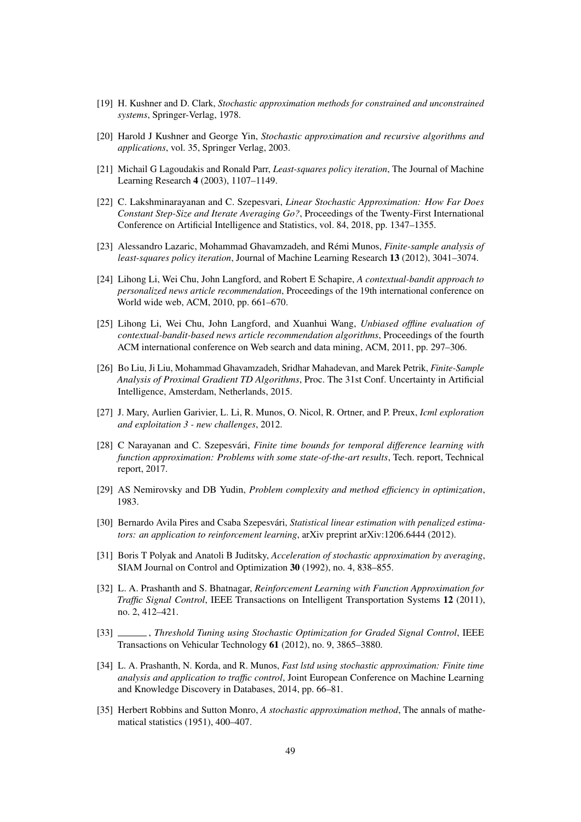- [19] H. Kushner and D. Clark, *Stochastic approximation methods for constrained and unconstrained systems*, Springer-Verlag, 1978.
- [20] Harold J Kushner and George Yin, *Stochastic approximation and recursive algorithms and applications*, vol. 35, Springer Verlag, 2003.
- [21] Michail G Lagoudakis and Ronald Parr, *Least-squares policy iteration*, The Journal of Machine Learning Research 4 (2003), 1107–1149.
- [22] C. Lakshminarayanan and C. Szepesvari, *Linear Stochastic Approximation: How Far Does Constant Step-Size and Iterate Averaging Go?*, Proceedings of the Twenty-First International Conference on Artificial Intelligence and Statistics, vol. 84, 2018, pp. 1347–1355.
- [23] Alessandro Lazaric, Mohammad Ghavamzadeh, and Rémi Munos, *Finite-sample analysis of least-squares policy iteration*, Journal of Machine Learning Research 13 (2012), 3041–3074.
- [24] Lihong Li, Wei Chu, John Langford, and Robert E Schapire, *A contextual-bandit approach to personalized news article recommendation*, Proceedings of the 19th international conference on World wide web, ACM, 2010, pp. 661–670.
- [25] Lihong Li, Wei Chu, John Langford, and Xuanhui Wang, *Unbiased offline evaluation of contextual-bandit-based news article recommendation algorithms*, Proceedings of the fourth ACM international conference on Web search and data mining, ACM, 2011, pp. 297–306.
- [26] Bo Liu, Ji Liu, Mohammad Ghavamzadeh, Sridhar Mahadevan, and Marek Petrik, *Finite-Sample Analysis of Proximal Gradient TD Algorithms*, Proc. The 31st Conf. Uncertainty in Artificial Intelligence, Amsterdam, Netherlands, 2015.
- [27] J. Mary, Aurlien Garivier, L. Li, R. Munos, O. Nicol, R. Ortner, and P. Preux, *Icml exploration and exploitation 3 - new challenges*, 2012.
- [28] C Narayanan and C. Szepesvári, *Finite time bounds for temporal difference learning with function approximation: Problems with some state-of-the-art results*, Tech. report, Technical report, 2017.
- [29] AS Nemirovsky and DB Yudin, *Problem complexity and method efficiency in optimization*, 1983.
- [30] Bernardo Avila Pires and Csaba Szepesvári, *Statistical linear estimation with penalized estimators: an application to reinforcement learning*, arXiv preprint arXiv:1206.6444 (2012).
- [31] Boris T Polyak and Anatoli B Juditsky, *Acceleration of stochastic approximation by averaging*, SIAM Journal on Control and Optimization 30 (1992), no. 4, 838–855.
- [32] L. A. Prashanth and S. Bhatnagar, *Reinforcement Learning with Function Approximation for Traffic Signal Control*, IEEE Transactions on Intelligent Transportation Systems 12 (2011), no. 2, 412–421.
- [33] , *Threshold Tuning using Stochastic Optimization for Graded Signal Control*, IEEE Transactions on Vehicular Technology 61 (2012), no. 9, 3865–3880.
- [34] L. A. Prashanth, N. Korda, and R. Munos, *Fast lstd using stochastic approximation: Finite time analysis and application to traffic control*, Joint European Conference on Machine Learning and Knowledge Discovery in Databases, 2014, pp. 66–81.
- [35] Herbert Robbins and Sutton Monro, *A stochastic approximation method*, The annals of mathematical statistics (1951), 400–407.